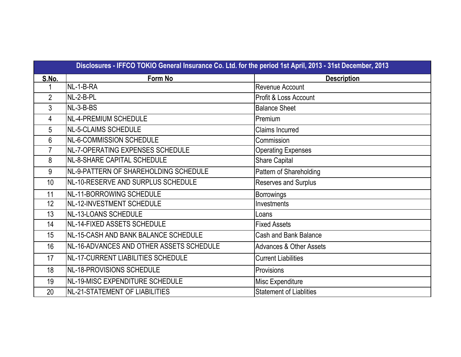|                | Disclosures - IFFCO TOKIO General Insurance Co. Ltd. for the period 1st April, 2013 - 31st December, 2013 |                                    |  |  |  |  |  |
|----------------|-----------------------------------------------------------------------------------------------------------|------------------------------------|--|--|--|--|--|
| S.No.          | Form No                                                                                                   | <b>Description</b>                 |  |  |  |  |  |
|                | NL-1-B-RA                                                                                                 | Revenue Account                    |  |  |  |  |  |
| $\overline{2}$ | NL-2-B-PL                                                                                                 | Profit & Loss Account              |  |  |  |  |  |
| 3              | NL-3-B-BS                                                                                                 | <b>Balance Sheet</b>               |  |  |  |  |  |
| 4              | NL-4-PREMIUM SCHEDULE                                                                                     | Premium                            |  |  |  |  |  |
| 5              | NL-5-CLAIMS SCHEDULE                                                                                      | <b>Claims Incurred</b>             |  |  |  |  |  |
| 6              | NL-6-COMMISSION SCHEDULE                                                                                  | Commission                         |  |  |  |  |  |
| $\overline{7}$ | INL-7-OPERATING EXPENSES SCHEDULE                                                                         | <b>Operating Expenses</b>          |  |  |  |  |  |
| 8              | NL-8-SHARE CAPITAL SCHEDULE                                                                               | <b>Share Capital</b>               |  |  |  |  |  |
| 9              | NL-9-PATTERN OF SHAREHOLDING SCHEDULE                                                                     | Pattern of Shareholding            |  |  |  |  |  |
| 10             | INL-10-RESERVE AND SURPLUS SCHEDULE                                                                       | <b>Reserves and Surplus</b>        |  |  |  |  |  |
| 11             | NL-11-BORROWING SCHEDULE                                                                                  | <b>Borrowings</b>                  |  |  |  |  |  |
| 12             | NL-12-INVESTMENT SCHEDULE                                                                                 | Investments                        |  |  |  |  |  |
| 13             | NL-13-LOANS SCHEDULE                                                                                      | Loans                              |  |  |  |  |  |
| 14             | NL-14-FIXED ASSETS SCHEDULE                                                                               | <b>Fixed Assets</b>                |  |  |  |  |  |
| 15             | NL-15-CASH AND BANK BALANCE SCHEDULE                                                                      | <b>Cash and Bank Balance</b>       |  |  |  |  |  |
| 16             | NL-16-ADVANCES AND OTHER ASSETS SCHEDULE                                                                  | <b>Advances &amp; Other Assets</b> |  |  |  |  |  |
| 17             | NL-17-CURRENT LIABILITIES SCHEDULE                                                                        | <b>Current Liabilities</b>         |  |  |  |  |  |
| 18             | NL-18-PROVISIONS SCHEDULE                                                                                 | Provisions                         |  |  |  |  |  |
| 19             | NL-19-MISC EXPENDITURE SCHEDULE                                                                           | Misc Expenditure                   |  |  |  |  |  |
| 20             | NL-21-STATEMENT OF LIABILITIES                                                                            | <b>Statement of Liablities</b>     |  |  |  |  |  |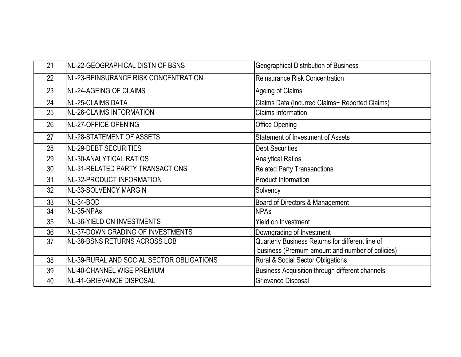| 21 | NL-22-GEOGRAPHICAL DISTN OF BSNS          | <b>Geographical Distribution of Business</b>     |
|----|-------------------------------------------|--------------------------------------------------|
| 22 | NL-23-REINSURANCE RISK CONCENTRATION      | Reinsurance Risk Concentration                   |
| 23 | <b>NL-24-AGEING OF CLAIMS</b>             | Ageing of Claims                                 |
| 24 | <b>NL-25-CLAIMS DATA</b>                  | Claims Data (Incurred Claims+ Reported Claims)   |
| 25 | <b>NL-26-CLAIMS INFORMATION</b>           | <b>Claims Information</b>                        |
| 26 | <b>NL-27-OFFICE OPENING</b>               | <b>Office Opening</b>                            |
| 27 | NL-28-STATEMENT OF ASSETS                 | <b>Statement of Investment of Assets</b>         |
| 28 | <b>NL-29-DEBT SECURITIES</b>              | <b>Debt Securities</b>                           |
| 29 | NL-30-ANALYTICAL RATIOS                   | <b>Analytical Ratios</b>                         |
| 30 | NL-31-RELATED PARTY TRANSACTIONS          | <b>Related Party Transanctions</b>               |
| 31 | NL-32-PRODUCT INFORMATION                 | <b>Product Information</b>                       |
| 32 | NL-33-SOLVENCY MARGIN                     | Solvency                                         |
| 33 | NL-34-BOD                                 | Board of Directors & Management                  |
| 34 | NL-35-NPAs                                | <b>NPAs</b>                                      |
| 35 | NL-36-YIELD ON INVESTMENTS                | Yield on Investment                              |
| 36 | INL-37-DOWN GRADING OF INVESTMENTS        | Downgrading of Investment                        |
| 37 | NL-38-BSNS RETURNS ACROSS LOB             | Quarterly Business Returns for different line of |
|    |                                           | business (Premum amount and number of policies)  |
| 38 | NL-39-RURAL AND SOCIAL SECTOR OBLIGATIONS | Rural & Social Sector Obligations                |
| 39 | NL-40-CHANNEL WISE PREMIUM                | Business Acquisition through different channels  |
| 40 | NL-41-GRIEVANCE DISPOSAL                  | Grievance Disposal                               |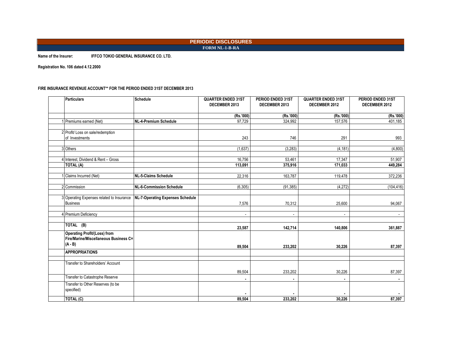#### **PERIODIC DISCLOSURES FORM NL-1-B-RA**

**Name of the Insurer: IFFCO TOKIO GENERAL INSURANCE CO. LTD.**

**Registration No. 106 dated 4.12.2000**

#### FIRE INSURANCE REVENUE ACCOUNT\*\* FOR THE PERIOD ENDED 31ST DECEMBER 2013

| <b>Particulars</b>                                                                        | <b>Schedule</b>                  | <b>QUARTER ENDED 31ST</b><br>DECEMBER 2013 | PERIOD ENDED 31ST<br>DECEMBER 2013 | <b>QUARTER ENDED 31ST</b><br>DECEMBER 2012 | PERIOD ENDED 31ST<br>DECEMBER 2012 |
|-------------------------------------------------------------------------------------------|----------------------------------|--------------------------------------------|------------------------------------|--------------------------------------------|------------------------------------|
|                                                                                           |                                  | (Rs.'000)                                  | (Rs.'000)                          | (Rs.'000)                                  | (Rs.'000)                          |
| Premiums earned (Net)                                                                     | NL-4-Premium Schedule            | 97,729                                     | 324,992                            | 157,576                                    | 401,185                            |
| 2 Profit/ Loss on sale/redemption<br>of Investments                                       |                                  | 243                                        | 746                                | 291                                        | 993                                |
| 3 Others                                                                                  |                                  | (1,637)                                    | (3,283)                            | (4, 181)                                   | (4,800)                            |
| 4 Interest, Dividend & Rent - Gross<br>$\overline{TOTAL}$ (A)                             |                                  | 16,756<br>113,091                          | 53,461<br>375.916                  | 17.347<br>171,033                          | 51.907<br>449.284                  |
| Claims Incurred (Net)                                                                     | <b>NL-5-Claims Schedule</b>      | 22,316                                     | 163,787                            | 119,478                                    | 372,236                            |
| 2 Commission                                                                              | <b>NL-6-Commission Schedule</b>  | (6, 305)                                   | (91, 385)                          | (4,272)                                    | (104, 416)                         |
| 3 Operating Expenses related to Insurance<br><b>Business</b>                              | NL-7-Operating Expenses Schedule | 7,576                                      | 70,312                             | 25,600                                     | 94,067                             |
| Premium Deficiency                                                                        |                                  | $\blacksquare$                             | $\blacksquare$                     | $\blacksquare$                             | $\sim$                             |
| TOTAL (B)                                                                                 |                                  | 23,587                                     | 142,714                            | 140,806                                    | 361,887                            |
| <b>Operating Profit/(Loss) from</b><br>Fire/Marine/Miscellaneous Business C=<br>$(A - B)$ |                                  | 89,504                                     | 233,202                            | 30,226                                     | 87,397                             |
| <b>APPROPRIATIONS</b>                                                                     |                                  |                                            |                                    |                                            |                                    |
| Transfer to Shareholders' Account                                                         |                                  | 89,504                                     | 233,202                            | 30,226                                     | 87,397                             |
| Transfer to Catastrophe Reserve                                                           |                                  |                                            |                                    | $\blacksquare$                             |                                    |
| Transfer to Other Reserves (to be<br>specified)                                           |                                  |                                            |                                    |                                            |                                    |
| TOTAL (C)                                                                                 |                                  | 89.504                                     | 233.202                            | 30.226                                     | 87,397                             |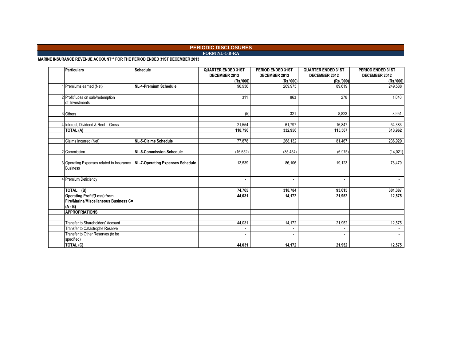### **PERIODIC DISCLOSURES**

### **FORM NL-1-B-RA**

**MARINE INSURANCE REVENUE ACCOUNT\*\* FOR THE PERIOD ENDED 31ST DECEMBER 2013**

| <b>Particulars</b>                                                                        | <b>Schedule</b>                         | <b>QUARTER ENDED 31ST</b> | PERIOD ENDED 31ST        | <b>QUARTER ENDED 31ST</b> | PERIOD ENDED 31ST |
|-------------------------------------------------------------------------------------------|-----------------------------------------|---------------------------|--------------------------|---------------------------|-------------------|
|                                                                                           |                                         | DECEMBER 2013             | DECEMBER 2013            | DECEMBER 2012             | DECEMBER 2012     |
|                                                                                           |                                         | (Rs.'000)                 | (Rs.'000)                | (Rs.'000)                 | (Rs.'000)         |
| Premiums earned (Net)                                                                     | <b>NL-4-Premium Schedule</b>            | 96,936                    | 269,975                  | 89,619                    | 249,588           |
|                                                                                           |                                         |                           |                          |                           |                   |
| 2 Profit/ Loss on sale/redemption<br>of Investments                                       |                                         | 311                       | 863                      | 278                       | 1,040             |
|                                                                                           |                                         |                           |                          |                           |                   |
| 3 Others                                                                                  |                                         | (5)                       | 321                      | 8.823                     | 8,951             |
| 4 Interest. Dividend & Rent - Gross                                                       |                                         | 21,554                    | 61.797                   | 16,847                    | 54,383            |
| TOTAL (A)                                                                                 |                                         | 118,796                   | 332,956                  | 115,567                   | 313,962           |
| Claims Incurred (Net)                                                                     | <b>NL-5-Claims Schedule</b>             | 77,878                    | 268,132                  | 81,467                    | 236,929           |
| 2 Commission                                                                              | <b>NL-6-Commission Schedule</b>         | (16, 652)                 | (35, 454)                | (6, 975)                  | (14, 021)         |
|                                                                                           |                                         |                           |                          |                           |                   |
| 3 Operating Expenses related to Insurance<br><b>Business</b>                              | <b>NL-7-Operating Expenses Schedule</b> | 13,539                    | 86,106                   | 19,123                    | 78,479            |
|                                                                                           |                                         |                           |                          |                           |                   |
| 4 Premium Deficiency                                                                      |                                         | $\sim$                    | $\overline{\phantom{a}}$ | $\blacksquare$            | $\sim$            |
| TOTAL (B)                                                                                 |                                         | 74.765                    | 318.784                  | 93.615                    | 301.387           |
| <b>Operating Profit/(Loss) from</b><br>Fire/Marine/Miscellaneous Business C=<br>$(A - B)$ |                                         | 44,031                    | 14,172                   | 21,952                    | 12,575            |
| <b>APPROPRIATIONS</b>                                                                     |                                         |                           |                          |                           |                   |
| Transfer to Shareholders' Account                                                         |                                         | 44,031                    | 14,172                   | 21,952                    | 12,575            |
| Transfer to Catastrophe Reserve                                                           |                                         | ٠                         | $\blacksquare$           |                           | $\blacksquare$    |
| Transfer to Other Reserves (to be                                                         |                                         | ٠                         | $\blacksquare$           | ٠                         |                   |
| specified)                                                                                |                                         |                           |                          |                           |                   |
| $\overline{\text{TOTAL}}$ (C)                                                             |                                         | 44,031                    | 14,172                   | 21,952                    | 12,575            |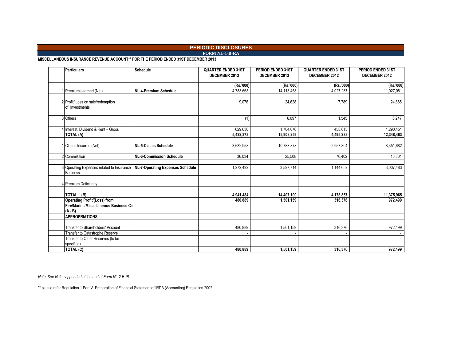### **PERIODIC DISCLOSURES**

**FORM NL-1-B-RA**

**MISCELLANEOUS INSURANCE REVENUE ACCOUNT\*\* FOR THE PERIOD ENDED 31ST DECEMBER 2013** 

| <b>Particulars</b>                        | <b>Schedule</b>                  | <b>QUARTER ENDED 31ST</b><br>DECEMBER 2013 | PERIOD ENDED 31ST<br>DECEMBER 2013 | <b>QUARTER ENDED 31ST</b><br>DECEMBER 2012 | PERIOD ENDED 31ST<br>DECEMBER 2012 |
|-------------------------------------------|----------------------------------|--------------------------------------------|------------------------------------|--------------------------------------------|------------------------------------|
|                                           |                                  | (Rs.'000)                                  | (Rs.'000)                          | (Rs.'000)                                  | (Rs.'000)                          |
| 1 Premiums earned (Net)                   | NL-4-Premium Schedule            | 4,783,668                                  | 14,113,458                         | 4,027,287                                  | 11,027,081                         |
|                                           |                                  |                                            |                                    |                                            |                                    |
| 2 Profit/ Loss on sale/redemption         |                                  | 9,076                                      | 24,628                             | 7.789                                      | 24,685                             |
| of Investments                            |                                  |                                            |                                    |                                            |                                    |
|                                           |                                  |                                            |                                    |                                            |                                    |
| 3 Others                                  |                                  | (1)                                        | 6,097                              | 1,545                                      | 6,247                              |
|                                           |                                  |                                            |                                    |                                            |                                    |
| 4 Interest, Dividend & Rent - Gross       |                                  | 629.630                                    | 1,764,076                          | 458.613                                    | 1,290,451                          |
| <b>TOTAL (A)</b>                          |                                  | 5,422,373                                  | 15,908,259                         | 4,495,233                                  | 12,348,463                         |
| 1 Claims Incurred (Net)                   | NL-5-Claims Schedule             | 3,632,958                                  | 10,783,878                         | 2,957,804                                  | 8,351,682                          |
|                                           |                                  |                                            |                                    |                                            |                                    |
| 2 Commission                              | <b>NL-6-Commission Schedule</b>  | 36,034                                     | 25,508                             | 76,402                                     | 16,801                             |
|                                           |                                  |                                            |                                    |                                            |                                    |
| 3 Operating Expenses related to Insurance | NL-7-Operating Expenses Schedule | 1,272,492                                  | 3,597,714                          | 1,144,652                                  | 3,007,483                          |
| <b>Business</b>                           |                                  |                                            |                                    |                                            |                                    |
|                                           |                                  |                                            |                                    |                                            |                                    |
| 4 Premium Deficiency                      |                                  |                                            | $\blacksquare$                     | $\blacksquare$                             |                                    |
|                                           |                                  |                                            |                                    |                                            |                                    |
| TOTAL (B)                                 |                                  | 4,941,484                                  | 14,407,100                         | 4,178,857                                  | 11,375,965                         |
| <b>Operating Profit/(Loss) from</b>       |                                  | 480,889                                    | 1,501,159                          | 316,376                                    | 972,499                            |
| Fire/Marine/Miscellaneous Business C=     |                                  |                                            |                                    |                                            |                                    |
| $(A - B)$                                 |                                  |                                            |                                    |                                            |                                    |
| <b>APPROPRIATIONS</b>                     |                                  |                                            |                                    |                                            |                                    |
| Transfer to Shareholders' Account         |                                  | 480,889                                    | 1,501,159                          | 316,376                                    | 972,499                            |
| Transfer to Catastrophe Reserve           |                                  |                                            |                                    |                                            |                                    |
| Transfer to Other Reserves (to be         |                                  |                                            |                                    |                                            |                                    |
| specified)                                |                                  |                                            |                                    |                                            |                                    |
| TOTAL (C)                                 |                                  | 480,889                                    | 1,501,159                          | 316,376                                    | 972,499                            |

*Note: See Notes appended at the end of Form NL-2-B-PL*

\*\* please refer Regulation 1 Part V- Preparation of Financial Statement of IRDA (Accounting) Regulation 2002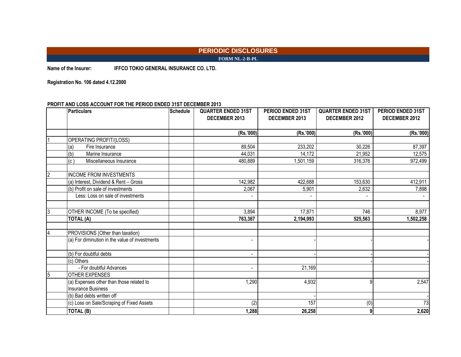### **PERIODIC DISCLOSURES FORM NL-2-B-PL**

**Name of the Insurer: IFFCO TOKIO GENERAL INSURANCE CO. LTD.**

**Registration No. 106 dated 4.12.2000**

### **PROFIT AND LOSS ACCOUNT FOR THE PERIOD ENDED 31ST DECEMBER 2013**

|   | <b>Particulars</b>                             | <b>Schedule</b> | <b>QUARTER ENDED 31ST</b> | <b>PERIOD ENDED 31ST</b> | <b>QUARTER ENDED 31ST</b> | PERIOD ENDED 31ST |
|---|------------------------------------------------|-----------------|---------------------------|--------------------------|---------------------------|-------------------|
|   |                                                |                 | DECEMBER 2013             | DECEMBER 2013            | DECEMBER 2012             | DECEMBER 2012     |
|   |                                                |                 |                           |                          |                           |                   |
|   |                                                |                 | (Rs.'000)                 | (Rs.'000)                | (Rs.'000)                 | (Rs.'000)         |
|   | OPERATING PROFIT/(LOSS)                        |                 |                           |                          |                           |                   |
|   | (a)<br>Fire Insurance                          |                 | 89,504                    | 233,202                  | 30,226                    | 87,397            |
|   | (b)<br>Marine Insurance                        |                 | 44,031                    | 14,172                   | 21,952                    | 12,575            |
|   | (c)<br>Miscellaneous Insurance                 |                 | 480,889                   | ,501,159                 | 316,376                   | 972,499           |
| 2 | <b>INCOME FROM INVESTMENTS</b>                 |                 |                           |                          |                           |                   |
|   | (a) Interest, Dividend & Rent - Gross          |                 | 142,982                   | 422,688                  | 153,630                   | 412,911           |
|   | (b) Profit on sale of investments              |                 | 2,067                     | 5,901                    | 2,632                     | 7,898             |
|   | Less: Loss on sale of investments              |                 | $\blacksquare$            |                          | $\overline{a}$            |                   |
| 3 | OTHER INCOME (To be specified)                 |                 | 3,894                     | 17,871                   | 746                       | 8,977             |
|   | <b>TOTAL (A)</b>                               |                 | 763,367                   | 2,194,993                | 525,563                   | 1,502,258         |
|   | PROVISIONS (Other than taxation)               |                 |                           |                          |                           |                   |
|   | (a) For diminution in the value of investments |                 | $\overline{\phantom{a}}$  |                          |                           |                   |
|   | (b) For doubtful debts                         |                 | $\overline{\phantom{a}}$  |                          |                           |                   |
|   | (c) Others                                     |                 |                           |                          |                           |                   |
|   | - For doubtful Advances                        |                 | $\overline{\phantom{a}}$  | 21,169                   |                           |                   |
| 5 | <b>OTHER EXPENSES</b>                          |                 |                           |                          |                           |                   |
|   | (a) Expenses other than those related to       |                 | 1,290                     | 4,932                    | q                         | 2,547             |
|   | <b>Insurance Business</b>                      |                 |                           |                          |                           |                   |
|   | (b) Bad debts written off                      |                 |                           |                          |                           |                   |
|   | (c) Loss on Sale/Scraping of Fixed Assets      |                 | (2)                       | 157                      | (0)                       | 73                |
|   | <b>TOTAL (B)</b>                               |                 | 1,288                     | 26,258                   | 9                         | 2,620             |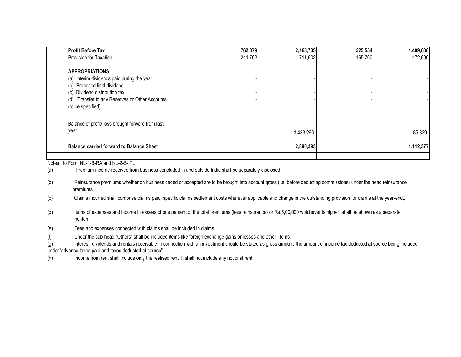| <b>Profit Before Tax</b>                          | 762,079                  | 2,168,735 | 525,554 | 1,499,638 |
|---------------------------------------------------|--------------------------|-----------|---------|-----------|
| Provision for Taxation                            | 244,702                  | 711,602   | 165,700 | 472,600   |
|                                                   |                          |           |         |           |
| <b>APPROPRIATIONS</b>                             |                          |           |         |           |
| (a) Interim dividends paid during the year        |                          |           |         |           |
| (b) Proposed final dividend                       |                          |           |         |           |
| (c) Dividend distribution tax                     |                          |           |         |           |
| Transfer to any Reserves or Other Accounts<br>(d) |                          |           |         |           |
| (to be specified)                                 |                          |           |         |           |
|                                                   |                          |           |         |           |
| Balance of profit/ loss brought forward from last |                          |           |         |           |
| vear                                              | $\overline{\phantom{a}}$ | 1,433,260 | ۰       | 85,339    |
|                                                   |                          |           |         |           |
| <b>Balance carried forward to Balance Sheet</b>   |                          | 2,890,393 |         | 1,112,377 |
|                                                   |                          |           |         |           |

Notes: to Form NL-1-B-RA and NL-2-B- PL

(a) Premium income received from business concluded in and outside India shall be separately disclosed.

(b) Reinsurance premiums whether on business ceded or accepted are to be brought into account gross (i.e. before deducting commissions) under the head reinsurance premiums.

(c) Claims incurred shall comprise claims paid, specific claims settlement costs wherever applicable and change in the outstanding provision for claims at the year-end,.

(d) Items of expenses and income in excess of one percent of the total premiums (less reinsurance) or Rs.5,00,000 whichever is higher, shall be shown as a separate line item.

(e) Fees and expenses connected with claims shall be included in claims.

(f) Under the sub-head "Others" shall be included items like foreign exchange gains or losses and other items.

(g) Interest, dividends and rentals receivable in connection with an investment should be stated as gross amount, the amount of income tax deducted at source being included under 'advance taxes paid and taxes deducted at source"..

(h) Income from rent shall include only the realised rent. It shall not include any notional rent.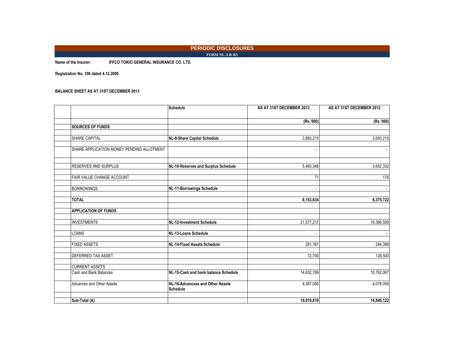#### **PERIODIC DISCLOSURES FORM NL-3-B-BS**

**Name of the Insurer: IFFCO TOKIO GENERAL INSURANCE CO. LTD.**

**Registration No. 106 dated 4.12.2000**

#### **BALANCE SHEET AS AT 31ST DECEMBER 2013**

|                                           | <b>Schedule</b>                                     | AS AT 31ST DECEMBER 2013 | AS AT 31ST DECEMBER 2012 |
|-------------------------------------------|-----------------------------------------------------|--------------------------|--------------------------|
|                                           |                                                     | (Rs.'000)                | (Rs.'000)                |
| <b>SOURCES OF FUNDS</b>                   |                                                     |                          |                          |
| SHARE CAPITAL                             | NL-8-Share Capital Schedule                         | 2,693,215                | 2,693,215                |
| SHARE APPLICATION MONEY PENDING ALLOTMENT |                                                     |                          |                          |
| RESERVES AND SURPLUS                      | NL-10-Reserves and Surplus Schedule                 | 5,460,348                | 3,682,332                |
| FAIR VALUE CHANGE ACCOUNT                 |                                                     | 71                       | 176                      |
| <b>BORROWINGS</b>                         | <b>NL-11-Borrowings Schedule</b>                    |                          |                          |
| <b>TOTAL</b>                              |                                                     | 8,153,634                | 6,375,722                |
| <b>APPLICATION OF FUNDS</b>               |                                                     |                          |                          |
| <b>INVESTMENTS</b>                        | NL-12-Investment Schedule                           | 21,577,217               | 19,366,509               |
| LOANS                                     | NL-13-Loans Schedule                                |                          |                          |
| <b>FIXED ASSETS</b>                       | <b>NL-14-Fixed Assets Schedule</b>                  | 281.161                  | 284,398                  |
| DEFERRED TAX ASSET                        |                                                     | 72,700                   | 128,500                  |
| <b>CURRENT ASSETS</b>                     |                                                     |                          |                          |
| Cash and Bank Balances                    | NL-15-Cash and bank balance Schedule                | 14,632,769               | 10,762,067               |
| Advances and Other Assets                 | NL-16-Advancxes and Other Assets<br><b>Schedule</b> | 4,387,050                | 4,078,056                |
| Sub-Total (A)                             |                                                     | 19,019,819               | 14,840,122               |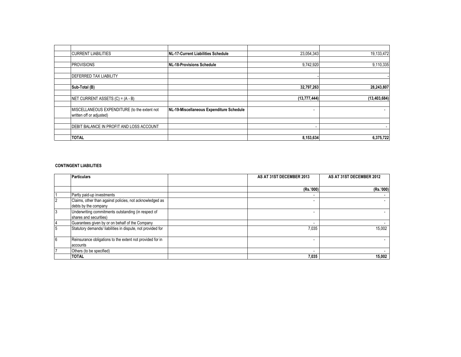| <b>CURRENT LIABILITIES</b>                   | <b>INL-17-Current Liabilities Schedule</b> | 23,054,343     | 19,133,472     |
|----------------------------------------------|--------------------------------------------|----------------|----------------|
|                                              |                                            |                |                |
| <b>PROVISIONS</b>                            | NL-18-Provisions Schedule                  | 9,742,920      | 9,110,335      |
|                                              |                                            |                |                |
| <b>DEFERRED TAX LIABILITY</b>                |                                            |                |                |
|                                              |                                            |                |                |
| Sub-Total (B)                                |                                            | 32,797,263     | 28,243,807     |
|                                              |                                            |                |                |
| NET CURRENT ASSETS (C) = (A - B)             |                                            | (13, 777, 444) | (13, 403, 684) |
|                                              |                                            |                |                |
| MISCELLANEOUS EXPENDITURE (to the extent not | NL-19-Miscellaneous Expenditure Schedule   |                |                |
| written off or adjusted)                     |                                            |                |                |
|                                              |                                            |                |                |
| DEBIT BALANCE IN PROFIT AND LOSS ACCOUNT     |                                            |                |                |
|                                              |                                            |                |                |
| <b>TOTAL</b>                                 |                                            | 8,153,634      | 6,375,722      |

#### **CONTINGENT LIABILITIES**

|    | <b>Particulars</b>                                                               | AS AT 31ST DECEMBER 2013 | AS AT 31ST DECEMBER 2012 |
|----|----------------------------------------------------------------------------------|--------------------------|--------------------------|
|    |                                                                                  |                          |                          |
|    |                                                                                  | (Rs.'000)                | (Rs.'000)                |
|    | Partly paid-up investments                                                       |                          |                          |
|    | Claims, other than against policies, not acknowledged as<br>debts by the company |                          |                          |
| 3  | Underwriting commitments outstanding (in respect of<br>shares and securities)    |                          |                          |
| 14 | Guarantees given by or on behalf of the Company                                  |                          |                          |
| 5  | Statutory demands/ liabilities in dispute, not provided for                      | 7,035                    | 15.002                   |
| 6  | Reinsurance obligations to the extent not provided for in<br>accounts            |                          |                          |
|    | Others (to be specified)                                                         |                          |                          |
|    | <b>TOTAL</b>                                                                     | 7,035                    | 15,002                   |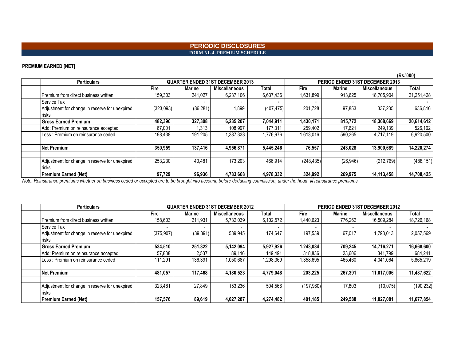#### **PERIODIC DISCLOSURES FORM NL-4- PREMIUM SCHEDULE**

### **PREMIUM EARNED [NET]**

|                                                |           |           |                                         |            |                                 |           |                      | (Rs.'000)  |
|------------------------------------------------|-----------|-----------|-----------------------------------------|------------|---------------------------------|-----------|----------------------|------------|
| <b>Particulars</b>                             |           |           | <b>QUARTER ENDED 31ST DECEMBER 2013</b> |            | PERIOD ENDED 31ST DECEMBER 2013 |           |                      |            |
|                                                | Fire      | Marine    | Miscellaneous                           | Total      | Fire                            | Marine    | <b>Miscellaneous</b> | Total      |
| Premium from direct business written           | 159,303   | 241,027   | 6,237,106                               | 6,637,436  | 1,631,899                       | 913,625   | 18,705,904           | 21,251,428 |
| IService Tax                                   |           |           |                                         |            |                                 |           |                      |            |
| Adjustment for change in reserve for unexpired | (323,093) | (86, 281) | 1,899                                   | (407, 475) | 201,728                         | 97,853    | 337,235              | 636,816    |
| risks                                          |           |           |                                         |            |                                 |           |                      |            |
| <b>Gross Earned Premium</b>                    | 482,396   | 327,308   | 6,235,207                               | 7,044,911  | 1,430,171                       | 815.772   | 18,368,669           | 20,614,612 |
| Add: Premium on reinsurance accepted           | 67.001    | 1,313     | 108,997                                 | 177,311    | 259,402                         | 17,621    | 249.139              | 526,162    |
| Less: Premium on reinsurance ceded             | 198,438   | 191,205   | 1,387,333                               | 1,776,976  | 1,613,016                       | 590,365   | 4,717,119            | 6,920,500  |
|                                                |           |           |                                         |            |                                 |           |                      |            |
| <b>Net Premium</b>                             | 350,959   | 137,416   | 4,956,871                               | 5,445,246  | 76,557                          | 243,028   | 13,900,689           | 14,220,274 |
|                                                |           |           |                                         |            |                                 |           |                      |            |
| Adjustment for change in reserve for unexpired | 253,230   | 40,481    | 173.203                                 | 466,914    | (248, 435)                      | (26, 946) | (212, 769)           | (488, 151) |
| risks                                          |           |           |                                         |            |                                 |           |                      |            |
| Premium Earned (Net)                           | 97.729    | 96,936    | 4.783.668                               | 4,978,332  | 324.992                         | 269.975   | 14.113.458           | 14,708,425 |

*Note: Reinsurance premiums whether on business ceded or accepted are to be brought into account, before deducting commission, under the head of reinsurance premiums.*

| <b>Particulars</b>                             |                          | <b>QUARTER ENDED 31ST DECEMBER 2012</b> |                      |           | PERIOD ENDED 31ST DECEMBER 2012 |         |                      |            |
|------------------------------------------------|--------------------------|-----------------------------------------|----------------------|-----------|---------------------------------|---------|----------------------|------------|
|                                                | Fire                     | Marine                                  | <b>Miscellaneous</b> | Total     | Fire                            | Marine  | <b>Miscellaneous</b> | Total      |
| Premium from direct business written           | 158,603                  | 211,931                                 | 5,732,039            | 6,102,572 | 1,440,623                       | 776,262 | 16,509,284           | 18,726,168 |
| Service Tax                                    | $\overline{\phantom{0}}$ |                                         |                      |           |                                 |         |                      |            |
| Adjustment for change in reserve for unexpired | (375, 907)               | (39, 391)                               | 589,945              | 174,647   | 197,539                         | 67,017  | 1,793,013            | 2,057,569  |
| <b>risks</b>                                   |                          |                                         |                      |           |                                 |         |                      |            |
| <b>Gross Earned Premium</b>                    | 534.510                  | 251,322                                 | 5,142,094            | 5,927,926 | 1,243,084                       | 709.245 | 14,716,271           | 16,668,600 |
| Add: Premium on reinsurance accepted           | 57,838                   | 2,537                                   | 89,116               | 149.491   | 318,836                         | 23,606  | 341,799              | 684,241    |
| Less : Premium on reinsurance ceded            | 111,291                  | 136,391                                 | 1,050,687            | 1,298,369 | 1,358,695                       | 465.460 | 4,041,064            | 5,865,219  |
|                                                |                          |                                         |                      |           |                                 |         |                      |            |
| <b>Net Premium</b>                             | 481.057                  | 117.468                                 | 4,180,523            | 4,779,048 | 203,225                         | 267,391 | 11.017.006           | 11,487,622 |
|                                                |                          |                                         |                      |           |                                 |         |                      |            |
| Adjustment for change in reserve for unexpired | 323,481                  | 27,849                                  | 153,236              | 504,566   | (197,960)                       | 17,803  | (10, 075)            | (190, 232) |
| risks                                          |                          |                                         |                      |           |                                 |         |                      |            |
| <b>Premium Earned (Net)</b>                    | 157,576                  | 89,619                                  | 4,027,287            | 4,274,482 | 401,185                         | 249,588 | 11,027,081           | 11,677,854 |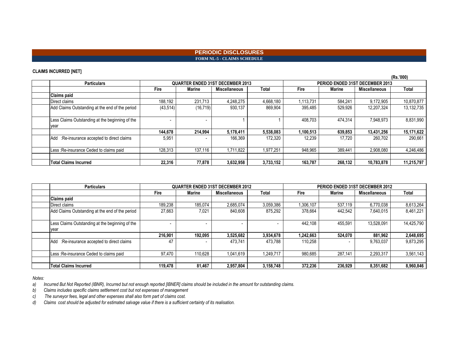### **PERIODIC DISCLOSURES FORM NL-5 - CLAIMS SCHEDULE**

### **CLAIMS INCURRED [NET]**

|                                                         |                                         |           |               |           |                                 |         |                      | (Rs.'000)  |
|---------------------------------------------------------|-----------------------------------------|-----------|---------------|-----------|---------------------------------|---------|----------------------|------------|
| <b>Particulars</b>                                      | <b>QUARTER ENDED 31ST DECEMBER 2013</b> |           |               |           | PERIOD ENDED 31ST DECEMBER 2013 |         |                      |            |
|                                                         | <b>Fire</b>                             | Marine    | Miscellaneous | Total     | Fire                            | Marine  | <b>Miscellaneous</b> | Total      |
| Claims paid                                             |                                         |           |               |           |                                 |         |                      |            |
| Direct claims                                           | 188,192                                 | 231,713   | 4,248,275     | 4,668,180 | 1,113,731                       | 584,241 | 9,172,905            | 10,870,877 |
| Add Claims Outstanding at the end of the period         | (43, 514)                               | (16, 719) | 930,137       | 869.904   | 395,485                         | 529,926 | 12,207,324           | 13,132,735 |
| Less Claims Outstanding at the beginning of the<br>year |                                         |           |               |           | 408,703                         | 474.314 | 7,948,973            | 8,831,990  |
|                                                         | 144.678                                 | 214.994   | 5,178,411     | 5,538,083 | 1,100,513                       | 639,853 | 13,431,256           | 15,171,622 |
| Add :Re-insurance accepted to direct claims             | 5,951                                   |           | 166,369       | 172.320   | 12.239                          | 17.720  | 260.702              | 290,661    |
| Less : Re-insurance Ceded to claims paid                | 128,313                                 | 137.116   | 1.711.822     | 1,977,251 | 948,965                         | 389,441 | 2,908,080            | 4,246,486  |
| <b>Total Claims Incurred</b>                            | 22,316                                  | 77.878    | 3,632,958     | 3,733,152 | 163,787                         | 268,132 | 10,783,878           | 11,215,797 |

| <b>Particulars</b>                              | <b>QUARTER ENDED 31ST DECEMBER 2012</b> |         |                      | PERIOD ENDED 31ST DECEMBER 2012 |           |               |                      |            |
|-------------------------------------------------|-----------------------------------------|---------|----------------------|---------------------------------|-----------|---------------|----------------------|------------|
|                                                 | <b>Fire</b>                             | Marine  | <b>Miscellaneous</b> | Total                           | Fire      | <b>Marine</b> | <b>Miscellaneous</b> | Total      |
| <b>Claims paid</b>                              |                                         |         |                      |                                 |           |               |                      |            |
| Direct claims                                   | 189,238                                 | 185,074 | 2,685,074            | 3,059,386                       | 1,306,107 | 537.119       | 6,770,038            | 8,613,264  |
| Add Claims Outstanding at the end of the period | 27.663                                  | 7,021   | 840.608              | 875.292                         | 378.664   | 442.542       | 7.640.015            | 8,461,221  |
| Less Claims Outstanding at the beginning of the |                                         |         |                      |                                 | 442.108   | 455,591       | 13,528,091           | 14,425,790 |
| vear                                            |                                         |         |                      |                                 |           |               |                      |            |
|                                                 | 216.901                                 | 192.095 | 3,525,682            | 3,934,678                       | 1,242,663 | 524.070       | 881.962              | 2,648,695  |
| Add : Re-insurance accepted to direct claims    | 47                                      |         | 473.741              | 473.788                         | 110,258   |               | 9,763,037            | 9,873,295  |
| Less : Re-insurance Ceded to claims paid        | 97.470                                  | 110.628 | 1.041.619            | 1,249,717                       | 980.685   | 287.141       | 2,293,317            | 3,561,143  |
|                                                 |                                         |         |                      |                                 |           |               |                      |            |
| <b>Total Claims Incurred</b>                    | 119.478                                 | 81,467  | 2,957,804            | 3,158,748                       | 372.236   | 236.929       | 8,351,682            | 8,960,846  |

*Notes:*

*a) Incurred But Not Reported (IBNR), Incurred but not enough reported [IBNER] claims should be included in the amount for outstanding claims.*

*b) Claims includes specific claims settlement cost but not expenses of management*

*c) The surveyor fees, legal and other expenses shall also form part of claims cost.*

*d) Claims cost should be adjusted for estimated salvage value if there is a sufficient certainty of its realisation.*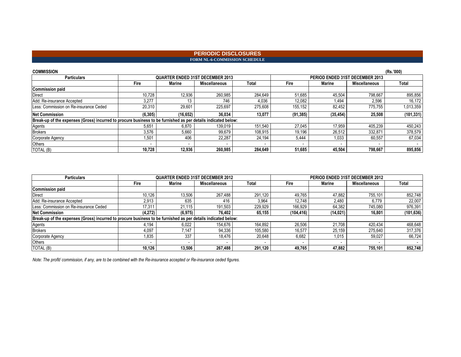#### **PERIODIC DISCLOSURES FORM NL-6-COMMISSION SCHEDULE**

| <b>COMMISSION</b>                                                                                             |          |                                         |                      |         |                                 |           |                      | (Rs.'000)    |
|---------------------------------------------------------------------------------------------------------------|----------|-----------------------------------------|----------------------|---------|---------------------------------|-----------|----------------------|--------------|
| <b>Particulars</b>                                                                                            |          | <b>QUARTER ENDED 31ST DECEMBER 2013</b> |                      |         | PERIOD ENDED 31ST DECEMBER 2013 |           |                      |              |
|                                                                                                               | Fire     | Marine                                  | <b>Miscellaneous</b> | Total   | Fire                            | Marine    | <b>Miscellaneous</b> | <b>Total</b> |
| <b>Commission paid</b>                                                                                        |          |                                         |                      |         |                                 |           |                      |              |
| <b>Direct</b>                                                                                                 | 10,728   | 12.936                                  | 260,985              | 284.649 | 51.685                          | 45,504    | 798.667              | 895,856      |
| Add: Re-insurance Accepted                                                                                    | 3.277    | 13                                      | 746                  | 4.036   | 12.082                          | 494.      | 2.596                | 16.172       |
| Less: Commission on Re-insurance Ceded                                                                        | 20,310   | 29.601                                  | 225.697              | 275.608 | 155.152                         | 82,452    | 775.755              | 1,013,359    |
| <b>Net Commission</b>                                                                                         | (6, 305) | (16, 652)                               | 36.034               | 13,077  | (91, 385)                       | (35, 454) | 25,508               | (101, 331)   |
| Break-up of the expenses (Gross) incurred to procure business to be furnished as per details indicated below: |          |                                         |                      |         |                                 |           |                      |              |
| Agents                                                                                                        | 5.651    | 6.870                                   | 139.019              | 151.540 | 27.045                          | 17.959    | 405.239              | 450,243      |
| <b>Brokers</b>                                                                                                | 3.576    | 5.660                                   | 99.679               | 108.915 | 19.196                          | 26,512    | 332.871              | 378,579      |
| Corporate Agency                                                                                              | 1.501    | 406                                     | 22,287               | 24,194  | 5,444                           | 1,033     | 60,557               | 67,034       |
| Others                                                                                                        |          | $\overline{\phantom{a}}$                |                      |         | $\overline{\phantom{a}}$        |           |                      |              |
| TOTAL (B)                                                                                                     | 10,728   | 12,936                                  | 260.985              | 284,649 | 51,685                          | 45.504    | 798.667              | 895,856      |

| <b>Particulars</b>                                                                                            |         | <b>QUARTER ENDED 31ST DECEMBER 2012</b> |                      |         |            | PERIOD ENDED 31ST DECEMBER 2012 |                      |            |  |
|---------------------------------------------------------------------------------------------------------------|---------|-----------------------------------------|----------------------|---------|------------|---------------------------------|----------------------|------------|--|
|                                                                                                               | Fire    | <b>Marine</b>                           | <b>Miscellaneous</b> | Total   | Fire       | Marine                          | <b>Miscellaneous</b> | Total      |  |
| <b>Commission paid</b>                                                                                        |         |                                         |                      |         |            |                                 |                      |            |  |
| Direct                                                                                                        | 10,126  | 13,506                                  | 267,488              | 291.120 | 49.765     | 47,882                          | 755.101              | 852,748    |  |
| Add: Re-insurance Accepted                                                                                    | 2,913   | 635                                     | 416                  | 3,964   | 12.748     | 2,480                           | 6.779                | 22,007     |  |
| Less: Commission on Re-insurance Ceded                                                                        | 17,311  | 21.115                                  | 191,503              | 229.929 | 166.929    | 64,382                          | 745.080              | 976,391    |  |
| <b>Net Commission</b>                                                                                         | (4,272) | (6, 975)                                | 76.402               | 65,155  | (104, 416) | (14, 021)                       | 16,801               | (101, 636) |  |
| Break-up of the expenses (Gross) incurred to procure business to be furnished as per details indicated below: |         |                                         |                      |         |            |                                 |                      |            |  |
| Agents                                                                                                        | 4,194   | 6,022                                   | 154,676              | 164.892 | 26,506     | 21,708                          | 420.434              | 468,648    |  |
| <b>Brokers</b>                                                                                                | 4,097   | 7.147                                   | 94,336               | 105.580 | 16.577     | 25.159                          | 275.640              | 317,376    |  |
| Corporate Agency                                                                                              | 1,835   | 337                                     | 18.476               | 20,648  | 6,682      | 1,015                           | 59,027               | 66,724     |  |
| Others                                                                                                        |         |                                         |                      |         |            |                                 |                      |            |  |
| TOTAL (B)                                                                                                     | 10.126  | 13.506                                  | 267.488              | 291.120 | 49.765     | 47.882                          | 755.101              | 852,748    |  |

*Note: The profit/ commission, if any, are to be combined with the Re-insurance accepted or Re-insurance ceded figures.*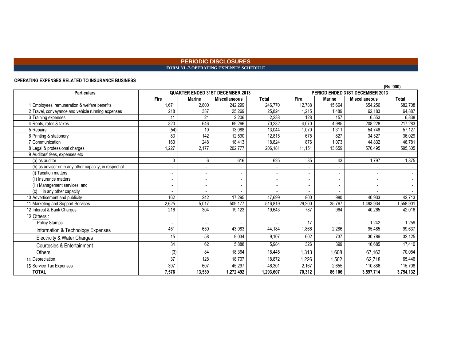### **PERIODIC DISCLOSURES FORM NL-7-OPERATING EXPENSES SCHEDULE**

#### **OPERATING EXPENSES RELATED TO INSURANCE BUSINESS**

|                                                        |                          |                                         |                      |                              |                                 |                          |                          | (Rs.'000)                |
|--------------------------------------------------------|--------------------------|-----------------------------------------|----------------------|------------------------------|---------------------------------|--------------------------|--------------------------|--------------------------|
| <b>Particulars</b>                                     |                          | <b>QUARTER ENDED 31ST DECEMBER 2013</b> |                      |                              | PERIOD ENDED 31ST DECEMBER 2013 |                          |                          |                          |
|                                                        | Fire                     | <b>Marine</b>                           | <b>Miscellaneous</b> | Total                        | Fire                            | <b>Marine</b>            | <b>Miscellaneous</b>     | <b>Total</b>             |
| Employees' remuneration & welfare benefits             | 1.671                    | 2,800                                   | 242,299              | 246,770                      | 12,788                          | 15,664                   | 654,256                  | 682,708                  |
| Travel, conveyance and vehicle running expenses        | 218                      | 337                                     | 25,269               | 25,824                       | 1,215                           | 1,489                    | 62,183                   | 64,887                   |
| Training expenses                                      | 11                       | 21                                      | 2.206                | 2.238                        | 128                             | 157                      | 6.553                    | 6.838                    |
| Rents, rates & taxes                                   | 320                      | 646                                     | 69,266               | 70,232                       | 4,070                           | 4,985                    | 208,228                  | 217,283                  |
| 5 Repairs                                              | (54)                     | 10                                      | 13,088               | 13,044                       | 1,070                           | 1,311                    | 54,746                   | 57,127                   |
| 6 Printing & stationery                                | 83                       | 142                                     | 12,590               | 12,815                       | 675                             | 827                      | 34,527                   | 36,029                   |
| Communication                                          | 163                      | 248                                     | 18,413               | 18,824                       | 876                             | 1.073                    | 44,832                   | 46,781                   |
| Legal & professional charges                           | .227                     | 2,177                                   | 202,777              | 206, 181                     | 11,151                          | 13.659                   | 570,495                  | 595,305                  |
| 9 Auditors' fees, expenses etc                         |                          |                                         |                      |                              |                                 |                          |                          |                          |
| (a) as auditor                                         | 3                        | 6                                       | 616                  | 625                          | 35                              | 43                       | 1,797                    | 1,875                    |
| (b) as adviser or in any other capacity, in respect of |                          |                                         |                      |                              |                                 |                          |                          |                          |
| (i) Taxation matters                                   | $\blacksquare$           |                                         |                      |                              |                                 | $\blacksquare$           | $\overline{\phantom{a}}$ |                          |
| (ii) Insurance matters                                 | $\overline{\phantom{a}}$ |                                         |                      | $\qquad \qquad \blacksquare$ |                                 | $\blacksquare$           |                          | $\blacksquare$           |
| (iii) Management services; and                         | $\overline{\phantom{a}}$ |                                         |                      |                              |                                 | $\overline{\phantom{a}}$ |                          | $\overline{\phantom{a}}$ |
| in any other capacity                                  |                          |                                         |                      |                              |                                 |                          |                          |                          |
| 10 Advertisement and publicity                         | 162                      | 242                                     | 17,295               | 17,699                       | 800                             | 980                      | 40,933                   | 42,713                   |
| 11 Marketing and Support Services                      | 2,625                    | 5.017                                   | 509,177              | 516,819                      | 29,200                          | 35,767                   | 1,493,934                | ,558,901                 |
| 12 Interest & Bank Charges                             | 216                      | 304                                     | 19,123               | 19.643                       | 787                             | 964                      | 40,265                   | 42,016                   |
| 13 Others:                                             |                          |                                         |                      |                              |                                 |                          |                          |                          |
| <b>Policy Stamps</b>                                   | $\overline{\phantom{a}}$ | $\overline{\phantom{a}}$                |                      |                              | 17                              | $\blacksquare$           | 1,242                    | 1,259                    |
| Information & Technology Expenses                      | 451                      | 650                                     | 43,083               | 44,184                       | 1,866                           | 2,286                    | 95,485                   | 99,637                   |
| Electricity & Water Charges                            | 15                       | 58                                      | 9,034                | 9,107                        | 602                             | 737                      | 30,786                   | 32,125                   |
| Courtesies & Entertainment                             | 34                       | 62                                      | 5,888                | 5,984                        | 326                             | 399                      | 16,685                   | 17,410                   |
| <b>Others</b>                                          | (3)                      | 84                                      | 18,364               | 18,445                       | 1,313                           | 1,608                    | 67,163                   | 70,084                   |
| 14 Depreciation                                        | 37                       | 128                                     | 18,707               | 18,872                       | ,226                            | 1,502                    | 62,718                   | 65,446                   |
| 15 Service Tax Expenses                                | 397                      | 607                                     | 45,297               | 46,301                       | 2,167                           | 2,655                    | 110,886                  | 115,708                  |
| <b>TOTAL</b>                                           | 7,576                    | 13,539                                  | 1,272,492            | 1,293,607                    | 70,312                          | 86,106                   | 3,597,714                | 3,754,132                |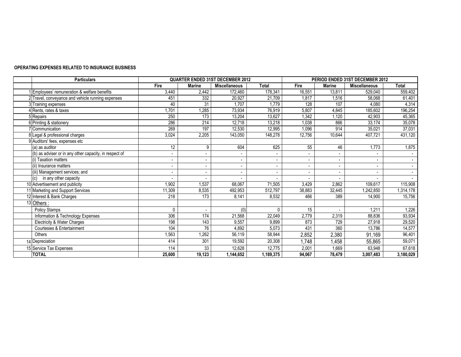#### **OPERATING EXPENSES RELATED TO INSURANCE BUSINESS**

| <b>Particulars</b>                                     | <b>QUARTER ENDED 31ST DECEMBER 2012</b> |               |                      | PERIOD ENDED 31ST DECEMBER 2012 |        |                          |                      |              |
|--------------------------------------------------------|-----------------------------------------|---------------|----------------------|---------------------------------|--------|--------------------------|----------------------|--------------|
|                                                        | Fire                                    | <b>Marine</b> | <b>Miscellaneous</b> | <b>Total</b>                    | Fire   | <b>Marine</b>            | <b>Miscellaneous</b> | <b>Total</b> |
| 1 Employees' remuneration & welfare benefits           | 3.440                                   | 2,442         | 172,460              | 178,341                         | 16,551 | 13.811                   | 529.040              | 559,402      |
| 2 Travel, conveyance and vehicle running expenses      | 451                                     | 332           | 20,927               | 21,709                          | 1,817  | 1,516                    | 58.068               | 61,401       |
| 3 Training expenses                                    | 40                                      | 31            | 1,707                | 1,779                           | 128    | 107                      | 4.080                | 4,314        |
| 4 Rents, rates & taxes                                 | 1,701                                   | 1,285         | 73,934               | 76,919                          | 5,807  | 4,845                    | 185,602              | 196,254      |
| 5 Repairs                                              | 250                                     | 173           | 13,204               | 13,627                          | 1,342  | 1,120                    | 42,903               | 45,365       |
| 6 Printing & stationery                                | 286                                     | 214           | 12,718               | 13,218                          | 1,038  | 866                      | 33,174               | 35,078       |
| 7 Communication                                        | 269                                     | 197           | 12,530               | 12,995                          | 1,096  | 914                      | 35,021               | 37,031       |
| 8 Legal & professional charges                         | 3,024                                   | 2,205         | 143,050              | 148,278                         | 12,756 | 10,644                   | 407,721              | 431,120      |
| 9 Auditors' fees, expenses etc                         |                                         |               |                      |                                 |        |                          |                      |              |
| (a) as auditor                                         | 12                                      | 9             | 604                  | 625                             | 55     | 46                       | 1,773                | 1,875        |
| (b) as adviser or in any other capacity, in respect of | $\blacksquare$                          |               | $\blacksquare$       |                                 |        | $\overline{\phantom{a}}$ |                      |              |
| (i) Taxation matters                                   | $\overline{\phantom{a}}$                |               | $\blacksquare$       |                                 |        | $\blacksquare$           |                      |              |
| (ii) Insurance matters                                 | $\overline{a}$                          |               | $\blacksquare$       |                                 |        | $\overline{\phantom{a}}$ |                      |              |
| (iii) Management services; and                         | $\blacksquare$                          |               | $\blacksquare$       |                                 |        | $\blacksquare$           |                      |              |
| in any other capacity<br>(c)                           |                                         |               |                      |                                 |        |                          |                      |              |
| 10 Advertisement and publicity                         | 902,                                    | 1,537         | 68,067               | 71,505                          | 3,429  | 2,862                    | 109.617              | 115,908      |
| 11 Marketing and Support Services                      | 11,309                                  | 8,535         | 492,953              | 512,797                         | 38,883 | 32,445                   | ,242,850             | 1,314,178    |
| 12 Interest & Bank Charges                             | 218                                     | 173           | 8,141                | 8,532                           | 466    | 389                      | 14,900               | 15,756       |
| 13 Others :                                            |                                         |               |                      |                                 |        |                          |                      |              |
| Policy Stamps                                          | $\mathbf{0}$                            |               | (0)                  | U                               | 15     |                          | 1,211                | 1,226        |
| Information & Technology Expenses                      | 306                                     | 174           | 21,568               | 22,049                          | 2,779  | 2,319                    | 88,836               | 93,934       |
| Electricity & Water Charges                            | 198                                     | 143           | 9,557                | 9,899                           | 873    | 729                      | 27,918               | 29,520       |
| <b>Courtesies &amp; Entertainment</b>                  | 104                                     | 76            | 4,892                | 5,073                           | 431    | 360                      | 13,786               | 14,577       |
| Others                                                 | 1,563                                   | 1,262         | 56,119               | 58,944                          | 2,852  | 2,380                    | 91,169               | 96,401       |
| 14 Depreciation                                        | 414                                     | 301           | 19,592               | 20,308                          | 1,748  | 1,458                    | 55,865               | 59,071       |
| 15 Service Tax Expenses                                | 114                                     | 33            | 12,628               | 12.775                          | 2,001  | 1,669                    | 63,948               | 67,618       |
| <b>TOTAL</b>                                           | 25,600                                  | 19,123        | 1,144,652            | 1,189,375                       | 94,067 | 78,479                   | 3,007,483            | 3,180,029    |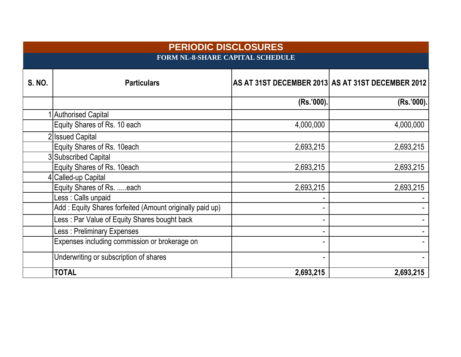|               | <b>PERIODIC DISCLOSURES</b><br><b>FORM NL-8-SHARE CAPITAL SCHEDULE</b> |           |                                                   |  |  |  |  |  |
|---------------|------------------------------------------------------------------------|-----------|---------------------------------------------------|--|--|--|--|--|
| <b>S. NO.</b> | <b>Particulars</b>                                                     |           | AS AT 31ST DECEMBER 2013 AS AT 31ST DECEMBER 2012 |  |  |  |  |  |
|               |                                                                        | (Rs.'000) | (Rs.'000).                                        |  |  |  |  |  |
|               | <b>Authorised Capital</b>                                              |           |                                                   |  |  |  |  |  |
|               | Equity Shares of Rs. 10 each                                           | 4,000,000 | 4,000,000                                         |  |  |  |  |  |
|               | <b>Issued Capital</b>                                                  |           |                                                   |  |  |  |  |  |
|               | Equity Shares of Rs. 10each                                            | 2,693,215 | 2,693,215                                         |  |  |  |  |  |
|               | 3 Subscribed Capital                                                   |           |                                                   |  |  |  |  |  |
|               | Equity Shares of Rs. 10each                                            | 2,693,215 | 2,693,215                                         |  |  |  |  |  |
|               | Called-up Capital                                                      |           |                                                   |  |  |  |  |  |
|               | Equity Shares of Rs. each                                              | 2,693,215 | 2,693,215                                         |  |  |  |  |  |
|               | Less : Calls unpaid                                                    |           |                                                   |  |  |  |  |  |
|               | Add: Equity Shares forfeited (Amount originally paid up)               |           |                                                   |  |  |  |  |  |
|               | Less: Par Value of Equity Shares bought back                           |           |                                                   |  |  |  |  |  |
|               | Less: Preliminary Expenses                                             |           |                                                   |  |  |  |  |  |
|               | Expenses including commission or brokerage on                          |           |                                                   |  |  |  |  |  |
|               | Underwriting or subscription of shares                                 |           |                                                   |  |  |  |  |  |
|               | <b>TOTAL</b>                                                           | 2,693,215 | 2,693,215                                         |  |  |  |  |  |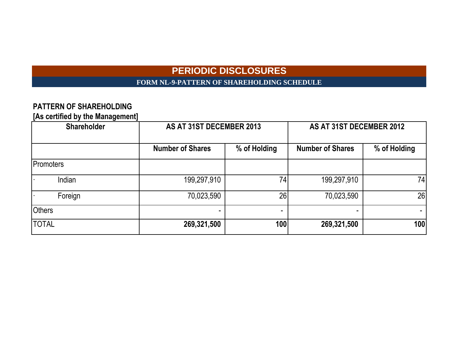# **PERIODIC DISCLOSURES**

**FORM NL-9-PATTERN OF SHAREHOLDING SCHEDULE**

# **PATTERN OF SHAREHOLDING**

**[As certified by the Management]**

| <b>Shareholder</b> | AS AT 31ST DECEMBER 2013 |                 | AS AT 31ST DECEMBER 2012 |              |  |
|--------------------|--------------------------|-----------------|--------------------------|--------------|--|
|                    | <b>Number of Shares</b>  | % of Holding    | <b>Number of Shares</b>  | % of Holding |  |
| Promoters          |                          |                 |                          |              |  |
| Indian             | 199,297,910              | 74 <sub>1</sub> | 199,297,910              | 74           |  |
| Foreign            | 70,023,590               | 26              | 70,023,590               | 26           |  |
| <b>Others</b>      |                          |                 |                          |              |  |
| <b>TOTAL</b>       | 269,321,500              | 100l            | 269,321,500              | 100          |  |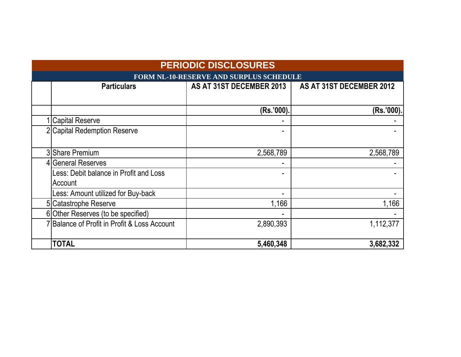| <b>PERIODIC DISCLOSURES</b>                    |                          |                          |  |  |  |  |  |
|------------------------------------------------|--------------------------|--------------------------|--|--|--|--|--|
| <b>FORM NL-10-RESERVE AND SURPLUS SCHEDULE</b> |                          |                          |  |  |  |  |  |
| <b>Particulars</b>                             | AS AT 31ST DECEMBER 2013 | AS AT 31ST DECEMBER 2012 |  |  |  |  |  |
|                                                |                          |                          |  |  |  |  |  |
|                                                | (Rs.'000).               | (Rs.'000)                |  |  |  |  |  |
| 1 Capital Reserve                              |                          |                          |  |  |  |  |  |
| 2 Capital Redemption Reserve                   | $\blacksquare$           |                          |  |  |  |  |  |
|                                                |                          |                          |  |  |  |  |  |
| 3 Share Premium                                | 2,568,789                | 2,568,789                |  |  |  |  |  |
| 4 General Reserves                             |                          |                          |  |  |  |  |  |
| Less: Debit balance in Profit and Loss         |                          |                          |  |  |  |  |  |
| Account                                        |                          |                          |  |  |  |  |  |
| Less: Amount utilized for Buy-back             |                          |                          |  |  |  |  |  |
| 5 Catastrophe Reserve                          | 1,166                    | 1,166                    |  |  |  |  |  |
| 6 Other Reserves (to be specified)             |                          |                          |  |  |  |  |  |
| 7 Balance of Profit in Profit & Loss Account   | 2,890,393                | 1,112,377                |  |  |  |  |  |
|                                                |                          |                          |  |  |  |  |  |
| <b>TOTAL</b>                                   | 5,460,348                | 3,682,332                |  |  |  |  |  |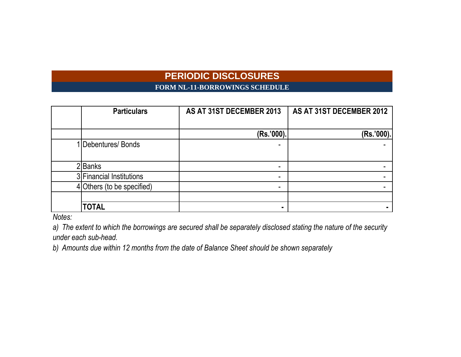# **PERIODIC DISCLOSURES**

**FORM NL-11-BORROWINGS SCHEDULE**

| <b>Particulars</b>         | AS AT 31ST DECEMBER 2013 | AS AT 31ST DECEMBER 2012 |
|----------------------------|--------------------------|--------------------------|
|                            |                          |                          |
|                            | (Rs.'000).               | (Rs.'000).               |
| 1 Debentures/ Bonds        |                          |                          |
| 2Banks                     |                          |                          |
| 3 Financial Institutions   |                          |                          |
| 4 Others (to be specified) | ۰.                       |                          |
|                            |                          |                          |
| <b>TOTAL</b>               |                          |                          |

*Notes:*

*a) The extent to which the borrowings are secured shall be separately disclosed stating the nature of the security under each sub-head.*

*b) Amounts due within 12 months from the date of Balance Sheet should be shown separately*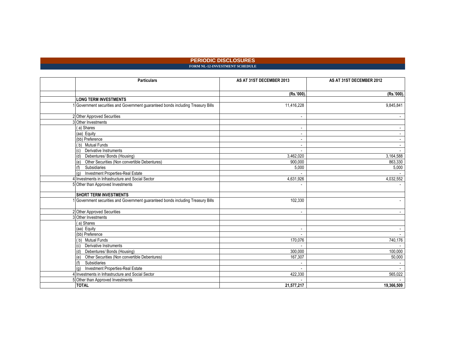#### **PERIODIC DISCLOSURES FORM NL-12-INVESTMENT SCHEDULE**

| <b>Particulars</b>                                                             | AS AT 31ST DECEMBER 2013 | AS AT 31ST DECEMBER 2012 |
|--------------------------------------------------------------------------------|--------------------------|--------------------------|
|                                                                                |                          |                          |
|                                                                                | (Rs.'000).               | (Rs.'000).               |
| <b>LONG TERM INVESTMENTS</b>                                                   |                          |                          |
| Government securities and Government guaranteed bonds including Treasury Bills | 11,416,228               | 9,845,841                |
| 2 Other Approved Securities                                                    |                          |                          |
| 3 Other Investments                                                            |                          |                          |
| (a) Shares                                                                     |                          |                          |
| (aa) Equity                                                                    |                          |                          |
| (bb) Preference                                                                |                          |                          |
| (b) Mutual Funds                                                               |                          |                          |
| Derivative Instruments<br>(c)                                                  |                          |                          |
| Debentures/ Bonds (Housing)                                                    | 3,462,020                | 3,164,588                |
| Other Securities (Non convertible Debentures)<br>(e)                           | 900,000                  | 863,330                  |
| Subsidiaries                                                                   | 5,000                    | 5,000                    |
| Investment Properties-Real Estate<br>(a)                                       |                          |                          |
| 4 Investments in Infrastructure and Social Sector                              | 4,631,926                | 4,032,552                |
| 5 Other than Approved Investments                                              |                          |                          |
| <b>SHORT TERM INVESTMENTS</b>                                                  |                          |                          |
| Government securities and Government guaranteed bonds including Treasury Bills | 102,330                  |                          |
| 2 Other Approved Securities                                                    | $\blacksquare$           |                          |
| 3 Other Investments                                                            |                          |                          |
| (a) Shares                                                                     |                          |                          |
| (aa) Equity                                                                    | $\sim$                   |                          |
| (bb) Preference                                                                | $\sim$                   |                          |
| (b) Mutual Funds                                                               | 170,076                  | 740,176                  |
| Derivative Instruments<br>(c)                                                  |                          |                          |
| Debentures/ Bonds (Housing)<br>(d)                                             | 300,000                  | 100,000                  |
| Other Securities (Non convertible Debentures)<br>(e)                           | 167,307                  | 50,000                   |
| Subsidiaries                                                                   | $\overline{a}$           |                          |
| Investment Properties-Real Estate<br>(a)                                       |                          |                          |
| 4 Investments in Infrastructure and Social Sector                              | 422,330                  | 565,022                  |
| 5 Other than Approved Investments                                              |                          |                          |
| <b>TOTAL</b>                                                                   | 21,577,217               | 19,366,509               |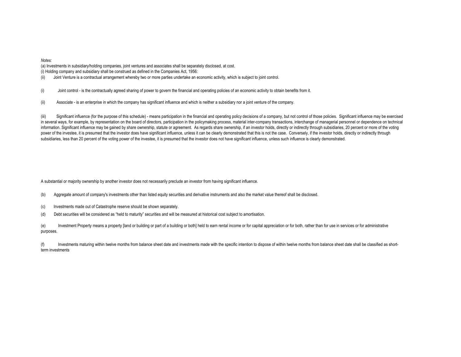*Notes:*

(i) Holding company and subsidiary shall be construed as defined in the Companies Act, 1956: (a) Investments in subsidiary/holding companies, joint ventures and associates shall be separately disclosed, at cost.

(ii) Joint Venture is a contractual arrangement whereby two or more parties undertake an economic activity, which is subject to joint control.

(i) Joint control - is the contractually agreed sharing of power to govern the financial and operating policies of an economic activity to obtain benefits from it.

(ii) Associate - is an enterprise in which the company has significant influence and which is neither a subsidiary nor a joint venture of the company.

(iii) Significant influence (for the purpose of this schedule) - means participation in the financial and operating policy decisions of a company, but not control of those policies. Significant influence may be exercised in several ways, for example, by representation on the board of directors, participation in the policymaking process, material inter-company transactions, interchange of managerial personnel or dependence on technical information. Significant influence may be gained by share ownership, statute or agreement. As regards share ownership, if an investor holds, directly or indirectly through subsidiaries, 20 percent or more of the voting power of the investee, it is presumed that the investor does have significant influence, unless it can be clearly demonstrated that this is not the case. Conversely, if the investor holds, directly or indirectly through subsidiaries, less than 20 percent of the voting power of the investee, it is presumed that the investor does not have significant influence, unless such influence is clearly demonstrated.

A substantial or majority ownership by another investor does not necessarily preclude an investor from having significant influence.

(b) Aggregate amount of company's investments other than listed equity securities and derivative instruments and also the market value thereof shall be disclosed.

- (c) Investments made out of Catastrophe reserve should be shown separately.
- (d) Debt securities will be considered as "held to maturity" securities and will be measured at historical cost subject to amortisation.

(e) Investment Property means a property [land or building or part of a building or both] held to earn rental income or for capital appreciation or for both, rather than for use in services or for administrative purposes.

(f) Investments maturing within twelve months from balance sheet date and investments made with the specific intention to dispose of within twelve months from balance sheet date shall be classified as shortterm investments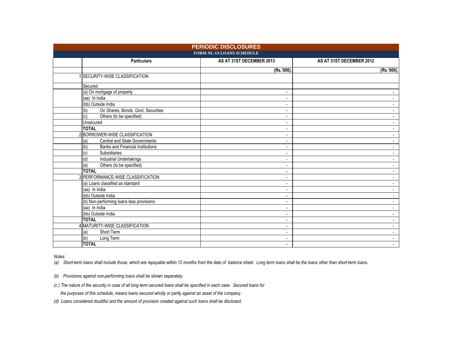| <b>PERIODIC DISCLOSURES</b><br>FORM NL-13-LOANS SCHEDULE |                                                           |                                            |                                                      |  |  |  |
|----------------------------------------------------------|-----------------------------------------------------------|--------------------------------------------|------------------------------------------------------|--|--|--|
|                                                          | <b>Particulars</b>                                        | AS AT 31ST DECEMBER 2013                   | AS AT 31ST DECEMBER 2012                             |  |  |  |
|                                                          |                                                           | (Rs.'000).                                 | (Rs.'000).                                           |  |  |  |
|                                                          | <b>ISECURITY-WISE CLASSIFICATION</b>                      |                                            |                                                      |  |  |  |
|                                                          | Secured                                                   |                                            |                                                      |  |  |  |
|                                                          | (a) On mortgage of property                               | $\blacksquare$                             |                                                      |  |  |  |
|                                                          | (aa) In India                                             | $\blacksquare$                             | $\blacksquare$                                       |  |  |  |
|                                                          | (bb) Outside India                                        | $\blacksquare$                             | $\sim$                                               |  |  |  |
|                                                          | (b)<br>On Shares, Bonds, Govt. Securities                 | $\overline{\phantom{a}}$                   | $\blacksquare$                                       |  |  |  |
|                                                          | Others (to be specified)<br>(c)                           | $\sim$                                     | $\overline{\phantom{a}}$                             |  |  |  |
|                                                          | Unsecured                                                 | $\overline{\phantom{a}}$                   | $\blacksquare$                                       |  |  |  |
|                                                          | <b>TOTAL</b>                                              | $\overline{\phantom{a}}$                   | $\overline{\phantom{a}}$                             |  |  |  |
|                                                          | 2 BORROWER-WISE CLASSIFICATION                            | $\overline{\phantom{a}}$                   | $\blacksquare$                                       |  |  |  |
|                                                          | Central and State Governments<br>(a)                      | $\overline{\phantom{a}}$                   | $\blacksquare$                                       |  |  |  |
|                                                          | (d)<br><b>Banks and Financial Institutions</b>            | $\blacksquare$                             | $\sim$                                               |  |  |  |
|                                                          | (c)<br>Subsidiaries                                       | $\overline{\phantom{a}}$                   | $\overline{\phantom{a}}$                             |  |  |  |
|                                                          | (d)<br><b>Industrial Undertakings</b>                     | $\overline{\phantom{a}}$                   | $\overline{\phantom{a}}$                             |  |  |  |
|                                                          | Others (to be specified)<br>(e)                           | $\overline{\phantom{a}}$                   | $\blacksquare$                                       |  |  |  |
|                                                          | <b>TOTAL</b>                                              | $\blacksquare$                             | $\blacksquare$                                       |  |  |  |
|                                                          | 3 PERFORMANCE-WISE CLASSIFICATION                         | $\blacksquare$                             |                                                      |  |  |  |
|                                                          | (a) Loans classified as standard                          | $\overline{\phantom{a}}$                   | $\overline{\phantom{a}}$                             |  |  |  |
|                                                          | (aa) In India                                             | $\blacksquare$                             | $\blacksquare$                                       |  |  |  |
|                                                          | (bb) Outside India                                        | $\overline{\phantom{a}}$                   | $\blacksquare$                                       |  |  |  |
|                                                          | (b) Non-performing loans less provisions<br>(aa) In India | $\blacksquare$                             | $\overline{\phantom{a}}$                             |  |  |  |
|                                                          |                                                           | $\overline{\phantom{a}}$                   |                                                      |  |  |  |
|                                                          | (bb) Outside India<br><b>TOTAL</b>                        | $\blacksquare$                             | $\overline{\phantom{a}}$<br>$\overline{\phantom{a}}$ |  |  |  |
|                                                          | 4 MATURITY-WISE CLASSIFICATION                            | $\blacksquare$                             |                                                      |  |  |  |
|                                                          | Short Term<br>(a)                                         | $\overline{\phantom{a}}$<br>$\blacksquare$ | $\overline{\phantom{a}}$<br>$\blacksquare$           |  |  |  |
|                                                          | (b)<br>Long Term                                          | $\blacksquare$                             | $\overline{\phantom{a}}$                             |  |  |  |
|                                                          | <b>TOTAL</b>                                              | $\sim$                                     | $\sim$                                               |  |  |  |
|                                                          |                                                           |                                            |                                                      |  |  |  |

*Notes:*

*(a) Short-term loans shall include those, which are repayable within 12 months from the date of balance sheet. Long term loans shall be the loans other than short-term loans.*

*(b) Provisions against non-performing loans shall be shown separately.*

*(c ) The nature of the security in case of all long term secured loans shall be specified in each case. Secured loans for*

 *the purposes of this schedule, means loans secured wholly or partly against an asset of the company.*

*(d) Loans considered doubtful and the amount of provision created against such loans shall be disclosed.*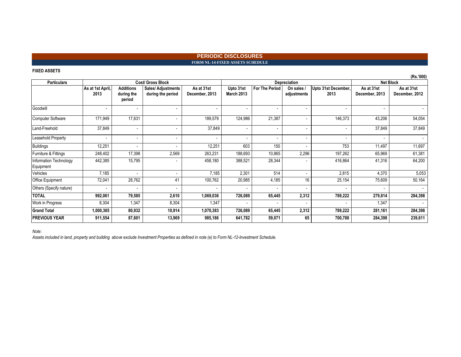#### **PERIODIC DISCLOSURES FORM NL-14-FIXED ASSETS SCHEDULE**

#### **FIXED ASSETS**

|                                     |                          |                                          |                                         |                              |                                |                          |                           |                             |                              | (Rs.'000)                    |
|-------------------------------------|--------------------------|------------------------------------------|-----------------------------------------|------------------------------|--------------------------------|--------------------------|---------------------------|-----------------------------|------------------------------|------------------------------|
| <b>Particulars</b>                  |                          |                                          | Cost/ Gross Block                       |                              |                                |                          | Depreciation              |                             | <b>Net Block</b>             |                              |
|                                     | As at 1st April,<br>2013 | <b>Additions</b><br>during the<br>period | Sales/ Adjustments<br>during the period | As at 31st<br>December, 2013 | Upto 31st<br><b>March 2013</b> | <b>For The Period</b>    | On sales /<br>adjustments | Upto 31st December,<br>2013 | As at 31st<br>December, 2013 | As at 31st<br>December, 2012 |
| Goodwill                            |                          |                                          | $\blacksquare$                          |                              | $\overline{\phantom{a}}$       | $\overline{\phantom{a}}$ |                           | $\overline{\phantom{0}}$    | $\blacksquare$               |                              |
| <b>Computer Software</b>            | 171,949                  | 17,631                                   | $\sim$                                  | 189,579                      | 124,986                        | 21,387                   |                           | 146,373                     | 43,206                       | 54,054                       |
| Land-Freehold                       | 37,849                   |                                          | $\blacksquare$                          | 37,849                       | $\overline{\phantom{a}}$       | $\overline{\phantom{a}}$ |                           | $\overline{\phantom{a}}$    | 37,849                       | 37,849                       |
| Leasehold Property                  | $\overline{\phantom{0}}$ | $\overline{\phantom{a}}$                 | $\blacksquare$                          |                              | $\overline{\phantom{a}}$       | $\overline{\phantom{a}}$ |                           | $\overline{\phantom{0}}$    | $\overline{\phantom{a}}$     |                              |
| <b>Buildings</b>                    | 12,251                   | $\overline{\phantom{0}}$                 | $\overline{\phantom{a}}$                | 12,251                       | 603                            | 150                      |                           | 753                         | 11,497                       | 11,697                       |
| Furniture & Fittings                | 248,402                  | 17,398                                   | 2,569                                   | 263,231                      | 188,693                        | 10,865                   | 2,296                     | 197,262                     | 65,969                       | 61,381                       |
| Information Technology<br>Equipment | 442,385                  | 15,795                                   |                                         | 458,180                      | 388,521                        | 28,344                   |                           | 416,864                     | 41,316                       | 64,200                       |
| Vehicles                            | 7,185                    | $\overline{\phantom{a}}$                 | $\blacksquare$                          | 7,185                        | 2,301                          | 514                      | $\overline{\phantom{a}}$  | 2,815                       | 4,370                        | 5,053                        |
| <b>Office Equipment</b>             | 72,041                   | 28,762                                   | 41                                      | 100,762                      | 20,985                         | 4,185                    | 16                        | 25,154                      | 75,609                       | 50,164                       |
| Others (Specify nature)             |                          | $\overline{\phantom{0}}$                 | $\overline{\phantom{0}}$                |                              | $\overline{\phantom{a}}$       | $\overline{\phantom{0}}$ |                           | $\overline{\phantom{a}}$    | $\overline{\phantom{a}}$     |                              |
| <b>TOTAL</b>                        | 992,061                  | 79,585                                   | 2,610                                   | 1,069,036                    | 726,089                        | 65,445                   | 2,312                     | 789,222                     | 279,814                      | 284,398                      |
| Work in Progress                    | 8,304                    | 1,347                                    | 8,304                                   | 1,347                        |                                |                          |                           |                             | 1,347                        |                              |
| <b>Grand Total</b>                  | 1,000,365                | 80,932                                   | 10,914                                  | 1,070,383                    | 726,089                        | 65,445                   | 2,312                     | 789,222                     | 281,161                      | 284,398                      |
| <b>PREVIOUS YEAR</b>                | 911,554                  | 87,601                                   | 13,969                                  | 985,186                      | 641,782                        | 59,071                   | 65                        | 700,788                     | 284,398                      | 239,611                      |

*Note:*

*Assets included in land, property and building above exclude Investment Properties as defined in note (e) to Form NL-12-Investment Schedule.*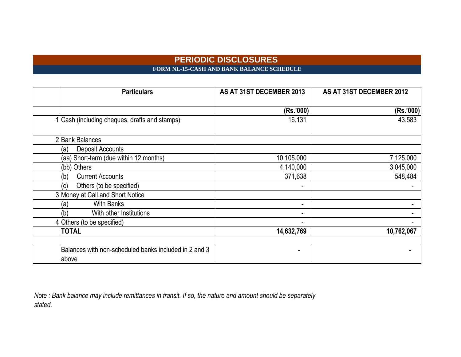# **PERIODIC DISCLOSURES FORM NL-15-CASH AND BANK BALANCE SCHEDULE**

| <b>Particulars</b>                                    | AS AT 31ST DECEMBER 2013 | AS AT 31ST DECEMBER 2012 |
|-------------------------------------------------------|--------------------------|--------------------------|
|                                                       |                          |                          |
|                                                       | (Rs.'000)                | (Rs.'000)                |
| 1 Cash (including cheques, drafts and stamps)         | 16,131                   | 43,583                   |
| 2 Bank Balances                                       |                          |                          |
| <b>Deposit Accounts</b><br>(a)                        |                          |                          |
| (aa) Short-term (due within 12 months)                | 10,105,000               | 7,125,000                |
| (bb) Others                                           | 4,140,000                | 3,045,000                |
| <b>Current Accounts</b><br>(b)                        | 371,638                  | 548,484                  |
| Others (to be specified)<br>(c)                       |                          |                          |
| 3 Money at Call and Short Notice                      |                          |                          |
| <b>With Banks</b><br>(a)                              | ۰.                       |                          |
| With other Institutions<br>(b)                        | Ξ.                       |                          |
| 4 Others (to be specified)                            |                          |                          |
| <b>TOTAL</b>                                          | 14,632,769               | 10,762,067               |
|                                                       |                          |                          |
| Balances with non-scheduled banks included in 2 and 3 |                          |                          |
| above                                                 |                          |                          |

*Note : Bank balance may include remittances in transit. If so, the nature and amount should be separately stated.*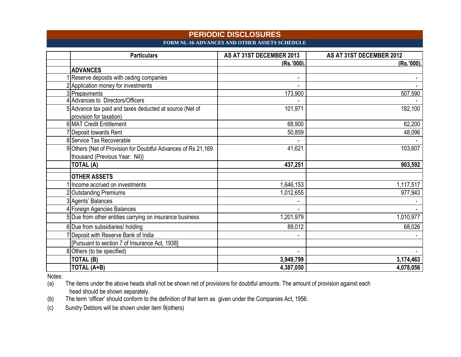### **PERIODIC DISCLOSURES FORM NL-16-ADVANCES AND OTHER ASSETS SCHEDULE**

| <b>Particulars</b>                                                                 | AS AT 31ST DECEMBER 2013 | AS AT 31ST DECEMBER 2012 |
|------------------------------------------------------------------------------------|--------------------------|--------------------------|
|                                                                                    | (Rs.'000)                | (Rs.'000).               |
| <b>ADVANCES</b>                                                                    |                          |                          |
| Reserve deposits with ceding companies                                             |                          |                          |
| 2 Application money for investments                                                |                          |                          |
| 3 Prepayments                                                                      | 173,900                  | 507,590                  |
| 4 Advances to Directors/Officers                                                   |                          |                          |
| 5 Advance tax paid and taxes deducted at source (Net of<br>provision for taxation) | 101,971                  | 182,100                  |
| 6 MAT Credit Entitlement                                                           | 68,900                   | 62,200                   |
| Deposit towards Rent                                                               | 50,859                   | 48,096                   |
| 8 Service Tax Recoverable                                                          |                          |                          |
| 9 Others {Net of Provision for Doubtful Advances of Rs 21,169                      | 41,621                   | 103,607                  |
| thousand (Previous Year: Nil)}                                                     |                          |                          |
| <b>TOTAL (A)</b>                                                                   | 437,251                  | 903,592                  |
| <b>OTHER ASSETS</b>                                                                |                          |                          |
| Income accrued on investments                                                      | 1,646,153                | 1,117,517                |
| 2 Outstanding Premiums                                                             | 1,012,655                | 977,943                  |
| 3 Agents' Balances                                                                 |                          |                          |
| 4 Foreign Agencies Balances                                                        |                          |                          |
| 5 Due from other entities carrying on insurance business                           | 1,201,979                | 1,010,977                |
| 6 Due from subsidiaries/ holding                                                   | 89,012                   | 68,026                   |
| Deposit with Reserve Bank of India                                                 |                          |                          |
| [Pursuant to section 7 of Insurance Act, 1938]                                     |                          |                          |
| 8 Others (to be specified)                                                         |                          |                          |
| TOTAL (B)                                                                          | 3,949,799                | 3,174,463                |
| TOTAL (A+B)                                                                        | 4,387,050                | 4,078,056                |

Notes:<br>(a)

The items under the above heads shall not be shown net of provisions for doubtful amounts. The amount of provision against each head should be shown separately.

(b) The term "officer" should conform to the definition of that term as given under the Companies Act, 1956.

(c) Sundry Debtors will be shown under item 9(others)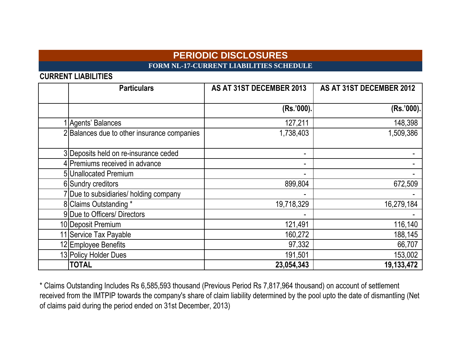# **PERIODIC DISCLOSURES FORM NL-17-CURRENT LIABILITIES SCHEDULE**

**CURRENT LIABILITIES**

| <b>Particulars</b>                          | AS AT 31ST DECEMBER 2013 | AS AT 31ST DECEMBER 2012 |
|---------------------------------------------|--------------------------|--------------------------|
|                                             | (Rs.'000).               | (Rs.'000).               |
| 1 Agents' Balances                          | 127,211                  | 148,398                  |
| 2 Balances due to other insurance companies | 1,738,403                | 1,509,386                |
| 3 Deposits held on re-insurance ceded       | ۰.                       |                          |
| 4 Premiums received in advance              | Ξ.                       |                          |
| 5 Unallocated Premium                       |                          |                          |
| 6 Sundry creditors                          | 899,804                  | 672,509                  |
| 7 Due to subsidiaries/ holding company      |                          |                          |
| 8 Claims Outstanding *                      | 19,718,329               | 16,279,184               |
| 9 Due to Officers/ Directors                |                          |                          |
| 10 Deposit Premium                          | 121,491                  | 116,140                  |
| 11 Service Tax Payable                      | 160,272                  | 188,145                  |
| 12 Employee Benefits                        | 97,332                   | 66,707                   |
| 13 Policy Holder Dues                       | 191,501                  | 153,002                  |
| <b>TOTAL</b>                                | 23,054,343               | 19,133,472               |

\* Claims Outstanding Includes Rs 6,585,593 thousand (Previous Period Rs 7,817,964 thousand) on account of settlement received from the IMTPIP towards the company's share of claim liability determined by the pool upto the date of dismantling (Net of claims paid during the period ended on 31st December, 2013)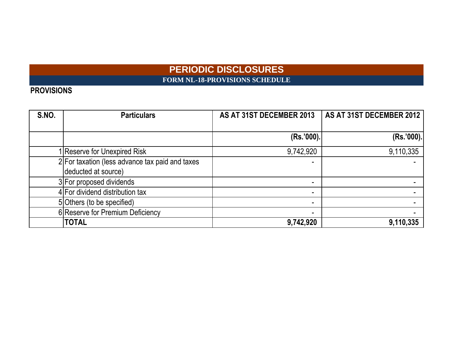# **PERIODIC DISCLOSURES FORM NL-18-PROVISIONS SCHEDULE**

# **PROVISIONS**

| S.NO. | <b>Particulars</b>                              | AS AT 31ST DECEMBER 2013 | AS AT 31ST DECEMBER 2012 |
|-------|-------------------------------------------------|--------------------------|--------------------------|
|       |                                                 |                          |                          |
|       |                                                 | (Rs.'000).               | (Rs.'000).               |
|       | Reserve for Unexpired Risk                      | 9,742,920                | 9,110,335                |
|       | 2 For taxation (less advance tax paid and taxes |                          |                          |
|       | deducted at source)                             |                          |                          |
|       | 3 For proposed dividends                        |                          |                          |
|       | 4 For dividend distribution tax                 |                          |                          |
|       | 5 Others (to be specified)                      |                          |                          |
|       | 6 Reserve for Premium Deficiency                |                          |                          |
|       | <b>TOTAL</b>                                    | 9,742,920                | 9,110,335                |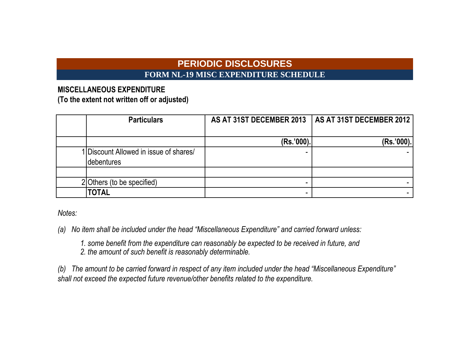# **PERIODIC DISCLOSURES FORM NL-19 MISC EXPENDITURE SCHEDULE**

# **MISCELLANEOUS EXPENDITURE**

**(To the extent not written off or adjusted)**

| <b>Particulars</b>                                   | AS AT 31ST DECEMBER 2013 | AS AT 31ST DECEMBER 2012 |
|------------------------------------------------------|--------------------------|--------------------------|
|                                                      | (Rs.'000).               | (Rs.'000).               |
| 1 Discount Allowed in issue of shares/<br>debentures |                          |                          |
|                                                      |                          |                          |
| 2 Others (to be specified)                           |                          |                          |
| <b>TOTAL</b>                                         |                          |                          |

*Notes:*

*(a) No item shall be included under the head "Miscellaneous Expenditure" and carried forward unless:*

*1. some benefit from the expenditure can reasonably be expected to be received in future, and*

*2. the amount of such benefit is reasonably determinable.*

*(b) The amount to be carried forward in respect of any item included under the head "Miscellaneous Expenditure" shall not exceed the expected future revenue/other benefits related to the expenditure.*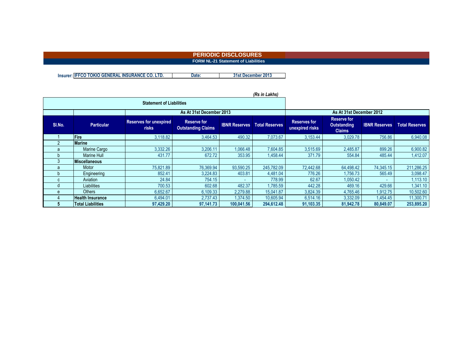#### **PERIODIC DISCLOSURES FORM NL-21 Statement of Liabilities**

**Insurer: IFFCO TOKIO GENERAL INSURANCE CO. LTD. Date: 31st December 2013**

|              |                          | <b>Statement of Liabilities</b>               |                                                 |                      |                          |                                        |                                                           |                      |                       |  |
|--------------|--------------------------|-----------------------------------------------|-------------------------------------------------|----------------------|--------------------------|----------------------------------------|-----------------------------------------------------------|----------------------|-----------------------|--|
|              |                          |                                               | As At 31st December 2013                        |                      | As At 31st December 2012 |                                        |                                                           |                      |                       |  |
| SI.No.       | <b>Particular</b>        | <b>Reserves for unexpired</b><br><b>risks</b> | <b>Reserve for</b><br><b>Outstanding Claims</b> | <b>IBNR Reserves</b> | <b>Total Reserves</b>    | <b>Reserves for</b><br>unexpired risks | <b>Reserve for</b><br><b>Outstanding</b><br><b>Claims</b> | <b>IBNR Reserves</b> | <b>Total Reserves</b> |  |
|              | Fire                     | 3,118.82                                      | 3,464.53                                        | 490.32               | 7,073.67                 | 3,153.44                               | 3,029.78                                                  | 756.86               | 6,940.08              |  |
|              | <b>Marine</b>            |                                               |                                                 |                      |                          |                                        |                                                           |                      |                       |  |
|              | Marine Cargo             | 3,332.26                                      | 3,206.11                                        | 1,066.48             | 7,604.85                 | 3,515.69                               | 2,485.87                                                  | 899.26               | 6,900.82              |  |
|              | Marine Hull              | 431.77                                        | 672.72                                          | 353.95               | 1,458.44                 | 371.79                                 | 554.84                                                    | 485.44               | 1,412.07              |  |
|              | <b>Miscellaneous</b>     |                                               |                                                 |                      |                          |                                        |                                                           |                      |                       |  |
| a            | Motor                    | 75.821.89                                     | 76,369.94                                       | 93,590.25            | 245.782.09               | 72.442.68                              | 64,498.42                                                 | 74,345.15            | 211,286.25            |  |
|              | Engineering              | 852.41                                        | 3.224.83                                        | 403.81               | 4.481.04                 | 776.26                                 | 1.756.73                                                  | 565.49               | 3,098.47              |  |
| $\mathbf{C}$ | Aviation                 | 24.84                                         | 754.15                                          |                      | 778.99                   | 62.67                                  | 1,050.42                                                  |                      | 1,113.10              |  |
|              | Liabilities              | 700.53                                        | 602.68                                          | 482.37               | 1,785.59                 | 442.28                                 | 469.16                                                    | 429.66               | 1,341.10              |  |
| e            | <b>Others</b>            | 6,652.67                                      | 6,109.33                                        | 2,279.88             | 15,041.87                | 3,824.39                               | 4,765.46                                                  | 1,912.75             | 10,502.60             |  |
|              | <b>Health Insurance</b>  | 6,494.01                                      | 2,737.43                                        | 1,374.50             | 10,605.94                | 6,514.16                               | 3,332.09                                                  | 1,454.45             | 11,300.71             |  |
|              | <b>Total Liabilities</b> | 97,429.20                                     | 97,141.73                                       | 100,041.56           | 294,612.48               | 91,103.35                              | 81,942.78                                                 | 80,849.07            | 253,895.20            |  |

#### *(Rs in Lakhs)*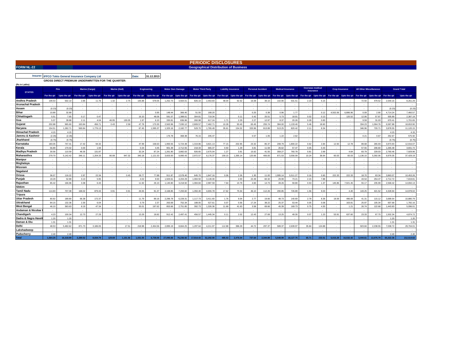| <b>FORM NL-22</b>                       |                |                                                    |              |                       |                          |                                                                                                                                                                                                                             |                          |                                    |           |                          |                  | <b>Geographical Distribution of Business</b> |                            |                          |                          |                                   |                          |                          |                                      |                          |                          |                          |          |                                |                    |                    |  |
|-----------------------------------------|----------------|----------------------------------------------------|--------------|-----------------------|--------------------------|-----------------------------------------------------------------------------------------------------------------------------------------------------------------------------------------------------------------------------|--------------------------|------------------------------------|-----------|--------------------------|------------------|----------------------------------------------|----------------------------|--------------------------|--------------------------|-----------------------------------|--------------------------|--------------------------|--------------------------------------|--------------------------|--------------------------|--------------------------|----------|--------------------------------|--------------------|--------------------|--|
|                                         |                |                                                    |              |                       |                          |                                                                                                                                                                                                                             |                          |                                    |           |                          |                  |                                              |                            |                          |                          |                                   |                          |                          |                                      |                          |                          |                          |          |                                |                    |                    |  |
| Insurer:                                |                | <b>IFFCO Tokio General Insurance Company Ltd</b>   |              |                       |                          |                                                                                                                                                                                                                             | Date:                    | 31.12.2013                         |           |                          |                  |                                              |                            |                          |                          |                                   |                          |                          |                                      |                          |                          |                          |          |                                |                    |                    |  |
|                                         |                | GROSS DIRECT PREMIUM UNDERWRITTEN FOR THE QUARTER: |              |                       |                          |                                                                                                                                                                                                                             |                          |                                    |           |                          |                  |                                              |                            |                          |                          |                                   |                          |                          |                                      |                          |                          |                          |          |                                |                    |                    |  |
| (Rs in Lakhs)                           |                |                                                    |              |                       |                          |                                                                                                                                                                                                                             |                          |                                    |           |                          |                  |                                              |                            |                          |                          |                                   |                          |                          |                                      |                          |                          |                          |          |                                |                    |                    |  |
|                                         | Fire           |                                                    |              | <b>Marine (Cargo)</b> |                          | <b>Marine (Hull)</b>                                                                                                                                                                                                        |                          | <b>Engineering</b>                 |           | <b>Motor Own Damage</b>  |                  | <b>Motor Third Party</b>                     | <b>Liability insurance</b> |                          | <b>Personal Accident</b> |                                   | <b>Medical Insurance</b> |                          | <b>Overseas medical</b><br>Insurance |                          |                          | <b>Crop Insurance</b>    |          | <b>All Other Miscellaneous</b> |                    | <b>Grand Total</b> |  |
| <b>STATES</b>                           | For the qtr    | Upto the qtr                                       |              |                       |                          | For the qtr   Upto the qtr   For the qtr   Upto the qtr   Upto the qtr   Upto the qtr   Upto the qtr   Upto the qtr   Upto the qtr   Upto the qtr   Upto the qtr   Upto the qtr   Upto the qtr   Upto the qtr   For the qtr |                          |                                    |           |                          |                  |                                              |                            |                          |                          |                                   |                          |                          |                                      |                          |                          |                          |          |                                |                    | Upto the qtr       |  |
| <b>Andhra Pradesh</b>                   | 109.53         | 502.10                                             | 2.85         | 11.76                 | 1.32                     | 2.75                                                                                                                                                                                                                        | 105.88                   | 579.05                             | 1.252.73  | 3.564.01                 | 826.10           | 2.453.83                                     | 48.04                      | 92.52                    | 16.08                    | 39.10                             | 102.90                   | 531.51                   | 2.23                                 | 5.15                     |                          |                          | 72.50    | 479.52                         | 2.540.16           | 8.261.29           |  |
| <b>Arunachal Pradesh</b>                |                |                                                    |              |                       |                          |                                                                                                                                                                                                                             |                          |                                    |           |                          |                  |                                              |                            |                          |                          |                                   |                          |                          |                                      |                          |                          |                          |          |                                |                    | $\sim$             |  |
| Assam                                   | (0.23)         | (0.23)                                             | $\sim$       | ۰.                    | $\sim$                   |                                                                                                                                                                                                                             | $\overline{\phantom{a}}$ | $\overline{\phantom{a}}$           |           |                          | $\sim$           |                                              | $\overline{\phantom{a}}$   | $\sim$                   | $\sim$                   | $\sim$                            |                          | $\overline{a}$           | <b>1999</b>                          | $\sim$                   |                          |                          |          |                                | (0.23)             | (0.23)             |  |
| <b>Bihar</b>                            | 10.89          | 32.89                                              |              |                       | $\overline{\phantom{a}}$ |                                                                                                                                                                                                                             | $\overline{\phantom{a}}$ | 0.95                               | 148.44    | 366.40                   | 51.55            | 168.20                                       | $\overline{\phantom{a}}$   | $\overline{\phantom{a}}$ | 0.25                     | 0.38                              | 0.96                     | 1.77                     | <b>1999</b>                          | 0.12                     | 4.502.06                 | 6.886.9                  | 0.09     | 2.90                           | 4,714.24           | 7.460.57           |  |
| Chhattisgarh                            | 5.51           | 7.65                                               | 0.17         | 0.47                  | $\sim$                   | $\sim$                                                                                                                                                                                                                      | 16.10                    | 48.06                              | 591.07    | 1.388.61                 | 304.81           | 719.34                                       | $\overline{\phantom{a}}$   | 0.11                     | 0.42                     | 25.51                             | 5.73                     | 18.91                    | 0.02                                 | 0.13                     |                          | 120.52                   | 12.06    | 57.87                          | 935.89             | 2.387.19           |  |
| Goa                                     | 5.37           | 39.88                                              | 2.11         | 4.04                  | 46.95                    | 130.05                                                                                                                                                                                                                      | 1.97                     | 6.10                               | 330.81    | 836.96                   | 260.98           | 617.24                                       | 1.71                       | 2.29                     | 2.27                     | 12.97                             | 8.37                     | 20.26                    | 0.28                                 | 0.83                     |                          |                          | 9.59     | 31.03                          | 670.41             | 1,701.65           |  |
| Gujarat                                 | 202.88         | 965.60                                             | 163 84       | 456 71                | 0.43                     | 2.58                                                                                                                                                                                                                        | 4778                     | 170.30                             | 2.563.96  | 7 030 12                 | 2809.57          | 7 462 71                                     | 10.28                      | 93.40                    | 65 45                    | 255 74                            | 384.00                   | 1.133.40                 | 546                                  | 18.60                    |                          |                          | 334 23   | 1 064 76                       | 6.587.88           | 18 653 90          |  |
| Harvana                                 | 154 51         | 1 282 71                                           | 569.84       | 1 776 13              | $\overline{\phantom{a}}$ |                                                                                                                                                                                                                             | 6745                     | 1.595.37                           | 1.325.16  | 2 182 77                 | 529.70           | 1 765 49                                     | 35.61                      | 154 32                   | 333.96                   | 813.89                            | 513.25                   | 820.42                   | 2 1 1                                | 8.34                     |                          |                          | 346.96   | 720.71                         | 3 878 55           | 11.120.15          |  |
| Himachal Pradesh                        | 4.15           | 4.15                                               |              |                       | .                        |                                                                                                                                                                                                                             |                          |                                    |           |                          |                  |                                              | $\overline{\phantom{a}}$   |                          |                          |                                   |                          | $\sim$                   |                                      | $\sim$                   |                          |                          |          |                                | 4.15               | 4.15               |  |
| Jammu & Kashmir                         | (2.26)         | (2.26)                                             |              |                       |                          |                                                                                                                                                                                                                             |                          | $\overline{\phantom{a}}$           | 176.78    | 368.38                   | 76.15            | 205.47                                       | $\overline{\phantom{a}}$   |                          | 0.57                     | 1.05                              | 1.22                     | 2.62                     |                                      | $\overline{\phantom{a}}$ |                          | $\overline{\phantom{a}}$ | 0.21     | 0.67                           | 252.67             | 575.92             |  |
| Jharkhand                               | (0.75)         | (0.75)                                             |              |                       |                          |                                                                                                                                                                                                                             |                          | $\overline{\phantom{a}}$           |           |                          |                  |                                              |                            |                          |                          |                                   |                          | ÷                        |                                      |                          |                          |                          |          |                                | (0.75)             | (0.75)             |  |
| Karnataka                               | 183.05         | 747.41                                             | 17.42        | 94.32                 |                          |                                                                                                                                                                                                                             | 47.99                    | 158.63                             | 1.993.55  | 5.724.48                 | 1.319.86         | 3.821.13                                     | 77.15                      | 202.95                   | 23.32                    | 85.37                             | 208.79                   | 1.800.22                 | 0.62                                 | 2.84                     | 12.50                    | 12.78                    | 89.68    | 265.93                         | 3.973.93           | 12.916.07          |  |
| Kerala                                  | 56.89          | 170.02                                             | 0.00         | 1.94                  | .                        |                                                                                                                                                                                                                             | 0.34                     | 4.45                               | 901.39    | 2.712.55                 | 218.33           | 665.37                                       | 0.50                       | 1.29                     | 3.81                     | 11.59                             | 26.62                    | 57.47                    | 0.05                                 | 0.43                     |                          |                          | 57.55    | 206.60                         | 1.265.48           | 3.831.72           |  |
| Madhya Pradesh                          | 30.56          | 110.59                                             | 48.35        | 131.87                | .                        |                                                                                                                                                                                                                             | 32.24                    | 87.24                              | 1,261.90  | 3.882.63                 | 926.65           | 2,675.04                                     | 1.27                       | 3.91                     | 15.62                    | 41.55                             | 359.27                   | 760.78                   | 0.81                                 | 2.69                     |                          | 4.64                     | 83.79    | 229.03                         | 2,760.46           | 7,929.96           |  |
| Maharasthra                             | 279.70         | 5.142.42                                           | 346.11       | 1.204.33              | 80.08                    | 947.32                                                                                                                                                                                                                      | 340.18                   | 1.121.53                           | 3,603.00  | 9.990.43                 | 2.972.57         | 8.176.37                                     | 159.15                     | 1.395.14                 | 120.66                   | 406.83                            | 871.53                   | 3,556.09                 | 10.24                                | 36.64                    | 60.03                    | 60.03                    | 1.136.10 | 5.392.06                       | 9.979.35           | 37.429.19          |  |
| <b>Manipur</b>                          | $\sim$         | $\sim$                                             |              | $\sim$                | $\sim$                   | $\sim$                                                                                                                                                                                                                      | $\overline{\phantom{a}}$ | $\overline{\phantom{a}}$           |           | $\overline{\phantom{a}}$ | $\sim$           |                                              | $\overline{\phantom{a}}$   |                          | $\overline{\phantom{a}}$ |                                   |                          | $\overline{\phantom{a}}$ |                                      | $\sim$                   | $\overline{\phantom{a}}$ |                          |          |                                | $\sim$             | $\sim$             |  |
| Meghalaya                               |                | $\sim$                                             |              |                       |                          |                                                                                                                                                                                                                             |                          |                                    |           |                          | $\sim$           |                                              | $\overline{\phantom{a}}$   |                          |                          |                                   |                          | $\sim$                   |                                      | $\sim$                   |                          |                          |          |                                | $\sim$             | $\sim$             |  |
| Mizoram                                 |                | $\sim$                                             |              |                       |                          |                                                                                                                                                                                                                             |                          | $\overline{\phantom{a}}$           |           |                          |                  |                                              |                            |                          |                          |                                   |                          |                          |                                      |                          |                          |                          |          |                                |                    | $\sim$             |  |
| Nagaland                                | $\sim$         | $\sim$                                             |              |                       | $\overline{\phantom{a}}$ |                                                                                                                                                                                                                             |                          | $\overline{\phantom{a}}$           |           |                          |                  |                                              | $\overline{\phantom{a}}$   |                          | $\sim$                   |                                   |                          | $\overline{\phantom{a}}$ |                                      | $\sim$                   |                          | $\sim$                   |          |                                | $\sim$             | $\sim$             |  |
| Orissa                                  | 36.07          | 116.22                                             | 2.97         | 22.34                 |                          | 0.45                                                                                                                                                                                                                        | 28.77                    | 77.88                              | 911.87    | 2.578.40                 | 645.70           | 1.847.16                                     | 0.06                       | 2.26                     | 1.30                     | 11.00                             | 1.995.14                 | 5.511.27                 | 0.16                                 | 0.60                     | 222.33                   | 222.33                   | 18.70    | 63.34                          | 3.863.07           | 10.453.26          |  |
| Punjab                                  | 19.29          | 52.89                                              | 3.13         | 5.95                  |                          |                                                                                                                                                                                                                             | 4.02                     | 9.50                               | 1.503.61  | 4.204.29                 | 1.084.50         | 3,149.30                                     |                            | 2.00                     | 22.49                    | 60.32                             | 29.99                    | 73.21                    | 2.15                                 | 7.88                     |                          |                          | 43.54    | 254.47                         | 2,712.72           | 7,819.81           |  |
| Rajasthan                               | 85.42          | 166.96                                             | 3.38         | 6.43                  | $\sim$                   | $\sim$                                                                                                                                                                                                                      | 11.92                    | 26.10                              | 1.140.80  | 3.218.92                 | 1.084.84         | 2.987.59                                     | 7.64                       | 10.79                    | 4.60                     | 14.73                             | 28.26                    | 59.80                    | 0.53                                 | 1.37                     | 145.86                   | 7.921.45                 | 55.17    | 235.99                         | 2.568.42           | 14,650.13          |  |
| <b>Sikkim</b>                           |                |                                                    |              |                       |                          |                                                                                                                                                                                                                             |                          |                                    |           |                          |                  |                                              |                            |                          |                          |                                   |                          |                          |                                      |                          |                          |                          |          |                                |                    |                    |  |
| <b>Tamil Nadu</b>                       | 114.83         | 707.08                                             | 168.02       | 879.43                | 0.91                     | 0.91                                                                                                                                                                                                                        | 26.55                    | 91.37                              | 2.168.8   | 7,293.82                 | 1.350.40         | 4.655.78                                     | 17.62                      | 75.54                    | 46.1                     | 112.26                            | 290.85                   | 726.89                   | 1.56                                 | 9.03                     |                          | 4.40                     | 143.25   | 421.52                         | 4,328.94           | 14,978.02          |  |
| <b>Tripura</b>                          | $\sim$         | $\sim$                                             |              |                       | $\sim$                   |                                                                                                                                                                                                                             |                          |                                    |           |                          |                  |                                              |                            |                          |                          |                                   |                          | $\sim$                   |                                      |                          |                          |                          |          |                                | $\sim$             | $\sim$             |  |
| <b>Uttar Pradesh</b>                    | 80.92          | 189.80                                             | 66.38        | 172.37                | $\sim$                   | $\sim$                                                                                                                                                                                                                      | 11.79                    | 89.16                              | 2,296.78  | 6.228.31                 | 1.117.73         | 3.411.60                                     | 1.76                       | 9.04                     | 2.77                     | 19.66                             | 48.73                    | 140.69                   | 2.78                                 | 8.36                     | 18.59                    | 496.69                   | 41.31    | 115.12                         | 3.689.54           | 10,880.79          |  |
| Uttrakhand                              | 84.15<br>46.10 | 132.36                                             | 2.30<br>8.19 | 6.04<br>47.34         | $\sim$                   |                                                                                                                                                                                                                             | 0.79                     | 2.37                               | 263.69    | 752.34                   | 188.05           | 527.61                                       | 0.07<br>11.68              | 0.56<br>41.63            | 17.24                    | 38.22                             | 25.37                    | 53.44                    | 0.05                                 | 0.08<br>4.30             |                          | 163.81                   | 25.97    | 105.34                         | 607.68<br>1.443.83 | 1,782.16           |  |
| <b>West Bengal</b><br>Andaman & Nicobar | $\sim$         | 363.63<br>$\sim$                                   |              | . .                   | $\sim$<br>. .            |                                                                                                                                                                                                                             | 55.01                    | 197.62<br>$\overline{\phantom{a}}$ | 853.66    | 2,751.85                 | 392.73<br>$\sim$ | 1,326.36                                     | $\overline{\phantom{a}}$   |                          | 3.58<br>٠.               | 69.66<br>$\overline{\phantom{a}}$ | 45.39                    | 169.73<br>$\sim$         | 0.75                                 | $\sim$                   | $\overline{\phantom{a}}$ | 1.21                     | 26.74    | 122.68                         | $\sim$             | 5,096.01<br>$\sim$ |  |
| Chandigarh                              | 4.23           | 100.34                                             | 12.73        | 27.29                 | .                        |                                                                                                                                                                                                                             | 13.29                    | 18.82                              | 912.42    | 2.497.41                 | 456.57           | 1.445.34                                     | 0.11                       | 2.02                     | 12.43                    | 27.69                             | 13.25                    | 49.30                    | 0.07                                 | 1.23                     | 53.91                    | 637.60                   | 23.33    | 67.70                          | 1.502.34           | 4,874.72           |  |
| Dadra & Nagra Havel                     | 1.20           | 1.20                                               |              |                       |                          |                                                                                                                                                                                                                             |                          |                                    |           |                          |                  |                                              | $\overline{\phantom{a}}$   |                          |                          |                                   |                          | ÷                        |                                      |                          |                          |                          |          |                                | 1.20               | 1.20               |  |
| Daman & Diu                             | 1.31           | 1.31                                               | $\sim$       | $\sim$                | $\sim$                   | $\sim$                                                                                                                                                                                                                      | $\overline{\phantom{a}}$ | $\overline{\phantom{a}}$           |           | $\overline{\phantom{a}}$ | $\sim$           |                                              | $\overline{\phantom{a}}$   | $\overline{\phantom{a}}$ | $\overline{\phantom{a}}$ | $\overline{\phantom{a}}$          | $\sim$                   | ٠.                       |                                      | $\sim$                   |                          | ٠.                       |          |                                | 1.31               | 1.31               |  |
| Delhi                                   | 48.53          | 5.482.62                                           | 871.73       | 3.186.05              |                          | 17.51                                                                                                                                                                                                                       | 218.98                   | 2.454.56                           | 2.895.19  | 8.664.25                 | 1.297.64         | 4.211.97                                     | 112.88                     | 386.29                   | 44.72                    | 297.37                            | 589.37                   | 2.639.97                 | 35.84                                | 124.88                   |                          |                          | 923.84   | 2.238.55                       | 7.038.72           | 29.704.01          |  |
| Lakshadweep                             |                |                                                    |              |                       |                          |                                                                                                                                                                                                                             |                          |                                    |           |                          |                  |                                              |                            |                          |                          |                                   |                          |                          |                                      |                          |                          |                          |          |                                |                    |                    |  |
| Puducherry                              | 2.40           | 2.40                                               |              |                       | $\sim$                   |                                                                                                                                                                                                                             | $\overline{\phantom{a}}$ | $\overline{\phantom{a}}$           |           |                          | ٠.               |                                              | $\overline{\phantom{a}}$   |                          |                          |                                   |                          | ٠                        |                                      | $\sim$                   |                          |                          |          |                                | 2.40               | 2.40               |  |
| <b>Total</b>                            | 1.564.25       | 16.318.99                                          | 2.289.52     | 8.034.79              | 129.69                   | 1.101.56                                                                                                                                                                                                                    | 1.031.05                 | 6.739.06                           | 27.095.66 | 76.236.92                | 17.914.43        | 52.292.90                                    | 485.53                     | 2.476.04                 | 737.64                   | 2.344.89                          | 5.548.99                 | 18.127.75                | 65.71                                | 233.51                   | 5.015.28                 | 16.532.42                | 3.444.61 | 12.075.79                      | 65.322.36          | 212.514.62         |  |

**PERIODIC DISCLOSURES PERIODIC DISCLOSURES**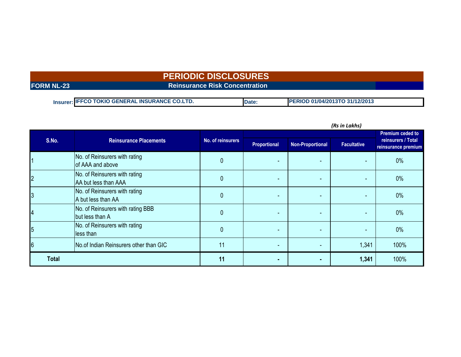# **PERIODIC DISCLOSURES**

### **FORM NL-23 Reinsurance Risk Concentration**

| Insurer: IFFCO TOKIO GENERAL INSURANCE CO.LTD. | <b>Date</b> | 01/04/2013TO 31/12/2013<br><b>PERIOD</b> |
|------------------------------------------------|-------------|------------------------------------------|

| (KS IN LAKNS)  |                                                       |                   |                          |                          |       |                                           |  |  |
|----------------|-------------------------------------------------------|-------------------|--------------------------|--------------------------|-------|-------------------------------------------|--|--|
|                |                                                       |                   |                          |                          |       | <b>Premium ceded to</b>                   |  |  |
| S.No.          | <b>Reinsurance Placements</b>                         | No. of reinsurers | Proportional             | <b>Non-Proportional</b>  |       | reinsurers / Total<br>reinsurance premium |  |  |
|                | No. of Reinsurers with rating<br>of AAA and above     | 0                 |                          |                          |       | $0\%$                                     |  |  |
| $\overline{c}$ | No. of Reinsurers with rating<br>AA but less than AAA | 0                 |                          | $\overline{\phantom{0}}$ |       | $0\%$                                     |  |  |
| 3              | No. of Reinsurers with rating<br>A but less than AA   |                   |                          | $\overline{\phantom{0}}$ |       | $0\%$                                     |  |  |
| 4              | No. of Reinsurers with rating BBB<br>but less than A  | 0                 |                          |                          |       | $0\%$                                     |  |  |
| $\overline{5}$ | No. of Reinsurers with rating<br>less than            | 0                 | $\overline{\phantom{a}}$ | $\overline{\phantom{0}}$ | ٠     | $0\%$                                     |  |  |
| 6              | No.of Indian Reinsurers other than GIC                | 11                |                          |                          | 1,341 | 100%                                      |  |  |
| <b>Total</b>   |                                                       | 11                |                          |                          | 1,341 | 100%                                      |  |  |

*(Rs in Lakhs)*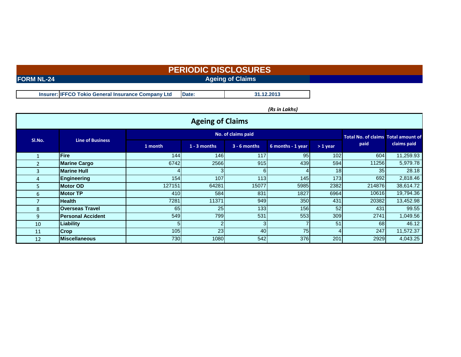# **FORM NL-24 Ageing of Claims Ageing of Claims PERIODIC DISCLOSURES**

**Insurer: IFFCO Tokio General Insurance Company Ltd Date:**

*(Rs in Lakhs)*

**31.12.2013**

|        | <b>Ageing of Claims</b>  |         |                    |                |                                 |                 |        |             |  |  |  |
|--------|--------------------------|---------|--------------------|----------------|---------------------------------|-----------------|--------|-------------|--|--|--|
|        |                          |         | No. of claims paid |                |                                 |                 |        |             |  |  |  |
| SI.No. | <b>Line of Business</b>  | 1 month | $1 - 3$ months     | $3 - 6$ months | 6 months - 1 year<br>$> 1$ year |                 | paid   | claims paid |  |  |  |
|        | <b>Fire</b>              | 144     | 146                | 117            | 95                              | 102             | 604    | 11,259.93   |  |  |  |
|        | <b>Marine Cargo</b>      | 6742    | 2566               | 915            | 439                             | 594             | 11256  | 5,979.78    |  |  |  |
| 3      | <b>Marine Hull</b>       |         |                    | 61             |                                 | 18 <sup>1</sup> | 35     | 28.18       |  |  |  |
| 4      | Engineering              | 154     | 107                | 113            | 145                             | 173             | 692    | 2,818.46    |  |  |  |
| 5.     | <b>Motor OD</b>          | 127151  | 64281              | 15077          | 5985                            | 2382            | 214876 | 38,614.72   |  |  |  |
| 6      | <b>Motor TP</b>          | 410     | 584                | 831            | 1827                            | 6964            | 10616  | 19,794.36   |  |  |  |
|        | <b>Health</b>            | 7281    | 11371              | 949            | 350                             | 431             | 20382  | 13,452.98   |  |  |  |
| 8      | <b>Overseas Travel</b>   | 65      | 25                 | 133            | 156                             | 52              | 431    | 99.55       |  |  |  |
| 9      | <b>Personal Accident</b> | 549     | 799                | 531            | 553                             | 309             | 2741   | 1,049.56    |  |  |  |
| 10     | Liability                | 51      |                    |                |                                 | 51              | 68     | 46.12       |  |  |  |
| 11     | <b>Crop</b>              | 105     | 23                 | 40             | 75                              | 4               | 247    | 11,572.37   |  |  |  |
| 12     | <b>Miscellaneous</b>     | 730     | 1080               | 542            | 376                             | 201             | 2929   | 4,043.25    |  |  |  |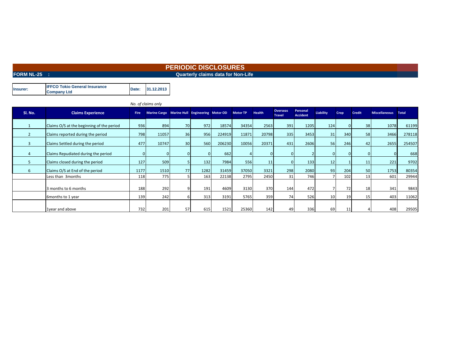### **FORM NL-25 :** CONSERVERTIES AND THE CONSERVERTIES AND THE CONSERVERTIES OF A CONSERVERTIES AND THE CONSERVERTIES OF NON-LIFE **PERIODIC DISCLOSURES**

|          | <b>IFFCO Tokio General Insurance</b> | Date: | 31.12.2013 |
|----------|--------------------------------------|-------|------------|
| Insurer: | <b>Company Ltd</b>                   |       |            |

|                |                                           |      | No. of claims only                            |          |      |        |                 |               |                                  |                             |                 |      |               |                     |        |
|----------------|-------------------------------------------|------|-----------------------------------------------|----------|------|--------|-----------------|---------------|----------------------------------|-----------------------------|-----------------|------|---------------|---------------------|--------|
| SI. No.        | <b>Claims Experience</b>                  | Fire | Marine Cargo Marine Hull Engineering Motor OD |          |      |        | <b>Motor TP</b> | <b>Health</b> | <b>Overseas</b><br><b>Travel</b> | Personal<br><b>Accident</b> | Liability       | Crop | <b>Credit</b> | Miscellaneous Total |        |
|                | Claims O/S at the beginning of the period | 936  | 894                                           | 70       | 972  | 18574  | 34354           | 2563          | 391                              | 1205                        | 124             |      | 38            | 1078                | 61199  |
| $\overline{2}$ | Claims reported during the period         | 798  | 11057                                         | 36       | 956  | 224919 | 11871           | 20798         | 335                              | 3453                        | 31              | 340  | 58            | 3466                | 278118 |
| 3              | Claims Settled during the period          | 477  | 10747                                         | 30       | 560  | 206230 | 10056           | 20371         | 431                              | 2606                        | <b>56</b>       | 246  | 42            | 2655                | 254507 |
| $\overline{4}$ | Claims Repudiated during the period       |      |                                               | $\Omega$ |      | 662    |                 |               |                                  |                             |                 |      |               | $\Omega$            | 668    |
| 5              | Claims closed during the period           | 127  | 509                                           |          | 132  | 7984   | 556             | 11            |                                  | 133                         | 12              |      | 11            | 221                 | 9702   |
| 6              | Claims O/S at End of the period           | 1177 | 1510                                          | 77       | 1282 | 31459  | 37050           | 3321          | 298                              | 2080                        | 93 <sub>1</sub> | 204  | 50            | 1753                | 80354  |
|                | Less than 3 months                        | 118  | 775                                           |          | 163  | 22138  | 2795            | 2450          | 31                               | 746                         |                 | 102  | 13            | 601                 | 29944  |
|                | 3 months to 6 months                      | 188  | 292                                           |          | 191  | 4609   | 3130            | 370           | 144                              | 472                         |                 | 72   | 18            | 341                 | 9843   |
|                | 6 months to 1 year                        | 139  | 242                                           |          | 313  | 3191   | 5765            | 359           | 74 <sub>1</sub>                  | 526                         | 10 <sup>1</sup> | 19   | 15            | 403                 | 11062  |
|                | 1year and above                           | 732  | 201                                           | 57       | 615  | 1521   | 25360           | 142           | 49                               | 336                         | 69              | 11   |               | 408                 | 29505  |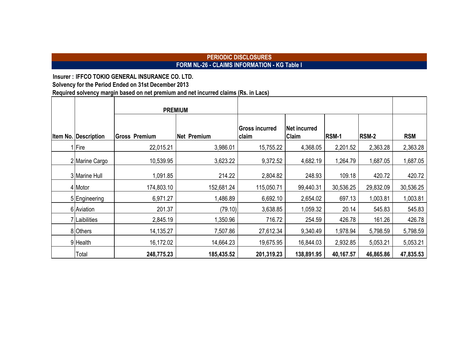# **PERIODIC DISCLOSURES FORM NL-26 - CLAIMS INFORMATION - KG Table I**

**Insurer : IFFCO TOKIO GENERAL INSURANCE CO. LTD.**

**Solvency for the Period Ended on 31st December 2013**

**Required solvency margin based on net premium and net incurred claims (Rs. in Lacs)**

|                              |                      | <b>PREMIUM</b>     |                                |                              |              |              |            |
|------------------------------|----------------------|--------------------|--------------------------------|------------------------------|--------------|--------------|------------|
| <b>Iltem No. Description</b> | <b>Gross Premium</b> | <b>Net Premium</b> | <b>Gross incurred</b><br>claim | <b>Net incurred</b><br>Claim | <b>RSM-1</b> | <b>RSM-2</b> | <b>RSM</b> |
| 1 Fire                       | 22,015.21            | 3,986.01           | 15,755.22                      | 4,368.05                     | 2,201.52     | 2,363.28     | 2,363.28   |
| 2 Marine Cargo               | 10,539.95            | 3,623.22           | 9,372.52                       | 4,682.19                     | 1,264.79     | 1,687.05     | 1,687.05   |
| 3 Marine Hull                | 1,091.85             | 214.22             | 2,804.82                       | 248.93                       | 109.18       | 420.72       | 420.72     |
| 4 Motor                      | 174,803.10           | 152,681.24         | 115,050.71                     | 99,440.31                    | 30,536.25    | 29,832.09    | 30,536.25  |
| 5 Engineering                | 6,971.27             | 1,486.89           | 6,692.10                       | 2,654.02                     | 697.13       | 1,003.81     | 1,003.81   |
| 6 Aviation                   | 201.37               | (79.10)            | 3,638.85                       | 1,059.32                     | 20.14        | 545.83       | 545.83     |
| 7 Laibilities                | 2,845.19             | 1,350.96           | 716.72                         | 254.59                       | 426.78       | 161.26       | 426.78     |
| 8 Others                     | 14,135.27            | 7,507.86           | 27,612.34                      | 9,340.49                     | 1,978.94     | 5,798.59     | 5,798.59   |
| 9 Health                     | 16,172.02            | 14,664.23          | 19,675.95                      | 16,844.03                    | 2,932.85     | 5,053.21     | 5,053.21   |
| Total                        | 248,775.23           | 185,435.52         | 201,319.23                     | 138,891.95                   | 40,167.57    | 46,865.86    | 47,835.53  |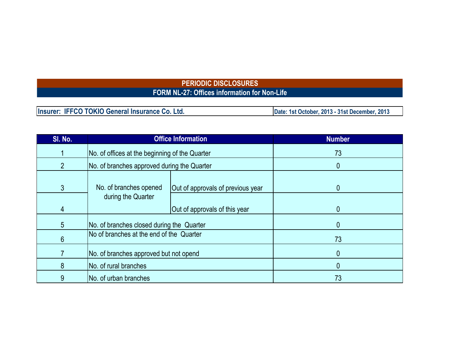# **PERIODIC DISCLOSURES FORM NL-27: Offices information for Non-Life**

| Insurer: IFFCO TOKIO General Insurance Co. Ltd. | Date: 1st October, 2013 - 31st December, 2013 |
|-------------------------------------------------|-----------------------------------------------|

| SI. No.        |                                                             | <b>Office Information</b>     | <b>Number</b> |
|----------------|-------------------------------------------------------------|-------------------------------|---------------|
|                | No. of offices at the beginning of the Quarter              |                               | 73            |
| $\overline{2}$ | No. of branches approved during the Quarter                 |                               | 0             |
| 3              | No. of branches opened<br>Out of approvals of previous year |                               | $\mathbf{0}$  |
| 4              | during the Quarter                                          | Out of approvals of this year | $\mathbf{0}$  |
| $\overline{5}$ | No. of branches closed during the Quarter                   |                               | $\mathbf{0}$  |
| 6              | No of branches at the end of the Quarter                    |                               | 73            |
|                | No. of branches approved but not opend                      |                               | $\mathbf{0}$  |
| 8              | No. of rural branches                                       |                               | $\mathbf{0}$  |
| 9              | No. of urban branches                                       |                               | 73            |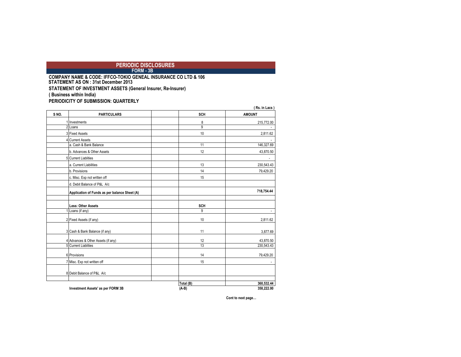*PERIODIC DISCLOSURES FORM - 3B* **FORM - 3B** 

**COMPANY NAME & CODE: IFFCO-TOKIO GENEAL INSURANCE CO LTD & 106 STATEMENT OF INVESTMENT ASSETS (General Insurer, Re-Insurer) ( Business within India) PERIODICITY OF SUBMISSION: QUARTERLY STATEMENT AS ON : 31st December 2013** 

|      |                                               | (Rs. in Lacs) |                          |  |  |  |
|------|-----------------------------------------------|---------------|--------------------------|--|--|--|
| SNO. | <b>PARTICULARS</b>                            | <b>SCH</b>    | <b>AMOUNT</b>            |  |  |  |
|      | Investments                                   | 8             | 215,772.00               |  |  |  |
| 2    | Loans                                         | 9             |                          |  |  |  |
|      | 3 Fixed Assets                                | 10            | 2,811.62                 |  |  |  |
|      | 4 Current Assets                              |               |                          |  |  |  |
|      | a. Cash & Bank Balance                        | 11            | 146,327.69               |  |  |  |
|      | b. Advances & Other Assets                    | 12            | 43,870.50                |  |  |  |
|      | 5 Current Liablities                          |               |                          |  |  |  |
|      | a. Current Liabilities                        | 13            | 230,543.43               |  |  |  |
|      | b. Provisions                                 | 14            | 79,429.20                |  |  |  |
|      | c. Misc. Exp not written off                  | 15            |                          |  |  |  |
|      | d. Debit Balance of P&L A/c                   |               |                          |  |  |  |
|      | Application of Funds as per balance Sheet (A) |               | 718,754.44               |  |  |  |
|      |                                               |               |                          |  |  |  |
|      | Less: Other Assets                            | <b>SCH</b>    |                          |  |  |  |
|      | Loans (if any)                                | 9             | $\overline{\phantom{a}}$ |  |  |  |
|      | 2 Fixed Assets (if any)                       | 10            | 2,811.62                 |  |  |  |
|      | 3 Cash & Bank Balance (if any)                | 11            | 3,877.69                 |  |  |  |
|      | 4 Advances & Other Assets (if any)            | 12            | 43,870.50                |  |  |  |
|      | 5 Current Liablities                          | 13            | 230,543.43               |  |  |  |
|      | 6 Provisions                                  | 14            | 79,429.20                |  |  |  |
|      | 7 Misc. Exp not written off                   | 15            |                          |  |  |  |
|      | 8 Debit Balance of P&L A/c                    |               |                          |  |  |  |
|      |                                               | Total (B)     | 360,532.44               |  |  |  |
|      | Investment Assets' as per FORM 3B             | $(A-B)$       | 358,222.00               |  |  |  |

**Cont to next page…**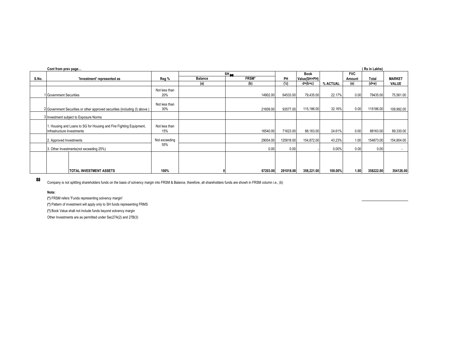|       | Cont from prev page<br>(Rs in Lakhs)                                        |               |                |              |           |              |          |                   |           |               |
|-------|-----------------------------------------------------------------------------|---------------|----------------|--------------|-----------|--------------|----------|-------------------|-----------|---------------|
|       |                                                                             |               | $SH_{max}$     |              |           | <b>Book</b>  |          | <b>FVC</b>        |           |               |
| S.No. | 'Investment' represented as                                                 | Reg %         | <b>Balance</b> | <b>FRSM*</b> | PH        | Value(SH+PH) |          | Amount            | Total     | <b>MARKET</b> |
|       |                                                                             |               | (a)            | (b)          | ('c)      | $d=(b+c)$    | % ACTUAL | (e)               | $(d+e)$   | VALUE         |
|       |                                                                             | Not less than |                |              |           |              |          |                   |           |               |
|       | 1 Government Securities                                                     | 20%           |                | 14902.00     | 64533.00  | 79,435.00    | 22.17%   | 0.00              | 79435.00  | 75,561.00     |
|       |                                                                             |               |                |              |           |              |          |                   |           |               |
|       |                                                                             | Not less than |                |              |           |              |          |                   |           |               |
|       | 2 Government Securities or other approved securities (including (I) above ) | 30%           |                | 21609.00     | 93577.00  | 115,186.00   | 32.16%   | 0.00              | 115186.00 | 109,992.00    |
|       | 3 Investment subject to Exposure Norms                                      |               |                |              |           |              |          |                   |           |               |
|       |                                                                             |               |                |              |           |              |          |                   |           |               |
|       | I. Housing and Loans to SG for Housing and Fire Fighting Equipment,         | Not less than |                |              |           |              |          |                   |           |               |
|       | Infrastructure Investments                                                  | 15%           |                | 16540.00     | 71623.00  | 88,163.00    | 24.61%   | 0.00              | 88163.00  | 89,330.00     |
|       | 2. Approved Investments                                                     | Not exceeding |                | 29054.00     | 125818.00 | 154,872.00   | 43.23%   | 1.00              | 154873.00 | 154,804.00    |
|       |                                                                             | 55%           |                |              |           |              |          |                   |           |               |
|       | 3. Other Investments(not exceeding 25%)                                     |               |                | 0.00         | 0.00      |              | 0.00%    | 0.00              | 0.00      | $\sim$        |
|       |                                                                             |               |                |              |           |              |          |                   |           |               |
|       |                                                                             |               |                |              |           |              |          |                   |           |               |
|       |                                                                             |               |                |              |           |              |          |                   |           |               |
|       | <b>ITOTAL INVESTMENT ASSETS</b>                                             | 100%          |                | 67203.00     | 291018.00 | 358,221.00   | 100.00%  | 1.00 <sub>1</sub> | 358222.00 | 354126.00     |

### $\boldsymbol{\mathcal{R}}$

Company is not splitting shareholders funds on the basis of solvency margin into FRSM & Balance, therefore, all shareholders funds are showh in FRSM column i.e., (b)

#### **Note:**

**(\*)** FRSM refers 'Funds representing solvency margin'

**(\*)** Pattern of investment will apply only to SH funds representing FRMS

**(\*)** Book Value shall not include funds beyond solvency margin

Other Investments are as permitted under Sec27A(2) and 27B(3)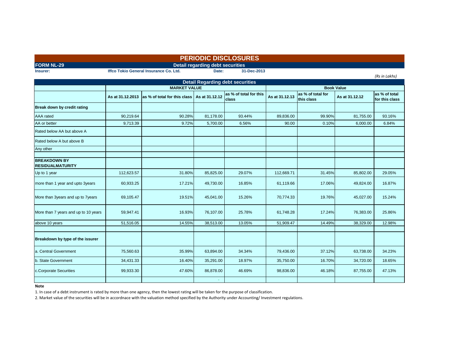| <b>PERIODIC DISCLOSURES</b>                    |                  |                                               |                                         |                                         |                |                                 |                   |                                 |
|------------------------------------------------|------------------|-----------------------------------------------|-----------------------------------------|-----------------------------------------|----------------|---------------------------------|-------------------|---------------------------------|
| <b>FORM NL-29</b>                              |                  |                                               | <b>Detail regarding debt securities</b> |                                         |                |                                 |                   |                                 |
| Insurer:                                       |                  | Iffco Tokio General Insurance Co. Ltd.        | Date:                                   | 31-Dec-2013                             |                |                                 |                   |                                 |
|                                                |                  |                                               |                                         | <b>Detail Regarding debt securities</b> |                |                                 |                   | (Rs in Lakhs)                   |
|                                                |                  | <b>MARKET VALUE</b>                           |                                         |                                         |                |                                 | <b>Book Value</b> |                                 |
|                                                | As at 31.12.2013 | as % of total for this class   As at 31.12.12 |                                         | as % of total for this<br>class         | As at 31.12.13 | as % of total for<br>this class | As at 31.12.12    | as % of total<br>for this class |
| Break down by credit rating                    |                  |                                               |                                         |                                         |                |                                 |                   |                                 |
| <b>AAA</b> rated                               | 90,219.64        | 90.28%                                        | 81,178.00                               | 93.44%                                  | 89,836.00      | 99.90%                          | 81,755.00         | 93.16%                          |
| AA or better                                   | 9,713.39         | 9.72%                                         | 5,700.00                                | 6.56%                                   | 90.00          | 0.10%                           | 6,000.00          | 6.84%                           |
| Rated below AA but above A                     |                  |                                               |                                         |                                         |                |                                 |                   |                                 |
| Rated below A but above B                      |                  |                                               |                                         |                                         |                |                                 |                   |                                 |
| Any other                                      |                  |                                               |                                         |                                         |                |                                 |                   |                                 |
| <b>BREAKDOWN BY</b><br><b>RESIDUALMATURITY</b> |                  |                                               |                                         |                                         |                |                                 |                   |                                 |
| Up to 1 year                                   | 112,623.57       | 31.80%                                        | 85,825.00                               | 29.07%                                  | 112,669.71     | 31.45%                          | 85,802.00         | 29.05%                          |
| more than 1 year and upto 3years               | 60,933.25        | 17.21%                                        | 49,730.00                               | 16.85%                                  | 61,119.66      | 17.06%                          | 49,824.00         | 16.87%                          |
| More than 3years and up to 7years              | 69,105.47        | 19.51%                                        | 45,041.00                               | 15.26%                                  | 70,774.33      | 19.76%                          | 45,027.00         | 15.24%                          |
| More than 7 years and up to 10 years           | 59,947.41        | 16.93%                                        | 76,107.00                               | 25.78%                                  | 61,748.28      | 17.24%                          | 76,383.00         | 25.86%                          |
| above 10 years                                 | 51,516.05        | 14.55%                                        | 38,513.00                               | 13.05%                                  | 51,909.47      | 14.49%                          | 38,329.00         | 12.98%                          |
|                                                |                  |                                               |                                         |                                         |                |                                 |                   |                                 |
| Breakdown by type of the issurer               |                  |                                               |                                         |                                         |                |                                 |                   |                                 |
| a. Central Government                          | 75,560.63        | 35.99%                                        | 63,894.00                               | 34.34%                                  | 79,436.00      | 37.12%                          | 63,738.00         | 34.23%                          |
| b. State Government                            | 34,431.33        | 16.40%                                        | 35,291.00                               | 18.97%                                  | 35,750.00      | 16.70%                          | 34,720.00         | 18.65%                          |
| c.Corporate Securities                         | 99,933.30        | 47.60%                                        | 86,878.00                               | 46.69%                                  | 98,836.00      | 46.18%                          | 87,755.00         | 47.13%                          |
|                                                |                  |                                               |                                         |                                         |                |                                 |                   |                                 |

#### **Note**

1. In case of a debt instrument is rated by more than one agency, then the lowest rating will be taken for the purpose of classification.

2. Market value of the securities will be in accordnace with the valuation method specified by the Authority under Accounting/ Investment regulations.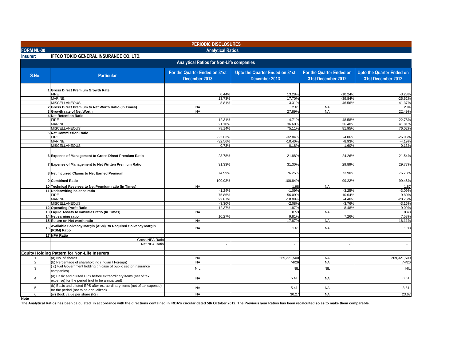|                   |                                                                                                                    | <b>PERIODIC DISCLOSURES</b>                    |                                                 |                                                |                                                        |
|-------------------|--------------------------------------------------------------------------------------------------------------------|------------------------------------------------|-------------------------------------------------|------------------------------------------------|--------------------------------------------------------|
| <b>FORM NL-30</b> |                                                                                                                    | <b>Analytical Ratios</b>                       |                                                 |                                                |                                                        |
| Insurer:          | <b>IFFCO TOKIO GENERAL INSURANCE CO. LTD.</b>                                                                      |                                                |                                                 |                                                |                                                        |
|                   |                                                                                                                    | Analytical Ratios for Non-Life companies       |                                                 |                                                |                                                        |
| S.No.             | <b>Particular</b>                                                                                                  | For the Quarter Ended on 31st<br>December 2013 | Upto the Quarter Ended on 31st<br>December 2013 | For the Quarter Ended on<br>31st December 2012 | <b>Upto the Quarter Ended on</b><br>31st December 2012 |
|                   | 1 Gross Direct Premium Growth Rate                                                                                 |                                                |                                                 |                                                |                                                        |
|                   | <b>FIRE</b>                                                                                                        | 0.44%                                          | 13.28%                                          | $-10.24%$                                      | $-3.23%$                                               |
|                   | <b>MARINE</b>                                                                                                      | 13.73%                                         | 17.70%                                          | $-39.84%$                                      | $-25.62%$                                              |
|                   | <b>MISCELLANEOUS</b>                                                                                               | 8.81%                                          | 13.31%                                          | 46.56%                                         | 41.37%                                                 |
|                   | 2 Gross Direct Premium to Net Worth Ratio (In Times)                                                               | <b>NA</b>                                      | 2.61                                            | <b>NA</b>                                      | 2.94                                                   |
|                   | 3 Growth rate of Net Worth                                                                                         | <b>NA</b>                                      | 27.89%                                          | <b>NA</b>                                      | 22.49%                                                 |
|                   | 4 Net Retention Ratio<br><b>FIRE</b>                                                                               | 12.31%                                         | 14.71%                                          | 48.58%                                         | 22.78%                                                 |
|                   | <b>MARINE</b>                                                                                                      | 21.10%                                         | 36.60%                                          | 36.40%                                         | 41.81%                                                 |
|                   | <b>MISCELLANEOUS</b>                                                                                               | 78.14%                                         | 75.11%                                          | 81.95%                                         | 76.02%                                                 |
|                   | <b>5 Net Commission Ratio</b>                                                                                      |                                                |                                                 |                                                |                                                        |
|                   | <b>FIRE</b>                                                                                                        | $-22.63%$                                      | $-32.84%$                                       | $-4.06%$                                       | $-26.05%$                                              |
|                   | <b>MARINE</b>                                                                                                      | $-32.56%$                                      | $-10.40%$                                       | $-8.93%$                                       | $-4.19%$                                               |
|                   | <b>MISCELLANEOUS</b>                                                                                               | 0.73%                                          | 0.18%                                           | 1.60%                                          | 0.13%                                                  |
|                   | 6 Expense of Management to Gross Direct Premium Ratio                                                              | 23.78%                                         | 21.88%                                          | 24.26%                                         | 21.54%                                                 |
|                   | 7 Expense of Management to Net Written Premium Ratio                                                               | 31.33%                                         | 31.30%                                          | 29.89%                                         | 29.77%                                                 |
|                   | 8 Net Incurred Claims to Net Earned Premium                                                                        | 74.99%                                         | 76.25%                                          | 73.90%                                         | 76.73%                                                 |
|                   | 9 Combined Ratio                                                                                                   | 100.93%                                        | 100.84%                                         | 99.22%                                         | 99.46%                                                 |
|                   | 10 Technical Reserves to Net Premium ratio (In Times)                                                              | <b>NA</b>                                      | 1.98                                            | <b>NA</b>                                      | 1.87                                                   |
|                   | 11 Underwriting balance ratio                                                                                      | $-1.24%$                                       | $-1.09%$                                        | $-3.25%$                                       | $-3.09%$                                               |
|                   | <b>FIRE</b>                                                                                                        | 75.86%                                         | 56.09%                                          | 10.64%                                         | 9.80%                                                  |
|                   | <b>MARINE</b><br><b>MISCELLANEOUS</b>                                                                              | 22.87%<br>$-3.30%$                             | $-18.08%$                                       | $-4.46%$<br>$-3.76%$                           | $-20.75%$<br>$-3.16%$                                  |
|                   | 12 Operating Profit Ratio                                                                                          | 12.37%                                         | $-2.08%$<br>11.87%                              | 8.48%                                          | 9.09%                                                  |
|                   | 13 Liquid Assets to liabilities ratio (In Times)                                                                   | <b>NA</b>                                      | 0.53                                            | <b>NA</b>                                      | 0.48                                                   |
|                   | 14 Net earning ratio                                                                                               | 10.27%                                         | 9.81%                                           | 7.26%                                          | 7.58%                                                  |
|                   | 15 Return on Net worth ratio                                                                                       | <b>NA</b>                                      | 17.87%                                          | <b>NA</b>                                      | 16.11%                                                 |
| 16                | Available Solvency Margin (ASM) to Required Solvency Margin<br>(RSM) Ratio                                         | <b>NA</b>                                      | 1.61                                            | <b>NA</b>                                      | 1.38                                                   |
|                   | 17 NPA Ratio                                                                                                       |                                                |                                                 |                                                |                                                        |
|                   | Gross NPA Ratio                                                                                                    | $\overline{\phantom{a}}$                       | $\overline{\phantom{a}}$                        | $\sim$                                         | $\sim$                                                 |
|                   | Net NPA Ratio                                                                                                      | $\sim$                                         | $\sim$                                          | $\sim$                                         | $\sim$                                                 |
|                   | <b>Equity Holding Pattern for Non-Life Insurers</b>                                                                |                                                |                                                 |                                                |                                                        |
|                   | (a) No. of shares                                                                                                  | <b>NA</b>                                      | 269.321.500                                     | <b>NA</b>                                      | 269.321.500                                            |
| $\overline{2}$    | (b) Percentage of shareholding (Indian / Foreign)                                                                  | <b>NA</b>                                      | 74/26                                           | <b>NA</b>                                      | 74/26                                                  |
| 3                 | (c) % of Government holding (in case of public sector insurance<br>companies)                                      | <b>NIL</b>                                     | <b>NIL</b>                                      | <b>NIL</b>                                     | <b>NIL</b>                                             |
| $\overline{4}$    | (a) Basic and diluted EPS before extraordinary items (net of tax<br>expense) for the period (not to be annualized) | <b>NA</b>                                      | 5.41                                            | <b>NA</b>                                      | 3.81                                                   |
| 5                 | (b) Basic and diluted EPS after extraordinary items (net of tax expense)<br>for the period (not to be annualized)  | <b>NA</b>                                      | 5.41                                            | <b>NA</b>                                      | 3.81                                                   |
| 6                 | (iv) Book value per share (Rs)                                                                                     | <b>NA</b>                                      | 30.27                                           | <b>NA</b>                                      | 23.67                                                  |
| Note              |                                                                                                                    |                                                |                                                 |                                                |                                                        |

**The Analytical Ratios has been calculated in accordance with the directions contained in IRDA's circular dated 5th October 2012. The Previous year Ratios has been recalculted so as to make them comparable.**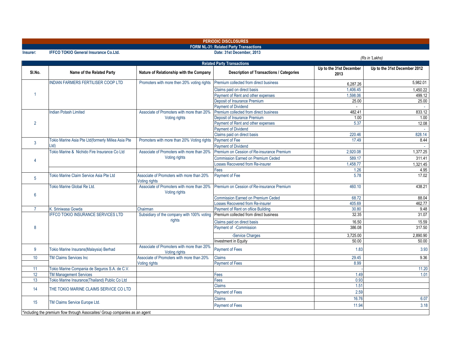| <b>FORM NL-31: Related Party Transactions</b><br>Date: 31st December, 2013<br><b>IFFCO TOKIO General Insurance Co.Ltd.</b><br>Insurer:<br><b>Related Party Transactions</b><br>Up to the 31st December<br>SI.No.<br>Name of the Related Party<br>Nature of Relationship with the Company<br><b>Description of Transactions / Categories</b><br>2013<br><b>INDIAN FARMERS FERTILISER COOP LTD</b><br>Promoters with more then 20% voting rights<br>Premium collected from direct business<br>6,287.26<br>Claims paid on direct basis<br>1,406.45<br>1<br>Payment of Rent and other expenses<br>1.598.06<br>Deposit of Insurance Premium<br>25.00<br><b>Payment of Dividend</b><br>Associate of Promoters with more than 20%<br>Premium collected from direct business<br>482.41<br><b>Indian Potash Limited</b><br>Deposit of Insurance Premium<br>1.00<br>Voting rights<br>$\overline{2}$<br>Payment of Rent and other expenses<br>5.37<br><b>Payment of Dividend</b><br>220.46<br>Claims paid on direct basis<br>Tokio Marine Asia Pte Ltd(formerly Millea Asia Pte<br>Promoters with more than 20% Voting rights Payment of Fee<br>17.49<br>$\mathbf{3}$<br>Ltd<br><b>Payment of Dividend</b><br>Tokio Marine & Nichido Fire Insurance Co Ltd<br>Premium on Cession of Re-insurance Premium<br>Associate of Promoters with more than 20%<br>2.920.08<br>Voting rights<br>589.17<br><b>Commission Earned on Premium Ceded</b><br>4<br>1,458.77<br>osses Recovered from Re-insurer<br>1.26<br>Fees<br>Tokio Marine Claim Service Asia Pte Ltd<br>Payment of Fee<br>5.78<br>Associate of Promoters with more than 20%<br>5 | (Rs in 'Lakhs)               |
|---------------------------------------------------------------------------------------------------------------------------------------------------------------------------------------------------------------------------------------------------------------------------------------------------------------------------------------------------------------------------------------------------------------------------------------------------------------------------------------------------------------------------------------------------------------------------------------------------------------------------------------------------------------------------------------------------------------------------------------------------------------------------------------------------------------------------------------------------------------------------------------------------------------------------------------------------------------------------------------------------------------------------------------------------------------------------------------------------------------------------------------------------------------------------------------------------------------------------------------------------------------------------------------------------------------------------------------------------------------------------------------------------------------------------------------------------------------------------------------------------------------------------------------------------------------------------------------------------------------------------|------------------------------|
|                                                                                                                                                                                                                                                                                                                                                                                                                                                                                                                                                                                                                                                                                                                                                                                                                                                                                                                                                                                                                                                                                                                                                                                                                                                                                                                                                                                                                                                                                                                                                                                                                           |                              |
|                                                                                                                                                                                                                                                                                                                                                                                                                                                                                                                                                                                                                                                                                                                                                                                                                                                                                                                                                                                                                                                                                                                                                                                                                                                                                                                                                                                                                                                                                                                                                                                                                           |                              |
|                                                                                                                                                                                                                                                                                                                                                                                                                                                                                                                                                                                                                                                                                                                                                                                                                                                                                                                                                                                                                                                                                                                                                                                                                                                                                                                                                                                                                                                                                                                                                                                                                           |                              |
|                                                                                                                                                                                                                                                                                                                                                                                                                                                                                                                                                                                                                                                                                                                                                                                                                                                                                                                                                                                                                                                                                                                                                                                                                                                                                                                                                                                                                                                                                                                                                                                                                           | Up to the 31st December 2012 |
|                                                                                                                                                                                                                                                                                                                                                                                                                                                                                                                                                                                                                                                                                                                                                                                                                                                                                                                                                                                                                                                                                                                                                                                                                                                                                                                                                                                                                                                                                                                                                                                                                           | 5,982.01                     |
|                                                                                                                                                                                                                                                                                                                                                                                                                                                                                                                                                                                                                                                                                                                                                                                                                                                                                                                                                                                                                                                                                                                                                                                                                                                                                                                                                                                                                                                                                                                                                                                                                           | 1,450.22                     |
|                                                                                                                                                                                                                                                                                                                                                                                                                                                                                                                                                                                                                                                                                                                                                                                                                                                                                                                                                                                                                                                                                                                                                                                                                                                                                                                                                                                                                                                                                                                                                                                                                           | 499.12                       |
|                                                                                                                                                                                                                                                                                                                                                                                                                                                                                                                                                                                                                                                                                                                                                                                                                                                                                                                                                                                                                                                                                                                                                                                                                                                                                                                                                                                                                                                                                                                                                                                                                           | 25.00                        |
|                                                                                                                                                                                                                                                                                                                                                                                                                                                                                                                                                                                                                                                                                                                                                                                                                                                                                                                                                                                                                                                                                                                                                                                                                                                                                                                                                                                                                                                                                                                                                                                                                           |                              |
|                                                                                                                                                                                                                                                                                                                                                                                                                                                                                                                                                                                                                                                                                                                                                                                                                                                                                                                                                                                                                                                                                                                                                                                                                                                                                                                                                                                                                                                                                                                                                                                                                           | 833.12                       |
|                                                                                                                                                                                                                                                                                                                                                                                                                                                                                                                                                                                                                                                                                                                                                                                                                                                                                                                                                                                                                                                                                                                                                                                                                                                                                                                                                                                                                                                                                                                                                                                                                           | 1.00                         |
|                                                                                                                                                                                                                                                                                                                                                                                                                                                                                                                                                                                                                                                                                                                                                                                                                                                                                                                                                                                                                                                                                                                                                                                                                                                                                                                                                                                                                                                                                                                                                                                                                           | 12.08                        |
|                                                                                                                                                                                                                                                                                                                                                                                                                                                                                                                                                                                                                                                                                                                                                                                                                                                                                                                                                                                                                                                                                                                                                                                                                                                                                                                                                                                                                                                                                                                                                                                                                           |                              |
|                                                                                                                                                                                                                                                                                                                                                                                                                                                                                                                                                                                                                                                                                                                                                                                                                                                                                                                                                                                                                                                                                                                                                                                                                                                                                                                                                                                                                                                                                                                                                                                                                           | 828.14                       |
|                                                                                                                                                                                                                                                                                                                                                                                                                                                                                                                                                                                                                                                                                                                                                                                                                                                                                                                                                                                                                                                                                                                                                                                                                                                                                                                                                                                                                                                                                                                                                                                                                           | 8.44                         |
|                                                                                                                                                                                                                                                                                                                                                                                                                                                                                                                                                                                                                                                                                                                                                                                                                                                                                                                                                                                                                                                                                                                                                                                                                                                                                                                                                                                                                                                                                                                                                                                                                           | $\sim$                       |
|                                                                                                                                                                                                                                                                                                                                                                                                                                                                                                                                                                                                                                                                                                                                                                                                                                                                                                                                                                                                                                                                                                                                                                                                                                                                                                                                                                                                                                                                                                                                                                                                                           | 1,377.25                     |
|                                                                                                                                                                                                                                                                                                                                                                                                                                                                                                                                                                                                                                                                                                                                                                                                                                                                                                                                                                                                                                                                                                                                                                                                                                                                                                                                                                                                                                                                                                                                                                                                                           | 311.41                       |
|                                                                                                                                                                                                                                                                                                                                                                                                                                                                                                                                                                                                                                                                                                                                                                                                                                                                                                                                                                                                                                                                                                                                                                                                                                                                                                                                                                                                                                                                                                                                                                                                                           | 1,321.45                     |
|                                                                                                                                                                                                                                                                                                                                                                                                                                                                                                                                                                                                                                                                                                                                                                                                                                                                                                                                                                                                                                                                                                                                                                                                                                                                                                                                                                                                                                                                                                                                                                                                                           | 4.95                         |
| Voting rights                                                                                                                                                                                                                                                                                                                                                                                                                                                                                                                                                                                                                                                                                                                                                                                                                                                                                                                                                                                                                                                                                                                                                                                                                                                                                                                                                                                                                                                                                                                                                                                                             | 17.02                        |
| Tokio Marine Global Re Ltd.<br>Associate of Promoters with more than 20%<br>Premium on Cession of Re-insurance Premium<br>460.10<br>Voting rights<br>6                                                                                                                                                                                                                                                                                                                                                                                                                                                                                                                                                                                                                                                                                                                                                                                                                                                                                                                                                                                                                                                                                                                                                                                                                                                                                                                                                                                                                                                                    | 438.21                       |
| <b>Commission Earned on Premium Ceded</b><br>68.72                                                                                                                                                                                                                                                                                                                                                                                                                                                                                                                                                                                                                                                                                                                                                                                                                                                                                                                                                                                                                                                                                                                                                                                                                                                                                                                                                                                                                                                                                                                                                                        | 88.04                        |
| Losses Recovered from Re-insurer<br>405.69                                                                                                                                                                                                                                                                                                                                                                                                                                                                                                                                                                                                                                                                                                                                                                                                                                                                                                                                                                                                                                                                                                                                                                                                                                                                                                                                                                                                                                                                                                                                                                                | 462.77                       |
| 30.80<br>$\overline{7}$<br>Chairman<br>Payment of Rent on ofiice Building<br>K. Sriniwasa Gowda                                                                                                                                                                                                                                                                                                                                                                                                                                                                                                                                                                                                                                                                                                                                                                                                                                                                                                                                                                                                                                                                                                                                                                                                                                                                                                                                                                                                                                                                                                                           | 9.48                         |
| <b>IFFCO TOKIO INSURANCE SERVICES LTD</b><br>Subsidiary of the company with 100% voting<br>Premium collected from direct business<br>32.35                                                                                                                                                                                                                                                                                                                                                                                                                                                                                                                                                                                                                                                                                                                                                                                                                                                                                                                                                                                                                                                                                                                                                                                                                                                                                                                                                                                                                                                                                | 31.07                        |
| rights<br>Claims paid on direct basis<br>16.50                                                                                                                                                                                                                                                                                                                                                                                                                                                                                                                                                                                                                                                                                                                                                                                                                                                                                                                                                                                                                                                                                                                                                                                                                                                                                                                                                                                                                                                                                                                                                                            | 15.59                        |
| 386.08<br>Payment of -Commission<br>8                                                                                                                                                                                                                                                                                                                                                                                                                                                                                                                                                                                                                                                                                                                                                                                                                                                                                                                                                                                                                                                                                                                                                                                                                                                                                                                                                                                                                                                                                                                                                                                     | 317.50                       |
| 3,725.00<br>-Service Charges                                                                                                                                                                                                                                                                                                                                                                                                                                                                                                                                                                                                                                                                                                                                                                                                                                                                                                                                                                                                                                                                                                                                                                                                                                                                                                                                                                                                                                                                                                                                                                                              | 2,890.90                     |
| nvestment in Equity<br>50.00                                                                                                                                                                                                                                                                                                                                                                                                                                                                                                                                                                                                                                                                                                                                                                                                                                                                                                                                                                                                                                                                                                                                                                                                                                                                                                                                                                                                                                                                                                                                                                                              | 50.00                        |
| Associate of Promoters with more than 20%<br>9<br>Tokio Marine Insurans(Malaysia) Berhad<br><b>Payment of Fees</b><br>1.83<br>Voting rights                                                                                                                                                                                                                                                                                                                                                                                                                                                                                                                                                                                                                                                                                                                                                                                                                                                                                                                                                                                                                                                                                                                                                                                                                                                                                                                                                                                                                                                                               | 3.93                         |
| 10<br>Associate of Promoters with more than 20%<br><b>TM Claims Services Inc.</b><br>Claims<br>29.45                                                                                                                                                                                                                                                                                                                                                                                                                                                                                                                                                                                                                                                                                                                                                                                                                                                                                                                                                                                                                                                                                                                                                                                                                                                                                                                                                                                                                                                                                                                      | 9.36                         |
| Voting rights<br><b>Payment of Fees</b><br>8.99                                                                                                                                                                                                                                                                                                                                                                                                                                                                                                                                                                                                                                                                                                                                                                                                                                                                                                                                                                                                                                                                                                                                                                                                                                                                                                                                                                                                                                                                                                                                                                           |                              |
| 11<br>Tokio Marine Compania de Seguros S.A. de C.V.                                                                                                                                                                                                                                                                                                                                                                                                                                                                                                                                                                                                                                                                                                                                                                                                                                                                                                                                                                                                                                                                                                                                                                                                                                                                                                                                                                                                                                                                                                                                                                       | 11.20                        |
| <b>TM Management Services</b><br>12<br>1.49<br>Fees                                                                                                                                                                                                                                                                                                                                                                                                                                                                                                                                                                                                                                                                                                                                                                                                                                                                                                                                                                                                                                                                                                                                                                                                                                                                                                                                                                                                                                                                                                                                                                       | 1.01                         |
| 13<br>Tokio Marine Insurance(Thailand) Public Co Ltd<br>Fees<br>0.93                                                                                                                                                                                                                                                                                                                                                                                                                                                                                                                                                                                                                                                                                                                                                                                                                                                                                                                                                                                                                                                                                                                                                                                                                                                                                                                                                                                                                                                                                                                                                      |                              |
| Claims<br>1.51                                                                                                                                                                                                                                                                                                                                                                                                                                                                                                                                                                                                                                                                                                                                                                                                                                                                                                                                                                                                                                                                                                                                                                                                                                                                                                                                                                                                                                                                                                                                                                                                            |                              |
| 14<br>THE TOKIO MARINE CLAIMS SERVICE CO LTD<br>2.59<br><b>Payment of Fees</b>                                                                                                                                                                                                                                                                                                                                                                                                                                                                                                                                                                                                                                                                                                                                                                                                                                                                                                                                                                                                                                                                                                                                                                                                                                                                                                                                                                                                                                                                                                                                            |                              |
| 16.76<br>Claims                                                                                                                                                                                                                                                                                                                                                                                                                                                                                                                                                                                                                                                                                                                                                                                                                                                                                                                                                                                                                                                                                                                                                                                                                                                                                                                                                                                                                                                                                                                                                                                                           | 6.07                         |
| TM Claims Service Europe Ltd.<br>15<br><b>Payment of Fees</b><br>11.94<br>*including the premium flow through Assocaites/ Group companies as an agent                                                                                                                                                                                                                                                                                                                                                                                                                                                                                                                                                                                                                                                                                                                                                                                                                                                                                                                                                                                                                                                                                                                                                                                                                                                                                                                                                                                                                                                                     |                              |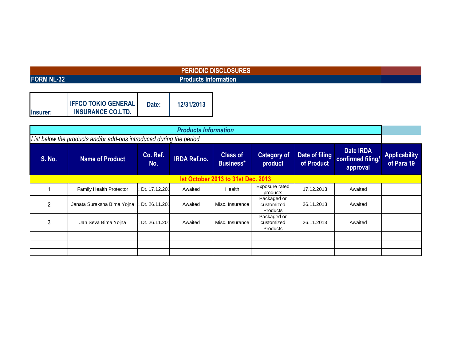# **FORM NL-32**

# **PERIODIC DISCLOSURES Products Information**

|                 | <b>IFFCO TOKIO GENERAL</b> | Date: | 12/31/2013 |
|-----------------|----------------------------|-------|------------|
| <b>Insurer:</b> | <b>INSURANCE CO.LTD.</b>   |       |            |

| <b>Products Information</b>                                         |                                |                 |                     |                                     |                                       |                              |                                            |                                    |  |
|---------------------------------------------------------------------|--------------------------------|-----------------|---------------------|-------------------------------------|---------------------------------------|------------------------------|--------------------------------------------|------------------------------------|--|
| List below the products and/or add-ons introduced during the period |                                |                 |                     |                                     |                                       |                              |                                            |                                    |  |
| <b>S. No.</b>                                                       | <b>Name of Product</b>         | Co. Ref.<br>No. | <b>IRDA Ref.no.</b> | <b>Class of</b><br><b>Business*</b> | <b>Category of</b><br>product         | Date of filing<br>of Product | Date IRDA<br>confirmed filing/<br>approval | <b>Applicability</b><br>of Para 19 |  |
| <b>Ist October 2013 to 31st Dec. 2013</b>                           |                                |                 |                     |                                     |                                       |                              |                                            |                                    |  |
|                                                                     | <b>Family Health Protector</b> | Dt. 17.12.201   | Awaited             | Health                              | Exposure rated<br>products            | 17.12.2013                   | Awaited                                    |                                    |  |
| 2                                                                   | Janata Suraksha Bima Yojna     | Dt. 26.11.201   | Awaited             | Misc. Insurance                     | Packaged or<br>customized<br>Products | 26.11.2013                   | Awaited                                    |                                    |  |
| 3                                                                   | Jan Seva Bima Yojna            | Dt. 26.11.201   | Awaited             | Misc. Insurance                     | Packaged or<br>customized<br>Products | 26.11.2013                   | Awaited                                    |                                    |  |
|                                                                     |                                |                 |                     |                                     |                                       |                              |                                            |                                    |  |
|                                                                     |                                |                 |                     |                                     |                                       |                              |                                            |                                    |  |
|                                                                     |                                |                 |                     |                                     |                                       |                              |                                            |                                    |  |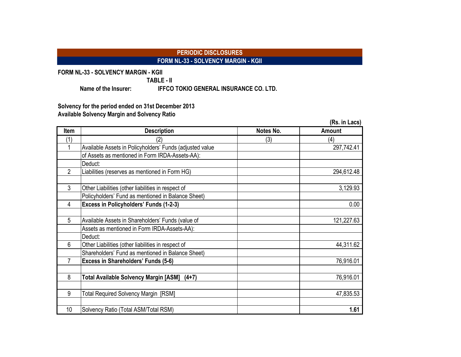## **PERIODIC DISCLOSURES FORM NL-33 - SOLVENCY MARGIN - KGII**

**FORM NL-33 - SOLVENCY MARGIN - KGII**

**TABLE - II**

**Name of the Insurer: IFFCO TOKIO GENERAL INSURANCE CO. LTD.**

**Solvency for the period ended on 31st December 2013 Available Solvency Margin and Solvency Ratio**

|                |                                                          |           | (Rs. in Lacs) |
|----------------|----------------------------------------------------------|-----------|---------------|
| <b>Item</b>    | <b>Description</b>                                       | Notes No. | Amount        |
| (1)            | (2)                                                      | (3)       | (4)           |
|                | Available Assets in Policyholders' Funds (adjusted value |           | 297,742.41    |
|                | of Assets as mentioned in Form IRDA-Assets-AA):          |           |               |
|                | Deduct:                                                  |           |               |
| $\overline{2}$ | Liabilities (reserves as mentioned in Form HG)           |           | 294,612.48    |
| $\mathbf{3}$   | Other Liabilities (other liabilities in respect of       |           | 3,129.93      |
|                | Policyholders' Fund as mentioned in Balance Sheet)       |           |               |
| 4              | Excess in Policyholders' Funds (1-2-3)                   |           | 0.00          |
|                |                                                          |           |               |
| 5              | Available Assets in Shareholders' Funds (value of        |           | 121,227.63    |
|                | Assets as mentioned in Form IRDA-Assets-AA):             |           |               |
|                | Deduct:                                                  |           |               |
| 6              | Other Liabilities (other liabilities in respect of       |           | 44,311.62     |
|                | Shareholders' Fund as mentioned in Balance Sheet)        |           |               |
| 7              | Excess in Shareholders' Funds (5-6)                      |           | 76,916.01     |
| 8              | Total Available Solvency Margin [ASM]<br>$(4+7)$         |           | 76,916.01     |
| 9              | Total Required Solvency Margin [RSM]                     |           | 47,835.53     |
| 10             | Solvency Ratio (Total ASM/Total RSM)                     |           | 1.61          |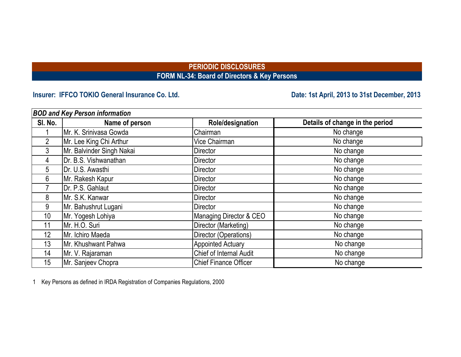# **PERIODIC DISCLOSURES FORM NL-34: Board of Directors & Key Persons**

# Insurer: IFFCO TOKIO General Insurance Co. Ltd. **Date: 1st April, 2013 to 31st December, 2013**

| <b>BOD and Key Person information</b> |                           |                              |                                 |  |  |  |  |  |  |
|---------------------------------------|---------------------------|------------------------------|---------------------------------|--|--|--|--|--|--|
| SI. No.                               | Name of person            | Role/designation             | Details of change in the period |  |  |  |  |  |  |
|                                       | Mr. K. Srinivasa Gowda    | Chairman                     | No change                       |  |  |  |  |  |  |
| $\overline{2}$                        | Mr. Lee King Chi Arthur   | Vice Chairman                | No change                       |  |  |  |  |  |  |
| 3                                     | Mr. Balvinder Singh Nakai | <b>Director</b>              | No change                       |  |  |  |  |  |  |
| 4                                     | Dr. B.S. Vishwanathan     | <b>Director</b>              | No change                       |  |  |  |  |  |  |
| 5                                     | Dr. U.S. Awasthi          | Director                     | No change                       |  |  |  |  |  |  |
| 6                                     | Mr. Rakesh Kapur          | <b>Director</b>              | No change                       |  |  |  |  |  |  |
|                                       | Dr. P.S. Gahlaut          | <b>Director</b>              | No change                       |  |  |  |  |  |  |
| 8                                     | Mr. S.K. Kanwar           | <b>Director</b>              | No change                       |  |  |  |  |  |  |
| 9                                     | Mr. Bahushrut Lugani      | Director                     | No change                       |  |  |  |  |  |  |
| 10                                    | Mr. Yogesh Lohiya         | Managing Director & CEO      | No change                       |  |  |  |  |  |  |
| 11                                    | Mr. H.O. Suri             | Director (Marketing)         | No change                       |  |  |  |  |  |  |
| 12                                    | Mr. Ichiro Maeda          | Director (Operations)        | No change                       |  |  |  |  |  |  |
| 13                                    | Mr. Khushwant Pahwa       | <b>Appointed Actuary</b>     | No change                       |  |  |  |  |  |  |
| 14                                    | Mr. V. Rajaraman          | Chief of Internal Audit      | No change                       |  |  |  |  |  |  |
| 15                                    | Mr. Sanjeev Chopra        | <b>Chief Finance Officer</b> | No change                       |  |  |  |  |  |  |

1 Key Persons as defined in IRDA Registration of Companies Regulations, 2000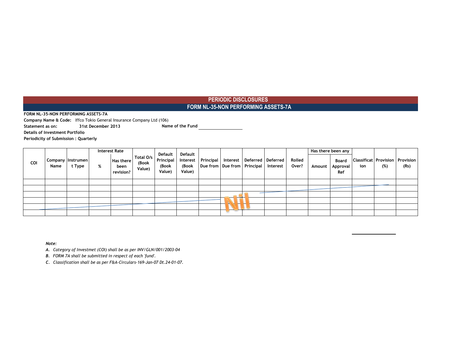### **PERIODIC DISCLOSURES FORM NL-35-NON PERFORMING ASSETS-7A**

**FORM NL-35-NON PERFORMING ASSETS-7A**

**Company Name & Code:** Iffco Tokio General Insurance Company Ltd (106)

**Statement as on: 31st December 2013 Name of the Fund**

**Details of Investment Portfolio**

**Periodicity of Submission : Quarterly**

|     |      |                                 |   | <b>Interest Rate</b>           |                              | Default                      | Default |                                                    |  |                                                       |                 |        | Has there been any              |     |                                               |      |
|-----|------|---------------------------------|---|--------------------------------|------------------------------|------------------------------|---------|----------------------------------------------------|--|-------------------------------------------------------|-----------------|--------|---------------------------------|-----|-----------------------------------------------|------|
| COI | Name | Company   Instrumen  <br>t Type | % | Has there<br>been<br>revision? | Total O/s<br>(Book<br>Value) | Principal<br>(Book<br>Value) | Value)  | (Book   Due from   Due from   Principal   Interest |  | Interest   Principal   Interest   Deferred   Deferred | Rolled<br>Over? | Amount | <b>Board</b><br>Approval<br>Ref | ion | <b>Classificat Provision Provision</b><br>(%) | (Rs) |
|     |      |                                 |   |                                |                              |                              |         |                                                    |  |                                                       |                 |        |                                 |     |                                               |      |
|     |      |                                 |   |                                |                              |                              |         |                                                    |  |                                                       |                 |        |                                 |     |                                               |      |
|     |      |                                 |   |                                |                              |                              |         |                                                    |  |                                                       |                 |        |                                 |     |                                               |      |
|     |      |                                 |   |                                |                              |                              |         |                                                    |  |                                                       |                 |        |                                 |     |                                               |      |
|     |      |                                 |   |                                |                              |                              |         |                                                    |  |                                                       |                 |        |                                 |     |                                               |      |
|     |      |                                 |   |                                |                              |                              |         |                                                    |  |                                                       |                 |        |                                 |     |                                               |      |

*Note:*

*A. Category of Investmet (COI) shall be as per INV/GLN/001/2003-04*

*B. FORM 7A shall be submitted in respect of each 'fund'.*

*C. Classification shall be as per F&A-Circulars-169-Jan-07 Dt.24-01-07.*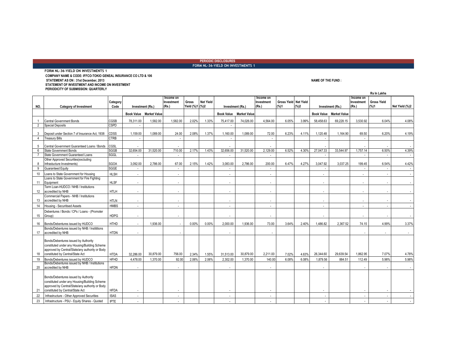**PERIODIC DISCLOSURES FORM NL-36-YIELD ON INVESTMENTS 1**

**FORM NL-36-YIELD ON INVESTMENTS 1 COMPANY NAME & CODE: IFFCO-TOKIO GENEAL INSURANCE CO LTD & 106 STATEMENT AS ON : 31st December, 2013 NAME OF THE FUND : STATEMENT OF INVESTMENT AND INCOME ON INVESTMENT PERIODICITY OF SUBMISSION: QUARTERLY**

**Rs In Lakhs Income on Investment (Rs.) Gross Yield (%)1 (%)2 Net Yield Income on Investment (Rs.) Gross Yield Net Yield (%)1 (%)2 Income on Investment (Rs.) Gross Yield (%)1 Net Yield (%)2 Book Value Market Value Book Value Market Value Book Value Market Value**  1 Central Government Bonds 1,582.00 | 1,582.00 | 2.02% | 75,417.00 | 74,026.00 | 4,564.00 | 6.05% | 58,458.63 | 69,228.15 | 3,530.92 | 6.04% | 4.08% 2 Special Deposits CSPD 3 Deposit under Section 7 of Insurance Act, 1938 CDSS | 1,159.00 | 1,089.00 | 24.00 2.08% | 1.37% | 1,160.00 | 1,089.00 | 72.00 6.23% 4.11% 1,120.48 | 1,164.90 69.50 | 6.20% 4.19% 4 Treasury Bills CTRB - - - - - - 5 Central Government Guaranteed Loans / Bonds CGSL - - - - - - - - 6 State Government Bonds 1,520.00 | 2,17% | 1.43% | 32,656.00 | 2,129.00 | 6.22% | 4.30% | 27,047.33 | 33,544.97 | 1,757.14 | 6.50% | 4.39% 7 State Government Guaranteed Loans SGGL 8 Other Approved Securities(excluding Infrastucture Investments) SGOA 3,092.00 2,786.00 67.00 2.15% 1.42% 3,083.00 2,786.00 200.00 6.47% 4.27% 3,047.92 3,037.25 199.45 6.54% 4.42% 9 Guaranteed Equity SGGE - - - - - - - - 10 Loans to State Government for Housing HLSH - - - - - - - - 11 Loans to State Government for Fire Fighting Equipment HLSF - - - - - - - - 12 accredited by NHB Term Loan-HUDCO / NHB / Institutions accredited by NHB HTLH - - - - - - - - 13 Commercial Papers - NHB / Institutions accredited by NHB HTLN - - - - - - - - 14 Housing - Securitised Assets HMBS | - | | - | | | | - | - | - | - | | | | 15 Debentures / Bonds / CPs / Loans - (Promoter Group) HDPG - - - - - - - - 16 Bonds/Debentures issued by HUDCO HTHD | - | 1,936.00 | - | 0.00% 0.00% 2,000.00 | 1,936.00 | 73.00 3.64% 2.40% | 1,486.82 | 2,367.52 | 74.15 | 4.99% | 3.37% 17 Bonds/Debentures issued by NHB / Instititions<br>accredited by NHB accredited by NHB HTDN - - - - - - - 18 Bonds/Debentures issued by Authority constituted under any Housing/Building Scheme approved by Central/State/any authority or Body constituted by Central/State Act HTDA 32,286.00 30,879.00 756.00 2.34% 1.55% 31,513.00 30,879.00 2,211.00 7.02% 4.63% 26,344.60 29,639.54 1,862.95 7.07% 4.78% 19 Bonds/Debentures issued by HUDCO HFHD 4,478.00 1,370.00 92.00 2.06% 2.06% 2,302.00 1,370.00 140.00 6.08% 6.08% 1,879.56 884.51 112.49 5.98% 5.98% 20 accredited by NHB Bonds/Debentures issued by NHB / Institutions accredited by NHB HFDN - - - - - - - - 21 Bonds/Debentures issued by Authority constituted under any Housing/Building Scheme approved by Central/State/any authority or Body<br>constituted by Central/State Act constituted by Central/State Act |HFDA | - | | - | | - | - | -| - | - - | - - | -- | -- | -- | -- | -- | -- | -- | -- | -- | -- | -- | -- | -- | --22 Infrastructure - Other Approved Securities ISAS - - - - - - - - 23 Infrastructure - PSU - Equity Shares - Quoted IPTE - - - - - - - - **NO. Category of Investment Category**  Code Investment (Rs.) |(Rs.) |Yield (%)1 |(%)2 | Investment (Rs.) |(Rs.) | (%)1 |(%)2 | Investment (Rs.)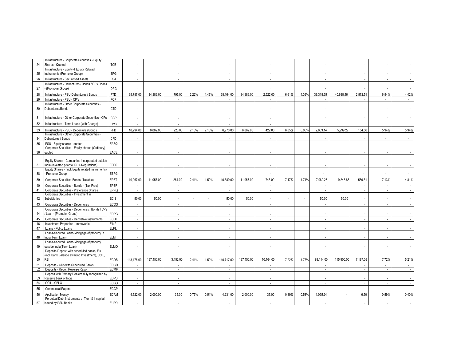| 24 | Infrastructure - Corporate Securities - Equity<br>Shares - Quoted                                | <b>ITCE</b> |                |            |                          |       |       |            |            |           |       |       |           |            |                |        |       |
|----|--------------------------------------------------------------------------------------------------|-------------|----------------|------------|--------------------------|-------|-------|------------|------------|-----------|-------|-------|-----------|------------|----------------|--------|-------|
|    | Infrastructure - Equity & Equity Related                                                         |             |                |            |                          |       |       |            |            |           |       |       |           |            |                |        |       |
| 25 | Instruments (Promoter Group)                                                                     | <b>IEPG</b> | $\overline{a}$ |            | $\overline{\phantom{a}}$ |       |       |            |            |           |       |       |           |            |                |        |       |
| 26 | Infrastructure - Securitised Assets                                                              | <b>IESA</b> |                |            |                          |       |       |            |            |           |       |       |           |            |                |        |       |
| 27 | Infrastructure - Debentures / Bonds / CPs / Ioans<br>(Promoter Group)                            | <b>IDPG</b> |                |            |                          |       |       |            |            |           |       |       |           |            |                |        |       |
| 28 | Infrastructure - PSU-Debentures / Bonds                                                          | <b>IPTD</b> | 35,787.00      | 34,886.00  | 795.00                   | 2.22% | 1.47% | 38,164.00  | 34.886.00  | 2,522.00  | 6.61% | 4.36% | 39,318.55 | 40.688.46  | 2,572.51       | 6.54%  | 4.42% |
| 29 | Infrastructure - PSU - CP's                                                                      | <b>IPCP</b> |                |            | $\sim$                   |       |       |            |            | in 1999.  |       |       |           |            |                |        |       |
| 30 | Infrastructure - Other Corporate Securities -<br>Debentures/Bonds                                | <b>ICTD</b> |                |            |                          |       |       |            |            |           |       |       |           |            |                |        |       |
| 31 | Infrastructure - Other Corporate Securities - CPs                                                | <b>ICCP</b> |                |            |                          |       |       |            |            |           |       |       |           |            |                |        |       |
| 32 | Infrastructure - Term Loans (with Charge)                                                        | <b>ILWC</b> |                |            |                          |       |       |            |            |           |       |       |           |            |                |        |       |
| 33 | Infrastructure - PSU - Debentures/Bonds<br>Infrastructure - Other Corporate Securities -         | <b>IPFD</b> | 10,294.00      | 6,062.00   | 220.00                   | 2.13% | 2.13% | 6,970.00   | 6,062.00   | 422.00    | 6.05% | 6.05% | 2,603.14  | 5,999.27   | 154.56         | 5.94%  | 5.94% |
| 34 | Debentures / Bonds                                                                               | <b>ICFD</b> |                |            |                          |       |       |            |            |           |       |       |           |            |                |        |       |
| 35 | PSU - Equity shares - quoted                                                                     | EAEQ        | $\sim$         |            | $\sim$                   |       |       | $\sim$     |            | $\sim$    |       |       |           |            | $\overline{a}$ |        |       |
|    | Corporate Securities - Equity shares (Ordinary)                                                  |             |                |            |                          |       |       |            |            |           |       |       |           |            |                |        |       |
| 36 | quoted                                                                                           | EACE        |                |            |                          |       |       |            |            |           |       |       |           |            |                |        |       |
|    | Equity Shares - Companies incorporated outside                                                   |             |                |            |                          |       |       |            |            |           |       |       |           |            |                |        |       |
| 37 | India (invested prior to IRDA Regulations)<br>Equity Shares - (incl. Equity related Instruments) | <b>EFES</b> |                |            |                          |       |       |            |            |           |       |       |           |            |                |        |       |
| 38 | Promoter Group                                                                                   | <b>EEPG</b> |                |            |                          |       |       |            |            |           |       |       |           |            |                |        |       |
| 39 | Corporate Securities-Bonds-(Taxable)                                                             | EPBT        | 10,967.00      | 11.057.00  | 264.00                   | 2.41% | 1.59% | 10,389.00  | 11.057.00  | 745.00    | 7.17% | 4.74% | 7,989.28  | 9.243.86   | 569.31         | 7.13%  | 4.81% |
| 40 | Corporate Securities - Bonds - (Tax Free)                                                        | <b>EPBF</b> |                |            | $\overline{a}$           |       |       |            |            |           |       |       |           |            |                |        |       |
| 41 | Corporate Securities - Preference Shares                                                         | EPNQ        | $\blacksquare$ |            | $\overline{\phantom{a}}$ |       |       | $\sim$     |            | $\sim$    |       |       | ×.        |            | ×              |        |       |
| 42 | Corporate Securities - Investment in<br>Subsidiaries                                             | <b>ECIS</b> | 50.00          | 50.00      |                          |       |       | 50.00      | 50.00      |           |       |       | 50.00     | 50.00      |                |        |       |
| 43 | Corporate Securities - Debentures                                                                | ECOS        |                |            |                          |       |       |            |            |           |       |       |           |            |                |        |       |
|    | Corporate Securities - Debentures / Bonds / CPs                                                  |             |                |            | $\overline{\phantom{a}}$ |       |       |            |            |           |       |       |           |            |                |        |       |
| 44 | / Loan - (Promoter Group)                                                                        | <b>EDPG</b> |                |            |                          |       |       |            |            |           |       |       |           |            |                |        |       |
| 45 | Corporate Securities - Derivative Instruments                                                    | ECDI        |                |            |                          |       |       |            |            |           |       |       |           |            |                |        |       |
| 46 | Investment Properties - Immovable                                                                | <b>EINP</b> | $\mathcal{L}$  |            | $\sim$                   |       |       | $\sim$     |            | $\sim$    |       |       | $\sim$    |            | $\mathcal{L}$  | $\sim$ |       |
| 47 | Loans - Policy Loans<br>Loans-Secured Loans-Mortgage of property in                              | <b>ELPL</b> |                |            | $\sim$                   |       |       |            |            |           |       |       |           |            |                |        |       |
| 48 | India(Term Loan)                                                                                 | <b>ELMI</b> |                |            |                          |       |       |            |            |           |       |       |           |            |                |        |       |
|    | Loans-Secured Loans-Mortgage of property                                                         |             |                |            |                          |       |       |            |            |           |       |       |           |            |                |        |       |
| 49 | outside India(Term Loan)                                                                         | <b>ELMO</b> |                |            |                          |       |       |            |            |           |       |       |           |            |                |        |       |
|    | Deposits-Deposit with scheduled banks, Fis                                                       |             |                |            |                          |       |       |            |            |           |       |       |           |            |                |        |       |
| 50 | (incl. Bank Balance awaiting Investment), CCIL,<br><b>RBI</b>                                    | ECDB        | 143,176.00     | 137,450.00 | 3,452.00                 | 2.41% | 1.59% | 140,717.00 | 137,450.00 | 10,164.00 | 7.22% | 4.77% | 93,114.00 | 115,900.00 | 7,187.05       | 7.72%  | 5.21% |
| 51 | Deposits - CDs with Scheduled Banks                                                              | EDCD        | ÷.             |            | ÷.                       |       |       |            |            |           |       |       | in a      |            |                | $\sim$ |       |
| 52 | Deposits - Repo / Reverse Repo                                                                   | <b>ECMR</b> | $\blacksquare$ |            | $\overline{\phantom{a}}$ |       |       | $\sim$     |            | ÷.        |       |       |           |            |                |        |       |
|    | Deposit with Primary Dealers duly recognised by                                                  |             |                |            |                          |       |       |            |            |           |       |       |           |            |                |        |       |
| 53 | Reserve bank of India                                                                            | <b>EDPD</b> |                |            |                          |       |       |            |            |           |       |       |           |            |                |        |       |
| 54 | CCIL - CBLO                                                                                      | <b>ECBO</b> | $\sim$         |            | $\sim$                   |       |       | $\sim$     |            | $\sim$    |       |       | $\sim$    |            | $\sim$         | $\sim$ |       |
| 55 | <b>Commercial Papers</b>                                                                         | ECCP        |                |            |                          |       |       |            |            |           |       |       |           |            |                |        |       |
| 56 | <b>Application Monev</b>                                                                         | <b>ECAM</b> | 4.522.00       | 2.000.00   | 35.00                    | 0.77% | 0.51% | 4.231.00   | 2.000.00   | 37.00     | 0.89% | 0.58% | 1,095.24  |            | 6.50           | 0.59%  | 0.40% |
| 57 | Perpetual Debt Instruments of Tier I & II capital<br>issued by PSU Banks                         | <b>EUPD</b> |                |            |                          |       |       |            |            |           |       |       |           |            |                |        |       |
|    |                                                                                                  |             |                |            |                          |       |       |            |            |           |       |       |           |            |                |        |       |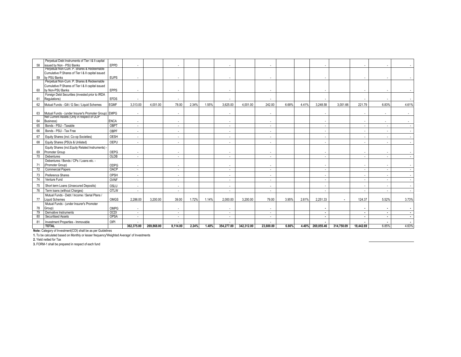|    | Perpetual Debt Instruments of Tier I & II capital                                         |             |                          |            |                          |       |       |                          |            |           |       |       |                |            |           |        |       |
|----|-------------------------------------------------------------------------------------------|-------------|--------------------------|------------|--------------------------|-------|-------|--------------------------|------------|-----------|-------|-------|----------------|------------|-----------|--------|-------|
| 58 | issued by Non - PSU Banks                                                                 | EPPD        | $\overline{\phantom{a}}$ |            |                          |       |       |                          |            |           |       |       |                |            |           |        |       |
|    | Perpetual Non-Cum. P. Shares & Redeemable                                                 |             |                          |            |                          |       |       |                          |            |           |       |       |                |            |           |        |       |
|    | Cumulative P.Shares of Tier I & II capital issued                                         |             |                          |            |                          |       |       |                          |            |           |       |       |                |            |           |        |       |
| 59 | by PSU Banks                                                                              | <b>EUPS</b> | $\overline{a}$           |            |                          |       |       |                          |            |           |       |       |                |            |           |        |       |
|    | Perpetual Non-Cum. P. Shares & Redeemable                                                 |             |                          |            |                          |       |       |                          |            |           |       |       |                |            |           |        |       |
|    | Cumulative P.Shares of Tier I & II capital issued                                         |             |                          |            |                          |       |       |                          |            |           |       |       |                |            |           |        |       |
| 60 | by Non-PSU Banks                                                                          | <b>EPPS</b> |                          |            |                          |       |       |                          |            |           |       |       |                |            |           |        |       |
|    | Foreign Debt Securities (invested prior to IRDA                                           |             |                          |            |                          |       |       |                          |            |           |       |       |                |            |           |        |       |
| 61 | Regulations)                                                                              | <b>EFDS</b> |                          |            |                          |       |       |                          |            |           |       |       |                |            |           |        |       |
| 62 | Mutual Funds - Gilt / G Sec / Liquid Schemes                                              | <b>EGMF</b> | 3,313.00                 | 4,001.00   | 78.00                    | 2.34% | 1.55% | 3,625.00                 | 4,001.00   | 242.00    | 6.68% | 4.41% | 3,248.58       | 3,001.66   | 221.79    | 6.83%  | 4.61% |
|    |                                                                                           |             |                          |            |                          |       |       |                          |            |           |       |       |                |            |           |        |       |
| 63 | Mutual Funds - (under Insurer's Promoter Group) EMPG                                      |             | $\overline{\phantom{a}}$ |            | $\overline{a}$           |       |       |                          |            |           |       |       |                |            |           |        |       |
|    | Net Current Assets (Only in respect of ULIP                                               |             |                          |            |                          |       |       |                          |            |           |       |       |                |            |           |        |       |
| 64 | Business)                                                                                 | <b>ENCA</b> | $\overline{\phantom{a}}$ |            |                          |       |       |                          |            |           |       |       |                |            |           |        |       |
| 65 | Bonds - PSU - Taxable                                                                     | OBPT        | $\sim$                   |            | $\sim$                   |       |       | $\sim$                   |            | $\sim$    |       |       |                |            |           |        |       |
| 66 | Bonds - PSU - Tax Free                                                                    | OBPF        | $\overline{\phantom{a}}$ |            | $\overline{\phantom{a}}$ |       |       |                          |            |           |       |       |                |            |           |        |       |
| 67 | Equity Shares (incl. Co-op Societies)                                                     | OESH        | $\overline{a}$           |            |                          |       |       |                          |            |           |       |       |                |            |           |        |       |
| 68 | Equity Shares (PSUs & Unlisted)                                                           | OEPU        | $\overline{\phantom{a}}$ |            | $\overline{\phantom{a}}$ |       |       | $\sim$                   |            |           |       |       |                |            |           |        |       |
|    | Equity Shares (incl.Equity Related Instruments) -                                         |             |                          |            |                          |       |       |                          |            |           |       |       |                |            |           |        |       |
| 69 | Promoter Group                                                                            | OEPG        | $\sim$                   |            |                          |       |       | $\overline{\phantom{a}}$ |            |           |       |       |                |            |           |        |       |
| 70 | Debentures                                                                                | OLDB        | $\sim$                   |            | $\overline{a}$           |       |       | $\overline{a}$           |            |           |       |       |                |            |           | $\sim$ |       |
|    | Debentures / Bonds / CPs / Loans etc. -                                                   |             |                          |            |                          |       |       |                          |            |           |       |       |                |            |           |        |       |
| 71 | (Promoter Group)                                                                          | ODPG        | $\overline{\phantom{a}}$ |            |                          |       |       |                          |            |           |       |       |                |            |           |        |       |
| 72 | <b>Commercial Papers</b>                                                                  | OACP        | $\sim$                   |            | $\sim$                   |       |       | $\sim$                   |            | $\sim$    |       |       | $\sim$         |            |           | $\sim$ |       |
| 73 | Preference Shares                                                                         | OPSH        | $\overline{\phantom{a}}$ |            | $\overline{\phantom{a}}$ |       |       |                          |            |           |       |       |                |            |           |        |       |
| 74 | Venture Fund                                                                              | <b>OVNF</b> | $\sim$                   |            | $\overline{\phantom{a}}$ |       |       | $\sim$                   |            | $\sim$    |       |       |                |            |           |        |       |
| 75 | Short term Loans (Unsecured Deposits)                                                     | OSLU        | $\overline{\phantom{a}}$ |            |                          |       |       |                          |            |           |       |       |                |            |           |        |       |
| 76 | Term Ioans (without Charges)                                                              | OTLW        | ٠                        |            |                          |       |       |                          |            |           |       |       |                |            |           |        |       |
|    | Mutual Funds - Debt / Income / Serial Plans /                                             |             |                          |            |                          |       |       |                          |            |           |       |       |                |            |           |        |       |
| 77 | <b>Liquid Schemes</b>                                                                     | OMGS        | 2.286.00                 | 3.200.00   | 39.00                    | 1.72% | 1.14% | 2.000.00                 | 3.200.00   | 79.00     | 3.95% | 2.61% | 2,251.33       |            | 124.37    | 5.52%  | 3.73% |
|    | Mutual Funds - (under Insurer's Promoter                                                  |             |                          |            |                          |       |       |                          |            |           |       |       |                |            |           |        |       |
| 78 | Group)                                                                                    | OMPG        | $\overline{\phantom{a}}$ |            | $\overline{\phantom{a}}$ |       |       | $\sim$                   |            | $\sim$    |       |       | ٠              |            |           |        |       |
| 79 | Derivative Instruments                                                                    | OCDI        | $\overline{\phantom{a}}$ |            | $\overline{\phantom{a}}$ |       |       | $\overline{\phantom{a}}$ |            | $\sim$    |       |       | $\blacksquare$ |            |           | $\sim$ |       |
| 80 | <b>Securitised Assets</b>                                                                 | OPSA        | $\overline{\phantom{a}}$ |            | $\overline{a}$           |       |       | $\overline{a}$           |            | $\sim$    |       |       | $\blacksquare$ |            |           | $\sim$ |       |
| 81 | Investment Properties - Immovable                                                         | OIPI        |                          |            |                          |       |       |                          |            |           |       |       |                |            |           |        |       |
|    | <b>TOTAL</b>                                                                              |             | 362,375.00               | 269.868.00 | 8.114.00                 | 2.24% | 1.48% | 354,277.00               | 342.312.00 | 23.600.00 | 6.66% | 4.40% | 269,055.46     | 314,750.09 | 18,442.69 | 6.85%  | 4.63% |
|    | Note: Category of Investment(COI) shall be as per Guidelines                              |             |                          |            |                          |       |       |                          |            |           |       |       |                |            |           |        |       |
|    | 1. To be calculated based on Monthly or lesser frequency'Weighted Average' of Investments |             |                          |            |                          |       |       |                          |            |           |       |       |                |            |           |        |       |
|    | 2. Yield netted for Tax                                                                   |             |                          |            |                          |       |       |                          |            |           |       |       |                |            |           |        |       |

**3.** FORM-1 shall be prepared in respect of each fund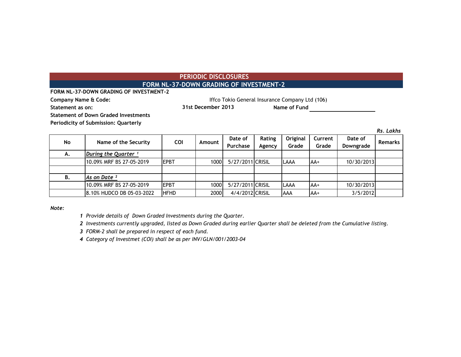### **PERIODIC DISCLOSURES FORM NL-37-DOWN GRADING OF INVESTMENT-2**

**FORM NL-37-DOWN GRADING OF INVESTMENT-2**

**Company Name & Code:** Company Name & Code: Iffco Tokio General Insurance Company Ltd (106)

**Statement as on: Name of Fund 31st December 2013**

**Statement of Down Graded Investments**

**Periodicity of Submission: Quarterly**

*Rs. Lakhs*

| No | Name of the Security            | <b>COI</b>   | Amount | Date of<br>Purchase | Rating<br>Agency | Original<br>Grade | Current<br>Grade | Date of<br>Downgrade | <b>Remarks</b> |
|----|---------------------------------|--------------|--------|---------------------|------------------|-------------------|------------------|----------------------|----------------|
| А. | During the Quarter <sup>1</sup> |              |        |                     |                  |                   |                  |                      |                |
|    | 10.09% MRF BS 27-05-2019        | <b>IEPBT</b> | 1000I  | 5/27/2011 CRISIL    |                  | LAAA              | lAA+             | 10/30/2013           |                |
|    |                                 |              |        |                     |                  |                   |                  |                      |                |
| В. | As on Date 2                    |              |        |                     |                  |                   |                  |                      |                |
|    | 10.09% MRF BS 27-05-2019        | <b>EPBT</b>  | 1000l  | 5/27/2011 CRISIL    |                  | LAAA              | lAA+             | 10/30/2013           |                |
|    | 8.10% HUDCO DB 05-03-2022       | <b>HFHD</b>  | 2000   | 4/4/2012 CRISIL     |                  | AAA               | lAA+             | 3/5/2012             |                |

*Note:*

*1 Provide details of Down Graded Investments during the Quarter.* 

*2 Investments currently upgraded, listed as Down Graded during earlier Quarter shall be deleted from the Cumulative listing.*

*3 FORM-2 shall be prepared in respect of each fund.*

*4 Category of Investmet (COI) shall be as per INV/GLN/001/2003-04*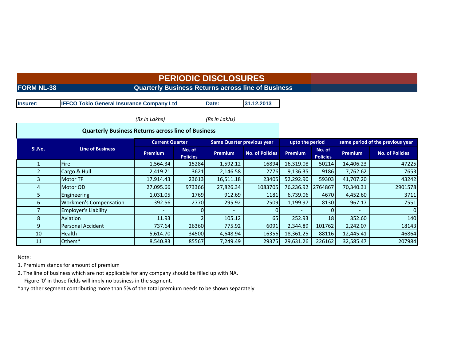# **PERIODIC DISCLOSURES**

# **FORM NL-38** Quarterly Business Returns across line of Business

| Insurer: | <b>IFFCO Tokio General Insurance Company Ltd</b> | Date: | 31.12.2013 |
|----------|--------------------------------------------------|-------|------------|
|----------|--------------------------------------------------|-------|------------|

*(Rs in Lakhs) (Rs in Lakhs)*

|        | <b>Quarterly Business Returns across line of Business</b> |                        |                           |                                   |                        |                 |                           |                                  |                        |  |
|--------|-----------------------------------------------------------|------------------------|---------------------------|-----------------------------------|------------------------|-----------------|---------------------------|----------------------------------|------------------------|--|
|        |                                                           | <b>Current Quarter</b> |                           | <b>Same Quarter previous year</b> |                        | upto the period |                           | same period of the previous year |                        |  |
| SI.No. | <b>Line of Business</b>                                   | <b>Premium</b>         | No. of<br><b>Policies</b> | <b>Premium</b>                    | <b>No. of Policies</b> | Premium         | No. of<br><b>Policies</b> | <b>Premium</b>                   | <b>No. of Policies</b> |  |
|        | Fire                                                      | 1,564.34               | 15284                     | 1,592.12                          | 16894                  | 16,319.08       | 50214                     | 14,406.23                        | 47225                  |  |
|        | Cargo & Hull                                              | 2,419.21               | 3621                      | 2,146.58                          | 2776                   | 9,136.35        | 9186                      | 7,762.62                         | 7653                   |  |
| 3      | Motor TP                                                  | 17,914.43              | 23613                     | 16,511.18                         | 23405                  | 52,292.90       | 59303                     | 41,707.20                        | 43242                  |  |
| 4      | Motor OD                                                  | 27,095.66              | 973366                    | 27,826.34                         | 1083705                | 76,236.92       | 2764867                   | 70,340.31                        | 2901578                |  |
| 5.     | Engineering                                               | 1,031.05               | 1769                      | 912.69                            | 1181                   | 6,739.06        | 4670                      | 4,452.60                         | 3711                   |  |
| 6      | <b>Workmen's Compensation</b>                             | 392.56                 | 2770                      | 295.92                            | 2509                   | 1,199.97        | 8130                      | 967.17                           | 7551                   |  |
|        | <b>Employer's Liability</b>                               |                        |                           |                                   |                        |                 |                           |                                  | $\Omega$               |  |
| 8      | Aviation                                                  | 11.93                  |                           | 105.12                            | 65                     | 252.93          | 18                        | 352.60                           | 140                    |  |
| 9      | <b>Personal Accident</b>                                  | 737.64                 | 26360                     | 775.92                            | 6091                   | 2,344.89        | 101762                    | 2,242.07                         | 18143                  |  |
| 10     | Health                                                    | 5,614.70               | 34500                     | 4,648.94                          | 16356                  | 18,361.25       | 88116                     | 12,445.41                        | 46864                  |  |
| 11     | Others*                                                   | 8,540.83               | 85567                     | 7,249.49                          | 29375                  | 29,631.26       | 226162                    | 32,585.47                        | 207984                 |  |

Note:

1. Premium stands for amount of premium

2. The line of business which are not applicable for any company should be filled up with NA.

Figure '0' in those fields will imply no business in the segment.

\*any other segment contributing more than 5% of the total premium needs to be shown separately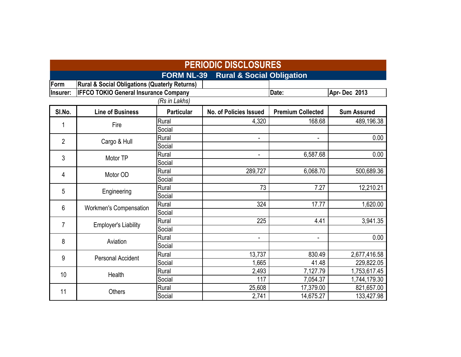|                | <b>PERIODIC DISCLOSURES</b>                              |                   |                                      |                              |                    |  |  |  |  |  |  |
|----------------|----------------------------------------------------------|-------------------|--------------------------------------|------------------------------|--------------------|--|--|--|--|--|--|
|                |                                                          | <b>FORM NL-39</b> | <b>Rural &amp; Social Obligation</b> |                              |                    |  |  |  |  |  |  |
| Form           | <b>Rural &amp; Social Obligations (Quaterly Returns)</b> |                   |                                      |                              |                    |  |  |  |  |  |  |
| Insurer:       | <b>IFFCO TOKIO General Insurance Company</b>             |                   |                                      | Date:                        | Apr-Dec 2013       |  |  |  |  |  |  |
|                |                                                          | (Rs in Lakhs)     |                                      |                              |                    |  |  |  |  |  |  |
| SI.No.         | <b>Line of Business</b>                                  | <b>Particular</b> | <b>No. of Policies Issued</b>        | <b>Premium Collected</b>     | <b>Sum Assured</b> |  |  |  |  |  |  |
| 1              | Fire                                                     | Rural             | 4,320                                | 168.68                       | 489,196.38         |  |  |  |  |  |  |
|                |                                                          | Social            |                                      |                              |                    |  |  |  |  |  |  |
| $\overline{2}$ | Cargo & Hull                                             | Rural             | $\qquad \qquad \blacksquare$         | $\qquad \qquad \blacksquare$ | 0.00               |  |  |  |  |  |  |
|                |                                                          | Social            |                                      |                              |                    |  |  |  |  |  |  |
| 3              | Motor TP                                                 | Rural             | $\blacksquare$                       | 6,587.68                     | 0.00               |  |  |  |  |  |  |
|                |                                                          | Social            |                                      |                              |                    |  |  |  |  |  |  |
| 4              | Motor OD                                                 | Rural             | 289,727                              | 6,068.70                     | 500,689.36         |  |  |  |  |  |  |
|                |                                                          | Social            |                                      |                              |                    |  |  |  |  |  |  |
| 5              | Engineering                                              | Rural             | 73                                   | 7.27                         | 12,210.21          |  |  |  |  |  |  |
|                |                                                          | Social            |                                      |                              |                    |  |  |  |  |  |  |
| 6              | Workmen's Compensation                                   | Rural             | 324                                  | 17.77                        | 1,620.00           |  |  |  |  |  |  |
|                |                                                          | Social            |                                      |                              |                    |  |  |  |  |  |  |
| 7              | <b>Employer's Liability</b>                              | Rural             | 225                                  | 4.41                         | 3,941.35           |  |  |  |  |  |  |
|                |                                                          | Social            |                                      |                              |                    |  |  |  |  |  |  |
| 8              | Aviation                                                 | Rural             | $\overline{\phantom{a}}$             | $\overline{\phantom{a}}$     | 0.00               |  |  |  |  |  |  |
|                |                                                          | Social            |                                      |                              |                    |  |  |  |  |  |  |
| 9              | <b>Personal Accident</b>                                 | Rural             | 13,737                               | 830.49                       | 2,677,416.58       |  |  |  |  |  |  |
|                |                                                          | Social            | 1,665                                | 41.48                        | 229,822.05         |  |  |  |  |  |  |
| 10             | Health                                                   | Rural             | 2,493                                | 7,127.79                     | 1,753,617.45       |  |  |  |  |  |  |
|                |                                                          | Social            | 117                                  | 7,054.37                     | 1,744,179.30       |  |  |  |  |  |  |
| 11             | <b>Others</b>                                            | Rural             | 25,608                               | 17,379.00                    | 821,657.00         |  |  |  |  |  |  |
|                |                                                          | Social            | 2,741                                | 14,675.27                    | 133,427.98         |  |  |  |  |  |  |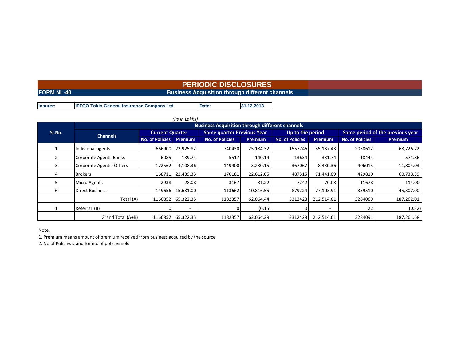# **PERIODIC DISCLOSURES**

### **FORM NL-40**

### **Business Acquisition through different channels**

**Insurer: IFFCO Tokio General Insurance Company Ltd Date: 31.12.2013**

|        |                           |                        | (Rs in Lakhs)            |                                                        |                |                        |                          |                                  |                |  |
|--------|---------------------------|------------------------|--------------------------|--------------------------------------------------------|----------------|------------------------|--------------------------|----------------------------------|----------------|--|
|        |                           |                        |                          | <b>Business Acquisition through different channels</b> |                |                        |                          |                                  |                |  |
| SI.No. | <b>Channels</b>           | <b>Current Quarter</b> |                          | <b>Same quarter Previous Year</b>                      |                | Up to the period       |                          | Same period of the previous year |                |  |
|        |                           | <b>No. of Policies</b> | Premium                  | <b>No. of Policies</b>                                 | <b>Premium</b> | <b>No. of Policies</b> | <b>Premium</b>           | <b>No. of Policies</b>           | <b>Premium</b> |  |
|        | Individual agents         | 666900                 | 22,925.82                | 740430                                                 | 25,184.32      | 1557746                | 55,137.43                | 2058612                          | 68,726.72      |  |
|        | Corporate Agents-Banks    | 6085                   | 139.74                   | 5517                                                   | 140.14         | 13634                  | 331.74                   | 18444                            | 571.86         |  |
| 3      | Corporate Agents - Others | 172562                 | 4,108.36                 | 149400                                                 | 3,280.15       | 367067                 | 8,430.36                 | 406015                           | 11,804.03      |  |
| 4      | <b>Brokers</b>            | 168711                 | 22,439.35                | 170181                                                 | 22,612.05      | 487515                 | 71,441.09                | 429810                           | 60,738.39      |  |
| 5.     | <b>Micro Agents</b>       | 2938                   | 28.08                    | 3167                                                   | 31.22          | 7242                   | 70.08                    | 11678                            | 114.00         |  |
| 6      | Direct Business           | 149656                 | 15,681.00                | 113662                                                 | 10,816.55      | 879224                 | 77,103.91                | 359510                           | 45,307.00      |  |
|        | Total $(A)$               | 1166852                | 65,322.35                | 1182357                                                | 62,064.44      | 3312428                | 212,514.61               | 3284069                          | 187,262.01     |  |
|        | Referral (B)              |                        | $\overline{\phantom{0}}$ |                                                        | (0.15)         |                        | $\overline{\phantom{a}}$ | 22                               | (0.32)         |  |
|        | Grand Total (A+B)         | 1166852                | 65,322.35                | 1182357                                                | 62,064.29      | 3312428                | 212,514.61               | 3284091                          | 187,261.68     |  |

Note:

1. Premium means amount of premium received from business acquired by the source

2. No of Policies stand for no. of policies sold